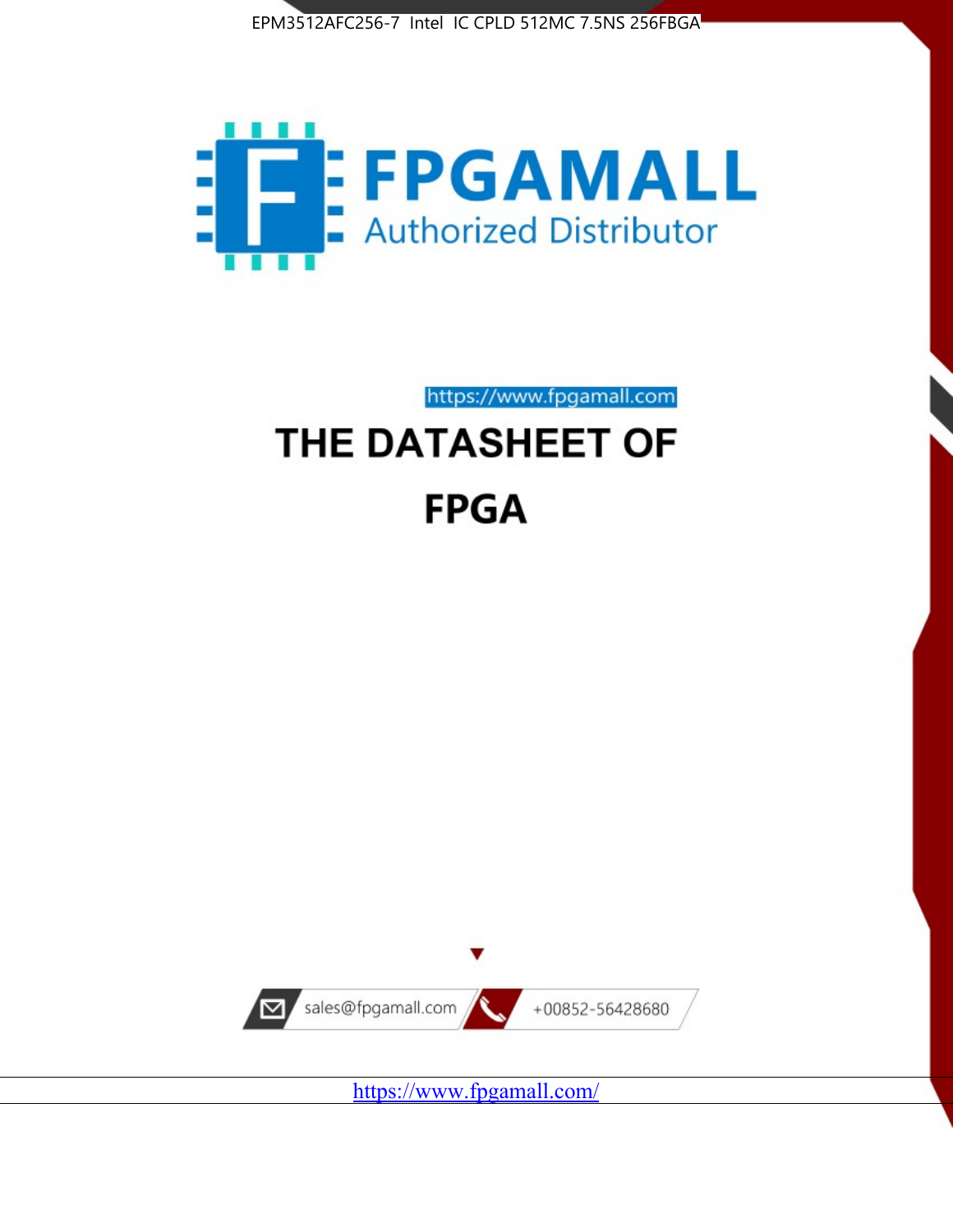



https://www.fpgamall.com

# THE DATASHEET OF **FPGA**



<https://www.fpgamall.com/>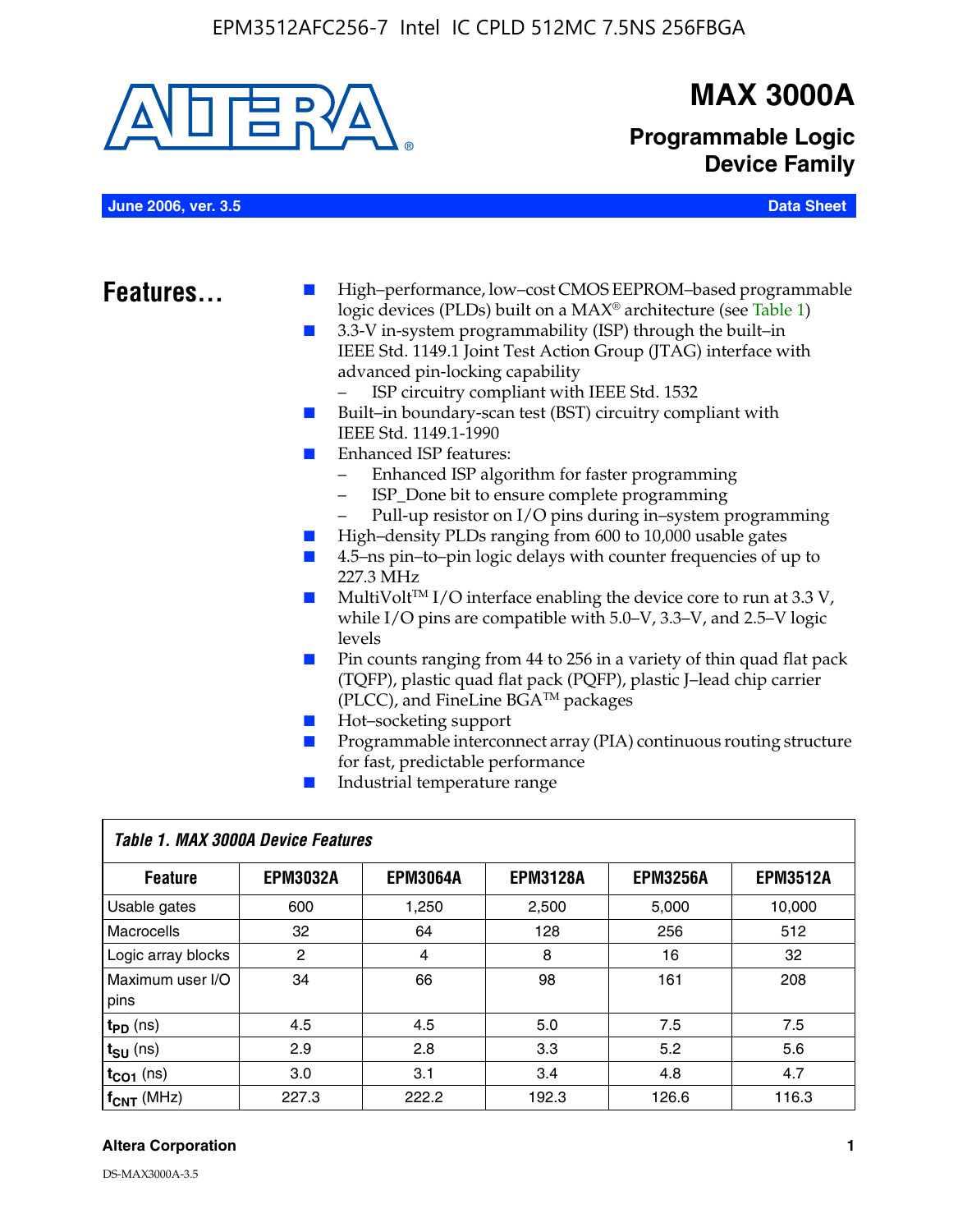

# **MAX 3000A**

**Programmable Logic Device Family**

**June 2006, ver. 3.5 Data Sheet**

- **Features.** High–performance, low–cost CMOS EEPROM–based programmable logic devices (PLDs) built on a MAX® architecture (see Table 1)
	- 3.3-V in-system programmability (ISP) through the built–in IEEE Std. 1149.1 Joint Test Action Group (JTAG) interface with advanced pin-locking capability
		- ISP circuitry compliant with IEEE Std. 1532
	- Built–in boundary-scan test (BST) circuitry compliant with IEEE Std. 1149.1-1990
	- Enhanced ISP features:
		- Enhanced ISP algorithm for faster programming
		- ISP\_Done bit to ensure complete programming
		- Pull-up resistor on I/O pins during in–system programming
	- High–density PLDs ranging from 600 to 10,000 usable gates
	- 4.5–ns pin–to–pin logic delays with counter frequencies of up to 227.3 MHz
	- $\blacksquare$  MultiVolt<sup>TM</sup> I/O interface enabling the device core to run at 3.3 V, while I/O pins are compatible with 5.0–V, 3.3–V, and 2.5–V logic levels
	- Pin counts ranging from 44 to 256 in a variety of thin quad flat pack (TQFP), plastic quad flat pack (PQFP), plastic J–lead chip carrier (PLCC), and FineLine BGATM packages
	- Hot–socketing support
	- Programmable interconnect array (PIA) continuous routing structure for fast, predictable performance
	- Industrial temperature range

| Table 1. MAX 3000A Device Features |                 |                 |                 |                 |                 |  |
|------------------------------------|-----------------|-----------------|-----------------|-----------------|-----------------|--|
| <b>Feature</b>                     | <b>EPM3032A</b> | <b>EPM3064A</b> | <b>EPM3128A</b> | <b>EPM3256A</b> | <b>EPM3512A</b> |  |
| Usable gates                       | 600             | 1,250           | 2,500           | 5.000           | 10.000          |  |
| Macrocells                         | 32              | 64              | 128             | 256             | 512             |  |
| Logic array blocks                 | 2               | $\overline{4}$  | 8               | 16              | 32              |  |
| Maximum user I/O<br>pins           | 34              | 66              | 98              | 161             | 208             |  |
| $t_{PD}$ (ns)                      | 4.5             | 4.5             | 5.0             | 7.5             | 7.5             |  |
| $t_{\text{SU}}$ (ns)               | 2.9             | 2.8             | 3.3             | 5.2             | 5.6             |  |
| $t_{CO1}$ (ns)                     | 3.0             | 3.1             | 3.4             | 4.8             | 4.7             |  |
| $f_{\text{CNT}}$ (MHz)             | 227.3           | 222.2           | 192.3           | 126.6           | 116.3           |  |

#### **Altera Corporation 1**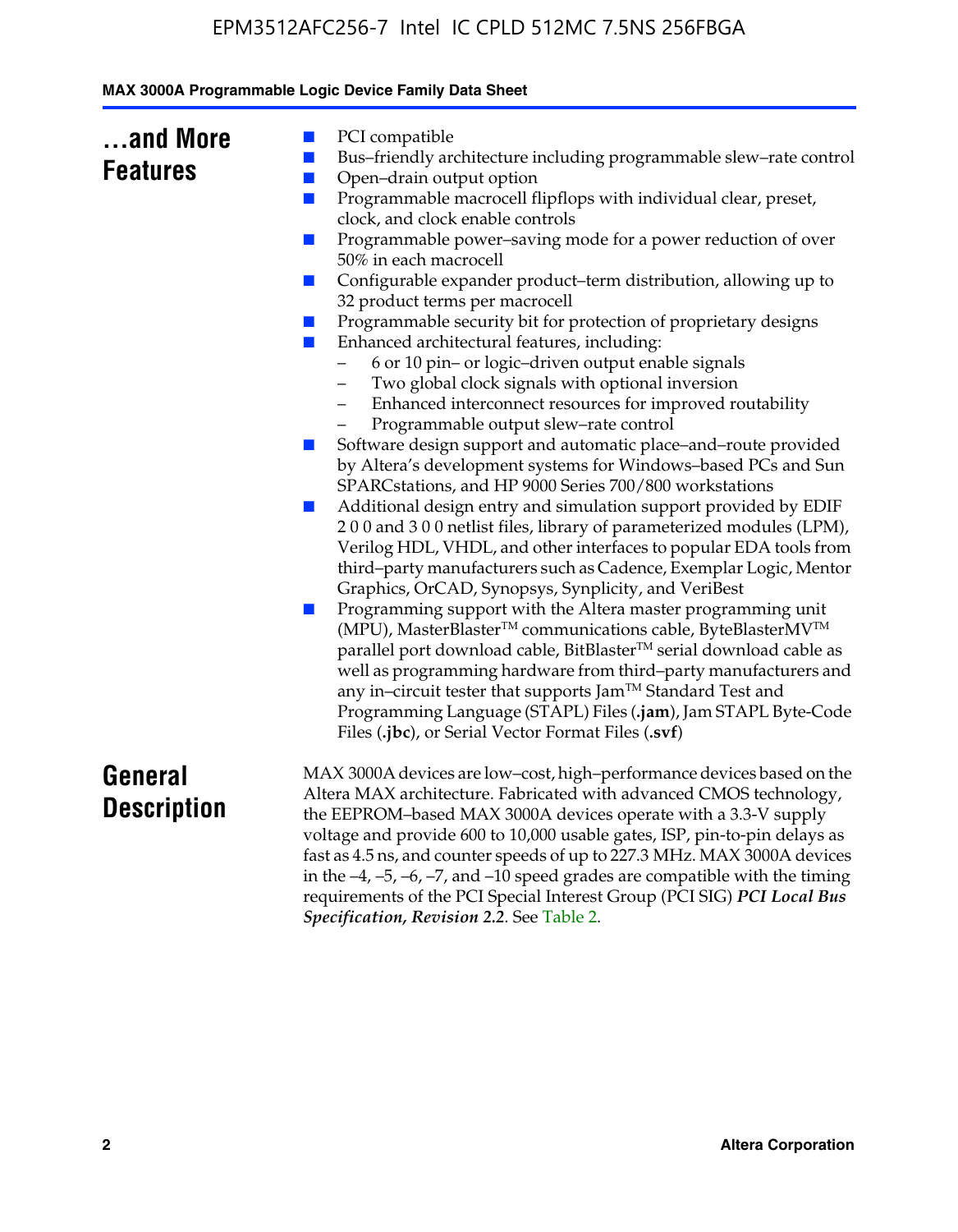| and More        |  |
|-----------------|--|
| <b>Features</b> |  |

- PCI compatible
- Bus–friendly architecture including programmable slew–rate control
- Open–drain output option
- Programmable macrocell flipflops with individual clear, preset, clock, and clock enable controls
- Programmable power–saving mode for a power reduction of over 50% in each macrocell
- Configurable expander product–term distribution, allowing up to 32 product terms per macrocell
- Programmable security bit for protection of proprietary designs
- Enhanced architectural features, including:
	- 6 or 10 pin– or logic–driven output enable signals
	- Two global clock signals with optional inversion
	- Enhanced interconnect resources for improved routability
	- Programmable output slew–rate control
- Software design support and automatic place–and–route provided by Altera's development systems for Windows–based PCs and Sun SPARCstations, and HP 9000 Series 700/800 workstations
- Additional design entry and simulation support provided by EDIF 2 0 0 and 3 0 0 netlist files, library of parameterized modules (LPM), Verilog HDL, VHDL, and other interfaces to popular EDA tools from third–party manufacturers such as Cadence, Exemplar Logic, Mentor Graphics, OrCAD, Synopsys, Synplicity, and VeriBest
- Programming support with the Altera master programming unit (MPU), MasterBlaster™ communications cable, ByteBlasterMV™ parallel port download cable, BitBlaster™ serial download cable as well as programming hardware from third–party manufacturers and any in–circuit tester that supports Jam™ Standard Test and Programming Language (STAPL) Files (**.jam**), Jam STAPL Byte-Code Files (**.jbc**), or Serial Vector Format Files (**.svf**)

# **General Description**

MAX 3000A devices are low–cost, high–performance devices based on the Altera MAX architecture. Fabricated with advanced CMOS technology, the EEPROM–based MAX 3000A devices operate with a 3.3-V supply voltage and provide 600 to 10,000 usable gates, ISP, pin-to-pin delays as fast as 4.5 ns, and counter speeds of up to 227.3 MHz. MAX 3000A devices in the  $-4$ ,  $-5$ ,  $-6$ ,  $-7$ , and  $-10$  speed grades are compatible with the timing requirements of the PCI Special Interest Group (PCI SIG) *PCI Local Bus Specification, Revision 2.2*. See Table 2.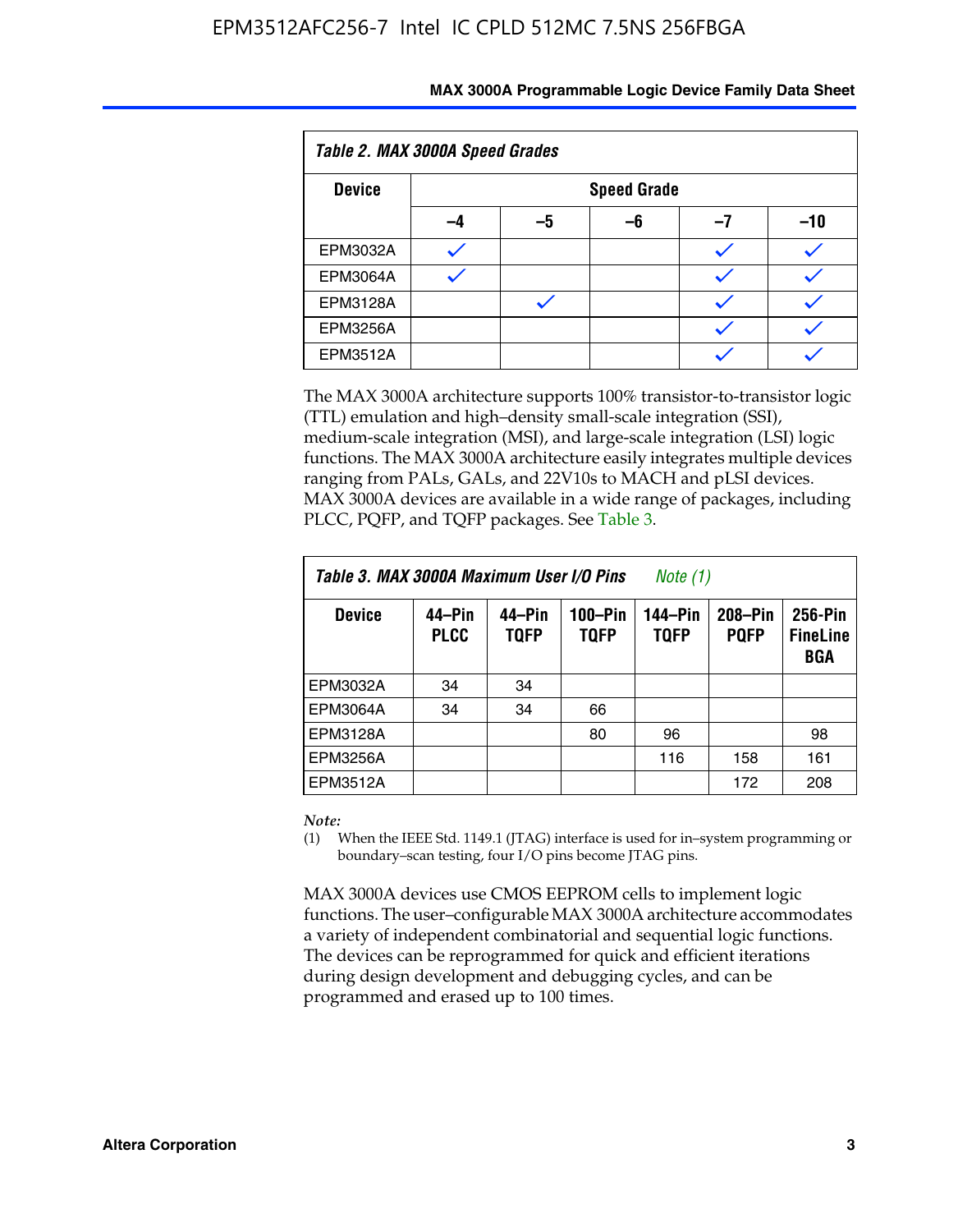| Table 2. MAX 3000A Speed Grades |    |                    |    |    |     |  |  |
|---------------------------------|----|--------------------|----|----|-----|--|--|
| <b>Device</b>                   |    | <b>Speed Grade</b> |    |    |     |  |  |
|                                 | -4 | -5                 | -6 | -7 | -10 |  |  |
| EPM3032A                        |    |                    |    |    |     |  |  |
| <b>EPM3064A</b>                 |    |                    |    |    |     |  |  |
| <b>EPM3128A</b>                 |    |                    |    |    |     |  |  |
| <b>EPM3256A</b>                 |    |                    |    |    |     |  |  |
| <b>EPM3512A</b>                 |    |                    |    |    |     |  |  |

The MAX 3000A architecture supports 100% transistor-to-transistor logic (TTL) emulation and high–density small-scale integration (SSI), medium-scale integration (MSI), and large-scale integration (LSI) logic functions. The MAX 3000A architecture easily integrates multiple devices ranging from PALs, GALs, and 22V10s to MACH and pLSI devices. MAX 3000A devices are available in a wide range of packages, including PLCC, PQFP, and TQFP packages. See Table 3.

| Table 3. MAX 3000A Maximum User I/O Pins | Note (1)              |                       |                            |                        |                        |                                   |
|------------------------------------------|-----------------------|-----------------------|----------------------------|------------------------|------------------------|-----------------------------------|
| <b>Device</b>                            | 44–Pin<br><b>PLCC</b> | 44–Pin<br><b>TQFP</b> | $100 - Pin$<br><b>TQFP</b> | 144-Pin<br><b>TQFP</b> | 208-Pin<br><b>PQFP</b> | 256-Pin<br><b>FineLine</b><br>BGA |
| EPM3032A                                 | 34                    | 34                    |                            |                        |                        |                                   |
| <b>EPM3064A</b>                          | 34                    | 34                    | 66                         |                        |                        |                                   |
| EPM3128A                                 |                       |                       | 80                         | 96                     |                        | 98                                |
| <b>EPM3256A</b>                          |                       |                       |                            | 116                    | 158                    | 161                               |
| EPM3512A                                 |                       |                       |                            |                        | 172                    | 208                               |

#### *Note:*

(1) When the IEEE Std. 1149.1 (JTAG) interface is used for in–system programming or boundary–scan testing, four I/O pins become JTAG pins.

MAX 3000A devices use CMOS EEPROM cells to implement logic functions. The user–configurable MAX 3000A architecture accommodates a variety of independent combinatorial and sequential logic functions. The devices can be reprogrammed for quick and efficient iterations during design development and debugging cycles, and can be programmed and erased up to 100 times.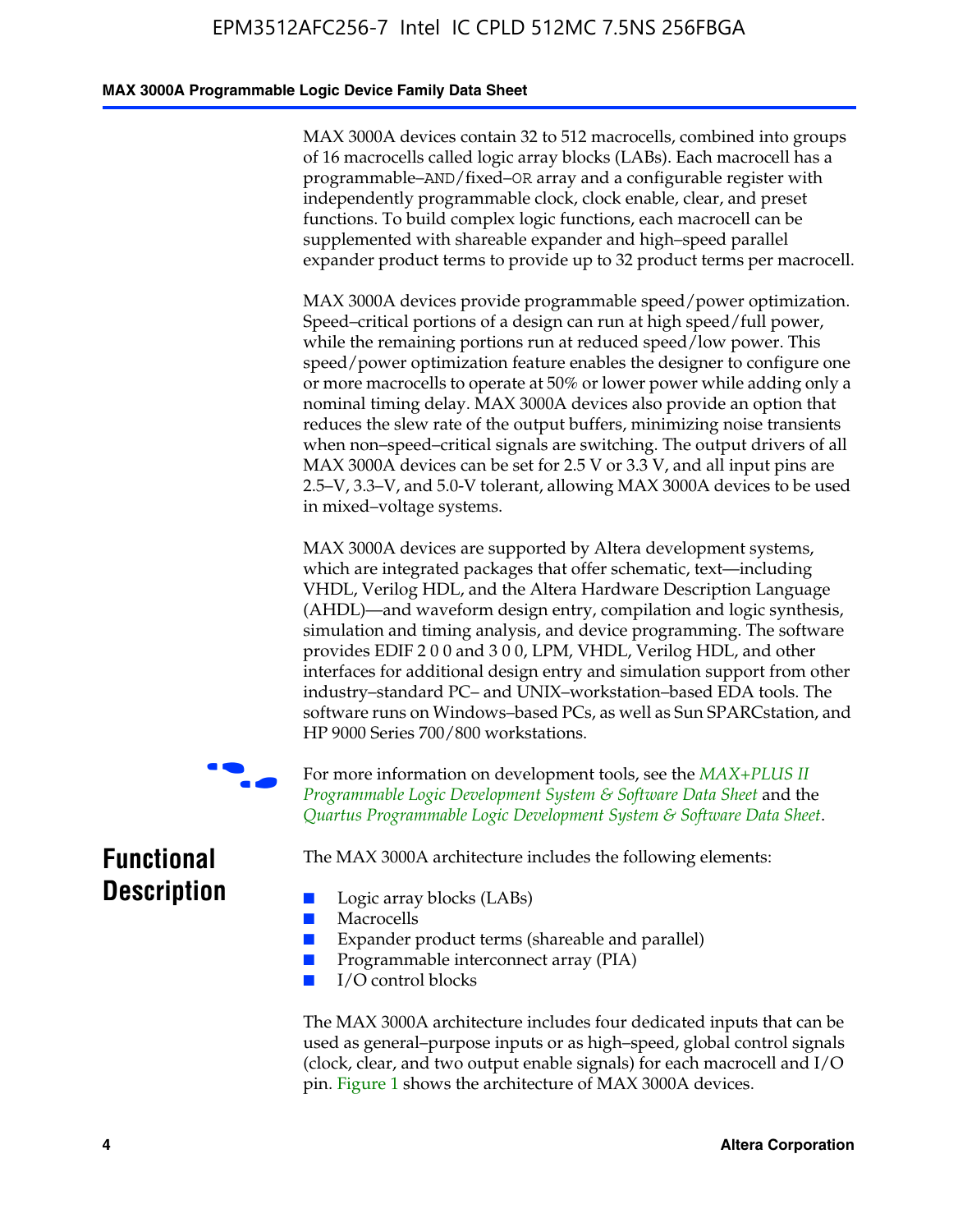#### **MAX 3000A Programmable Logic Device Family Data Sheet**

MAX 3000A devices contain 32 to 512 macrocells, combined into groups of 16 macrocells called logic array blocks (LABs). Each macrocell has a programmable–AND/fixed–OR array and a configurable register with independently programmable clock, clock enable, clear, and preset functions. To build complex logic functions, each macrocell can be supplemented with shareable expander and high–speed parallel expander product terms to provide up to 32 product terms per macrocell.

MAX 3000A devices provide programmable speed/power optimization. Speed–critical portions of a design can run at high speed/full power, while the remaining portions run at reduced speed/low power. This speed/power optimization feature enables the designer to configure one or more macrocells to operate at 50% or lower power while adding only a nominal timing delay. MAX 3000A devices also provide an option that reduces the slew rate of the output buffers, minimizing noise transients when non–speed–critical signals are switching. The output drivers of all MAX 3000A devices can be set for 2.5 V or 3.3 V, and all input pins are 2.5–V, 3.3–V, and 5.0-V tolerant, allowing MAX 3000A devices to be used in mixed–voltage systems.

MAX 3000A devices are supported by Altera development systems, which are integrated packages that offer schematic, text—including VHDL, Verilog HDL, and the Altera Hardware Description Language (AHDL)—and waveform design entry, compilation and logic synthesis, simulation and timing analysis, and device program[ming. The software](http://www.altera.com/literature/ds/dsmii.pdf)  [provides EDIF 2 0 0 and 3 0 0, LPM, VHDL, Verilog HDL, an](http://www.altera.com/literature/ds/dsmii.pdf)d other [interfaces for additional design entry and simulation support from ot](http://www.altera.com/literature/ds/quartus.pdf)her industry–standard PC– and UNIX–workstation–based EDA tools. The software runs on Windows–based PCs, as well as Sun SPARCstation, and HP 9000 Series 700/800 workstations.

For more information on development tools, see the *MAX+PLUS II Programmable Logic Development System & Software Data Sheet* and the *Quartus Programmable Logic Development System & Software Data Sheet*.

**Functional Description**

The MAX 3000A architecture includes the following elements:

- Macrocells
- Expander product terms (shareable and parallel)
- Programmable interconnect array (PIA)
- I/O control blocks

■ Logic array blocks (LABs)

The MAX 3000A architecture includes four dedicated inputs that can be used as general–purpose inputs or as high–speed, global control signals (clock, clear, and two output enable signals) for each macrocell and I/O pin. Figure 1 shows the architecture of MAX 3000A devices.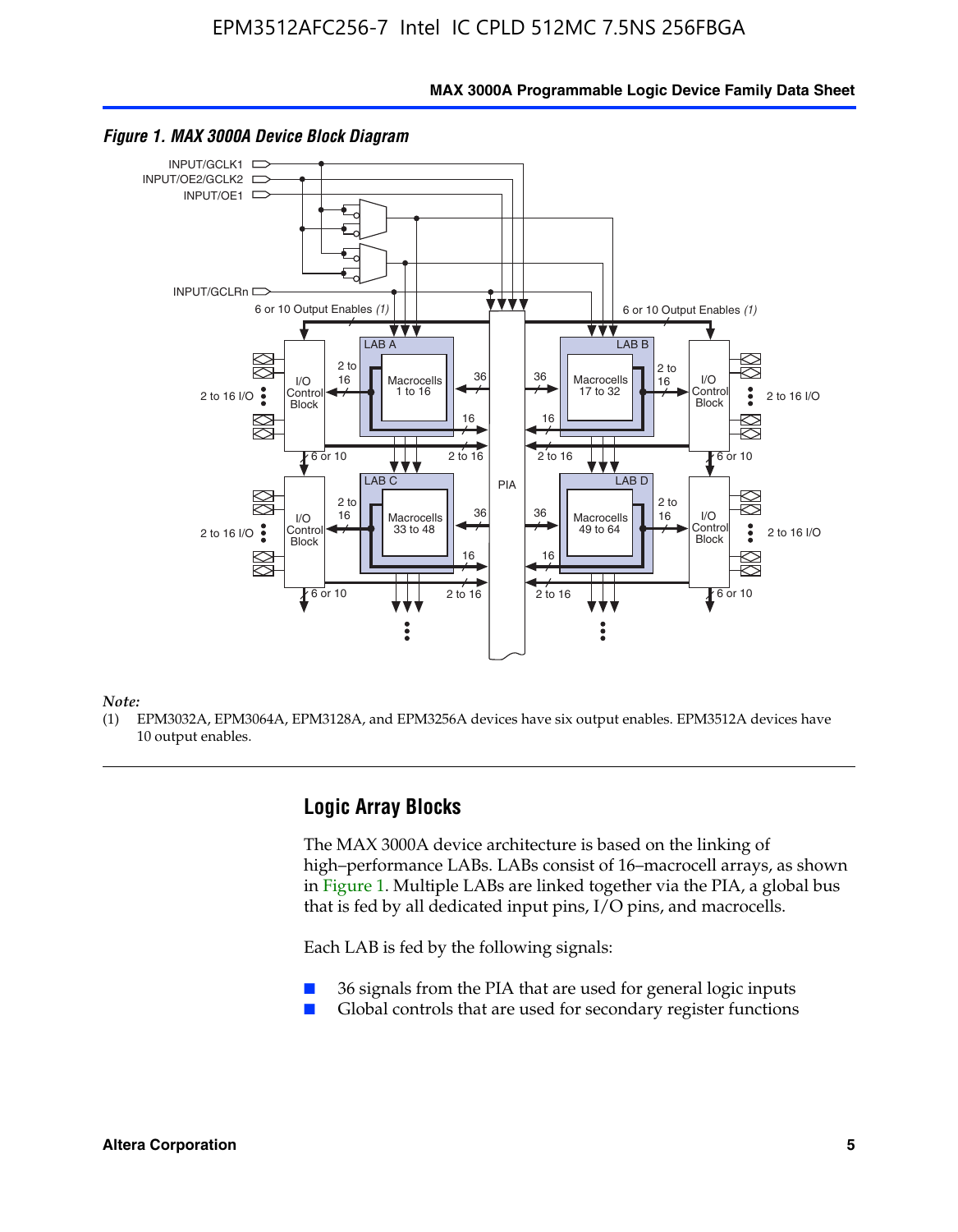**MAX 3000A Programmable Logic Device Family Data Sheet**



#### *Figure 1. MAX 3000A Device Block Diagram*

*Note:*

(1) EPM3032A, EPM3064A, EPM3128A, and EPM3256A devices have six output enables. EPM3512A devices have 10 output enables.

# **Logic Array Blocks**

The MAX 3000A device architecture is based on the linking of high–performance LABs. LABs consist of 16–macrocell arrays, as shown in Figure 1. Multiple LABs are linked together via the PIA, a global bus that is fed by all dedicated input pins, I/O pins, and macrocells.

Each LAB is fed by the following signals:

- 36 signals from the PIA that are used for general logic inputs
- Global controls that are used for secondary register functions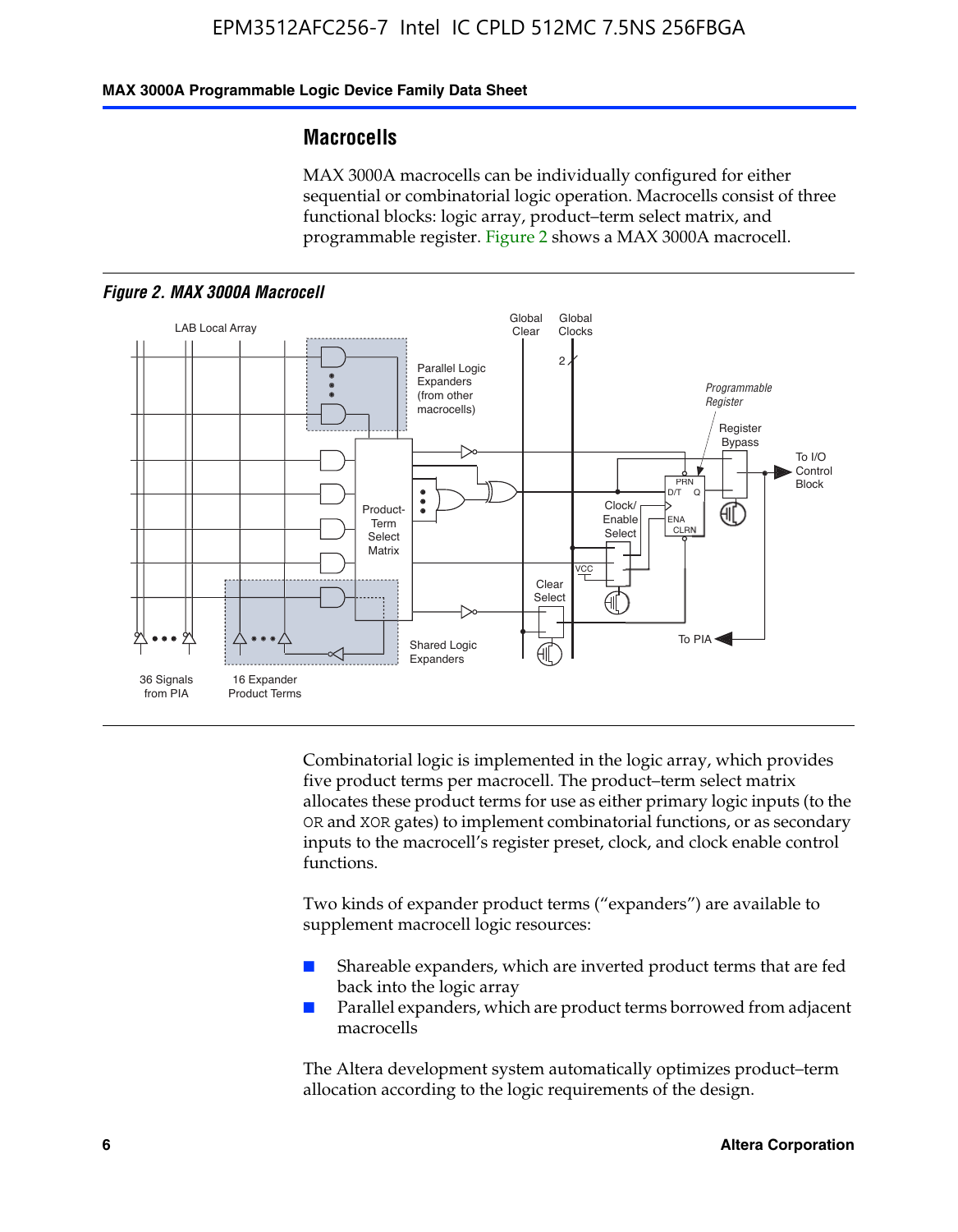#### **MAX 3000A Programmable Logic Device Family Data Sheet**

#### **Macrocells**

MAX 3000A macrocells can be individually configured for either sequential or combinatorial logic operation. Macrocells consist of three functional blocks: logic array, product–term select matrix, and programmable register. Figure 2 shows a MAX 3000A macrocell.





Combinatorial logic is implemented in the logic array, which provides five product terms per macrocell. The product–term select matrix allocates these product terms for use as either primary logic inputs (to the OR and XOR gates) to implement combinatorial functions, or as secondary inputs to the macrocell's register preset, clock, and clock enable control functions.

Two kinds of expander product terms ("expanders") are available to supplement macrocell logic resources:

- Shareable expanders, which are inverted product terms that are fed back into the logic array
- Parallel expanders, which are product terms borrowed from adjacent macrocells

The Altera development system automatically optimizes product–term allocation according to the logic requirements of the design.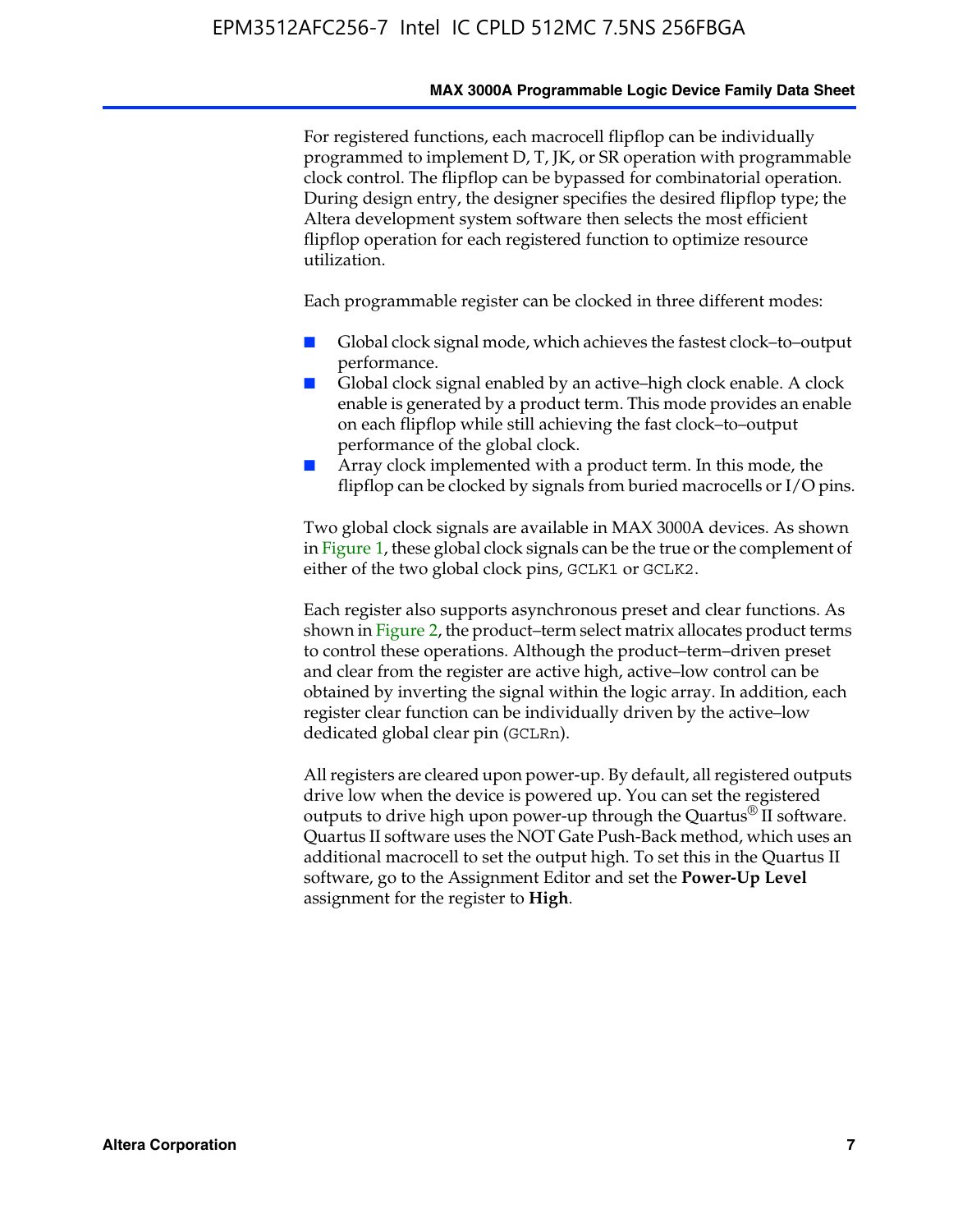#### **MAX 3000A Programmable Logic Device Family Data Sheet**

For registered functions, each macrocell flipflop can be individually programmed to implement D, T, JK, or SR operation with programmable clock control. The flipflop can be bypassed for combinatorial operation. During design entry, the designer specifies the desired flipflop type; the Altera development system software then selects the most efficient flipflop operation for each registered function to optimize resource utilization.

Each programmable register can be clocked in three different modes:

- Global clock signal mode, which achieves the fastest clock–to–output performance.
- Global clock signal enabled by an active–high clock enable. A clock enable is generated by a product term. This mode provides an enable on each flipflop while still achieving the fast clock–to–output performance of the global clock.
- Array clock implemented with a product term. In this mode, the flipflop can be clocked by signals from buried macrocells or I/O pins.

Two global clock signals are available in MAX 3000A devices. As shown in Figure 1, these global clock signals can be the true or the complement of either of the two global clock pins, GCLK1 or GCLK2.

Each register also supports asynchronous preset and clear functions. As shown in Figure 2, the product–term select matrix allocates product terms to control these operations. Although the product–term–driven preset and clear from the register are active high, active–low control can be obtained by inverting the signal within the logic array. In addition, each register clear function can be individually driven by the active–low dedicated global clear pin (GCLRn).

All registers are cleared upon power-up. By default, all registered outputs drive low when the device is powered up. You can set the registered outputs to drive high upon power-up through the Quartus<sup>®</sup> II software. Quartus II software uses the NOT Gate Push-Back method, which uses an additional macrocell to set the output high. To set this in the Quartus II software, go to the Assignment Editor and set the **Power-Up Level** assignment for the register to **High**.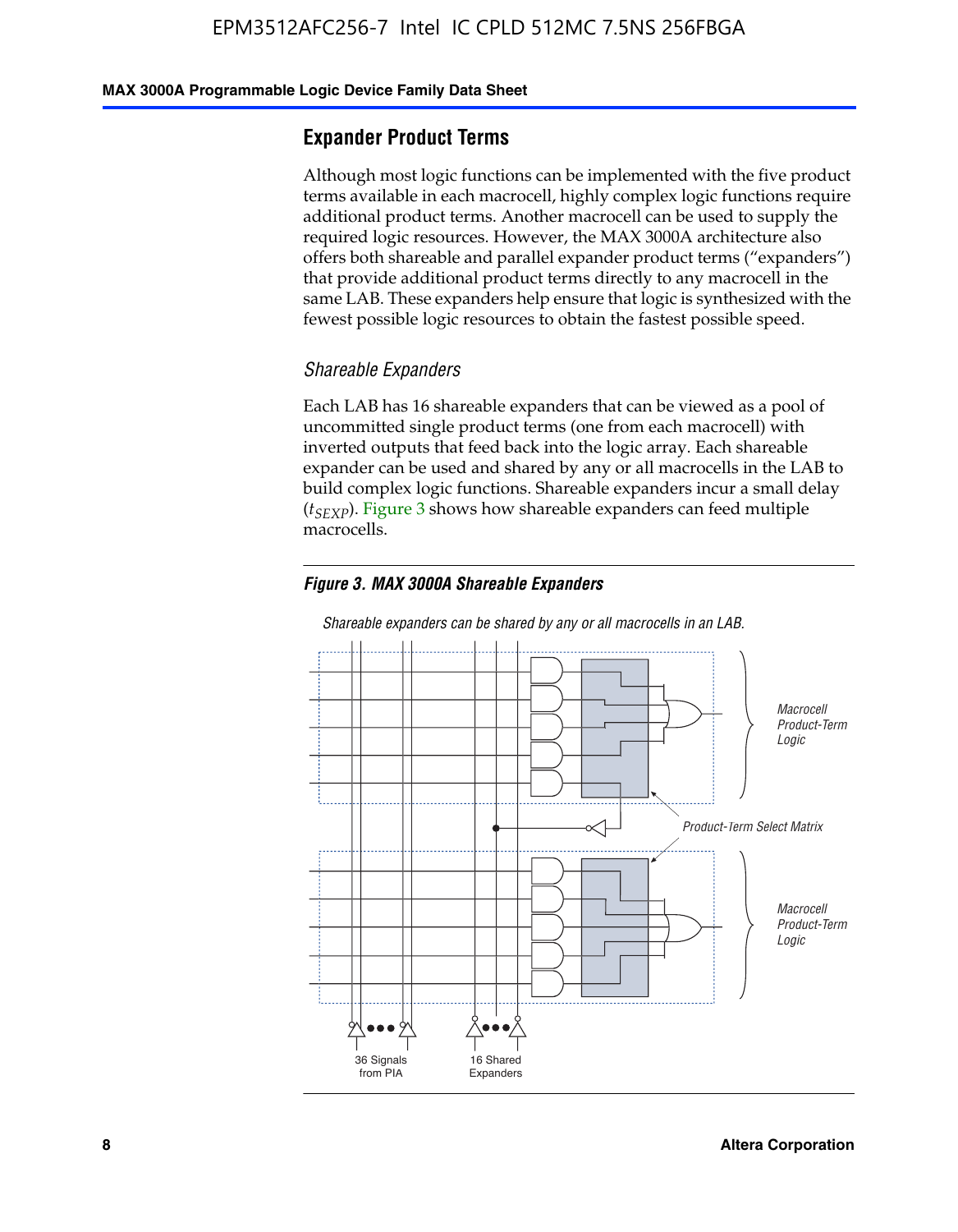#### **MAX 3000A Programmable Logic Device Family Data Sheet**

# **Expander Product Terms**

Although most logic functions can be implemented with the five product terms available in each macrocell, highly complex logic functions require additional product terms. Another macrocell can be used to supply the required logic resources. However, the MAX 3000A architecture also offers both shareable and parallel expander product terms ("expanders") that provide additional product terms directly to any macrocell in the same LAB. These expanders help ensure that logic is synthesized with the fewest possible logic resources to obtain the fastest possible speed.

#### *Shareable Expanders*

Each LAB has 16 shareable expanders that can be viewed as a pool of uncommitted single product terms (one from each macrocell) with inverted outputs that feed back into the logic array. Each shareable expander can be used and shared by any or all macrocells in the LAB to build complex logic functions. Shareable expanders incur a small delay (*t<sub>SEXP</sub>*). Figure 3 shows how shareable expanders can feed multiple macrocells.

#### *Figure 3. MAX 3000A Shareable Expanders*



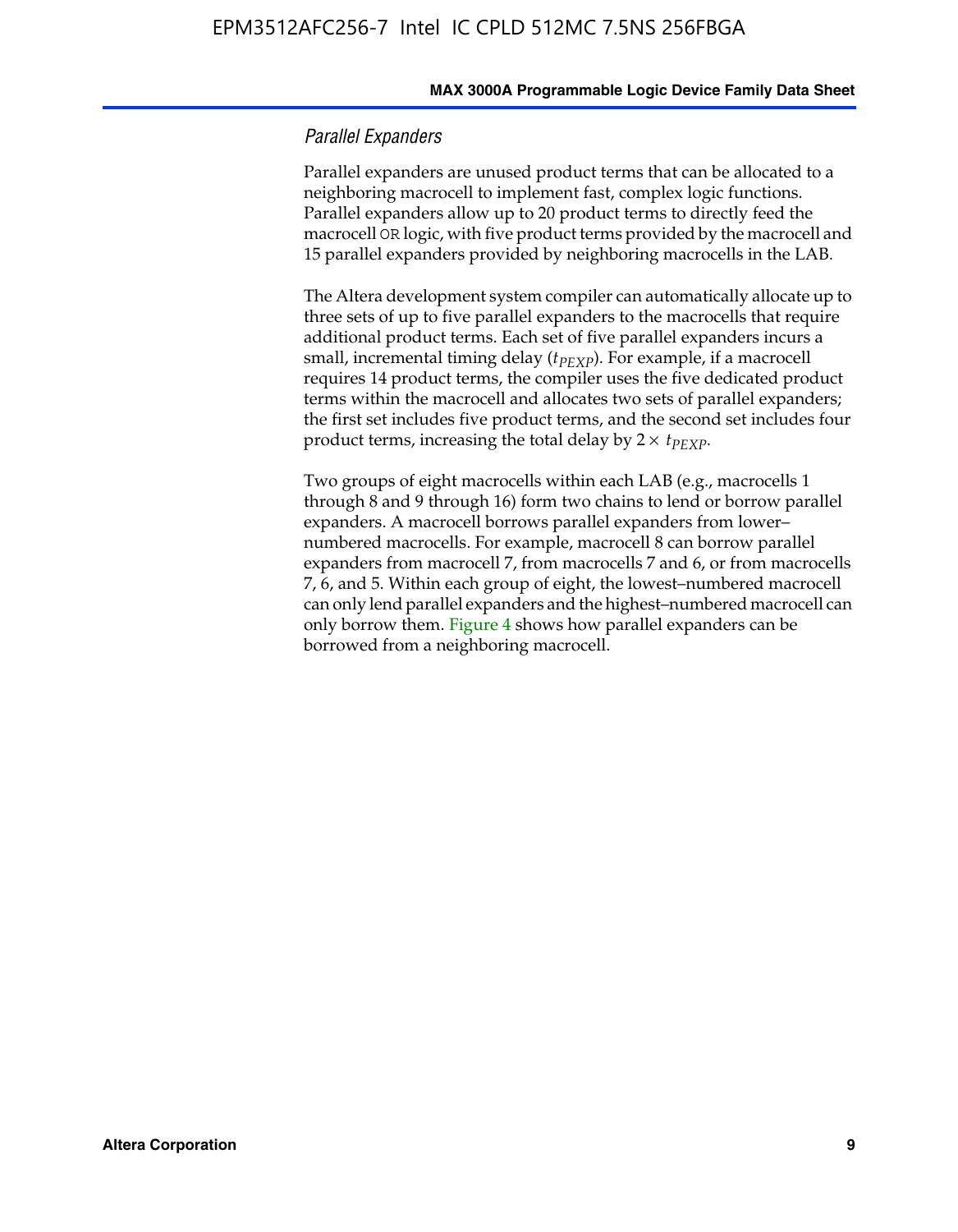#### *Parallel Expanders*

Parallel expanders are unused product terms that can be allocated to a neighboring macrocell to implement fast, complex logic functions. Parallel expanders allow up to 20 product terms to directly feed the macrocell OR logic, with five product terms provided by the macrocell and 15 parallel expanders provided by neighboring macrocells in the LAB.

The Altera development system compiler can automatically allocate up to three sets of up to five parallel expanders to the macrocells that require additional product terms. Each set of five parallel expanders incurs a small, incremental timing delay ( $t_{PEXP}$ ). For example, if a macrocell requires 14 product terms, the compiler uses the five dedicated product terms within the macrocell and allocates two sets of parallel expanders; the first set includes five product terms, and the second set includes four product terms, increasing the total delay by  $2 \times t_{PEXP}$ .

Two groups of eight macrocells within each LAB (e.g., macrocells 1 through 8 and 9 through 16) form two chains to lend or borrow parallel expanders. A macrocell borrows parallel expanders from lower– numbered macrocells. For example, macrocell 8 can borrow parallel expanders from macrocell 7, from macrocells 7 and 6, or from macrocells 7, 6, and 5. Within each group of eight, the lowest–numbered macrocell can only lend parallel expanders and the highest–numbered macrocell can only borrow them. Figure 4 shows how parallel expanders can be borrowed from a neighboring macrocell.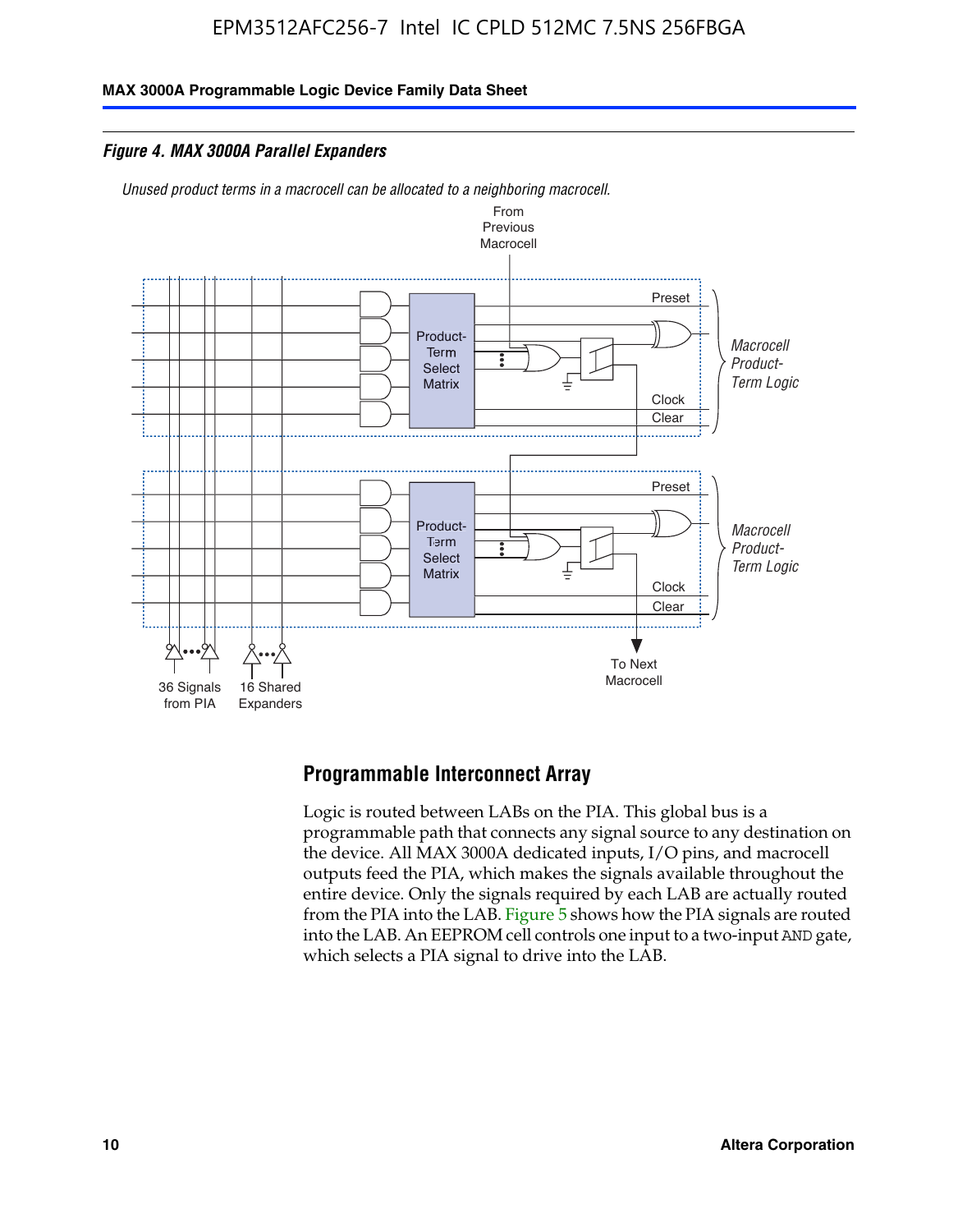**MAX 3000A Programmable Logic Device Family Data Sheet**

*Figure 4. MAX 3000A Parallel Expanders*

*Unused product terms in a macrocell can be allocated to a neighboring macrocell.*



# **Programmable Interconnect Array**

Logic is routed between LABs on the PIA. This global bus is a programmable path that connects any signal source to any destination on the device. All MAX 3000A dedicated inputs, I/O pins, and macrocell outputs feed the PIA, which makes the signals available throughout the entire device. Only the signals required by each LAB are actually routed from the PIA into the LAB. Figure 5 shows how the PIA signals are routed into the LAB. An EEPROM cell controls one input to a two-input AND gate, which selects a PIA signal to drive into the LAB.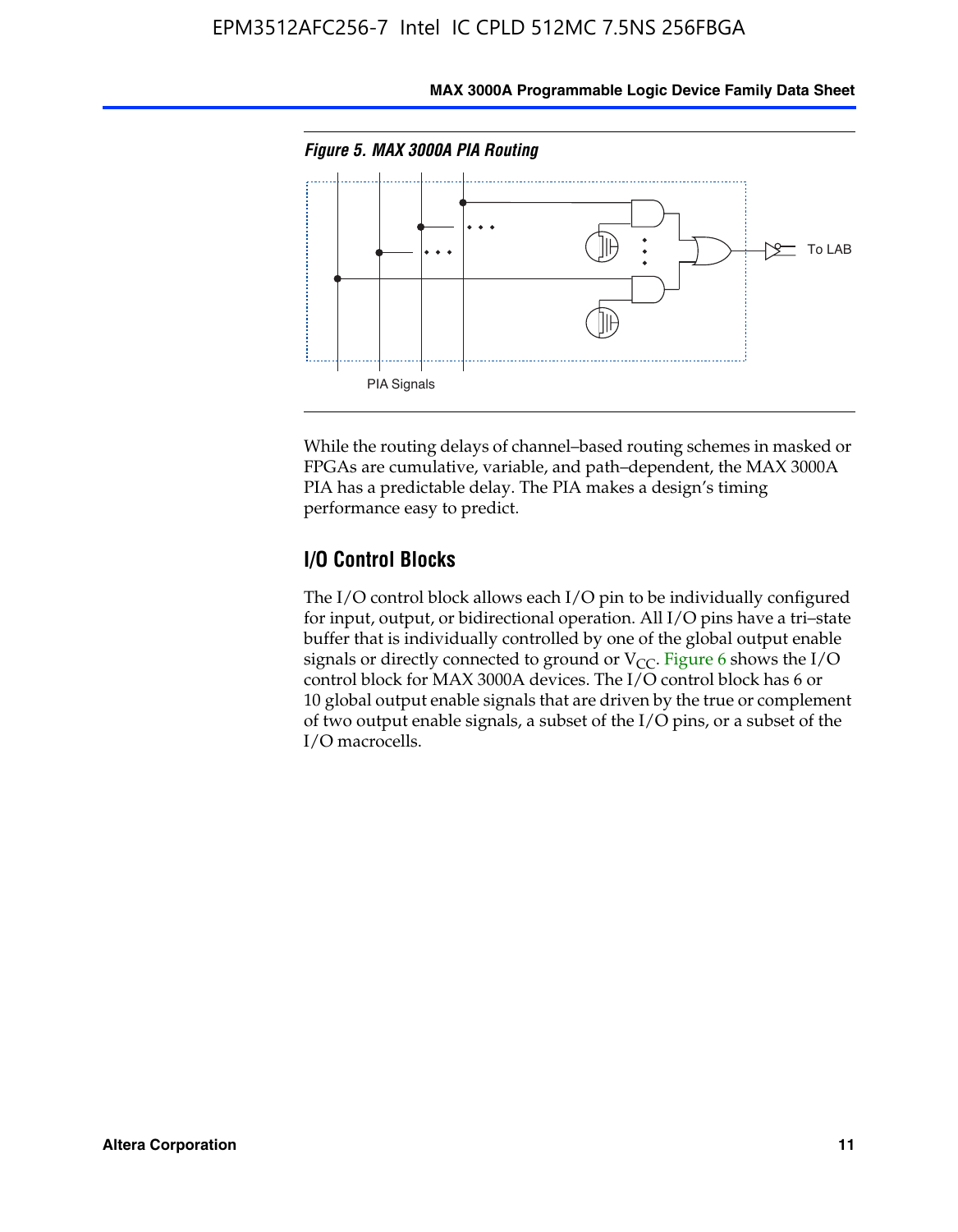

**MAX 3000A Programmable Logic Device Family Data Sheet**

While the routing delays of channel–based routing schemes in masked or FPGAs are cumulative, variable, and path–dependent, the MAX 3000A PIA has a predictable delay. The PIA makes a design's timing performance easy to predict.

### **I/O Control Blocks**

The I/O control block allows each I/O pin to be individually configured for input, output, or bidirectional operation. All I/O pins have a tri–state buffer that is individually controlled by one of the global output enable signals or directly connected to ground or  $V_{CC}$ . Figure 6 shows the I/O control block for MAX 3000A devices. The I/O control block has 6 or 10 global output enable signals that are driven by the true or complement of two output enable signals, a subset of the I/O pins, or a subset of the I/O macrocells.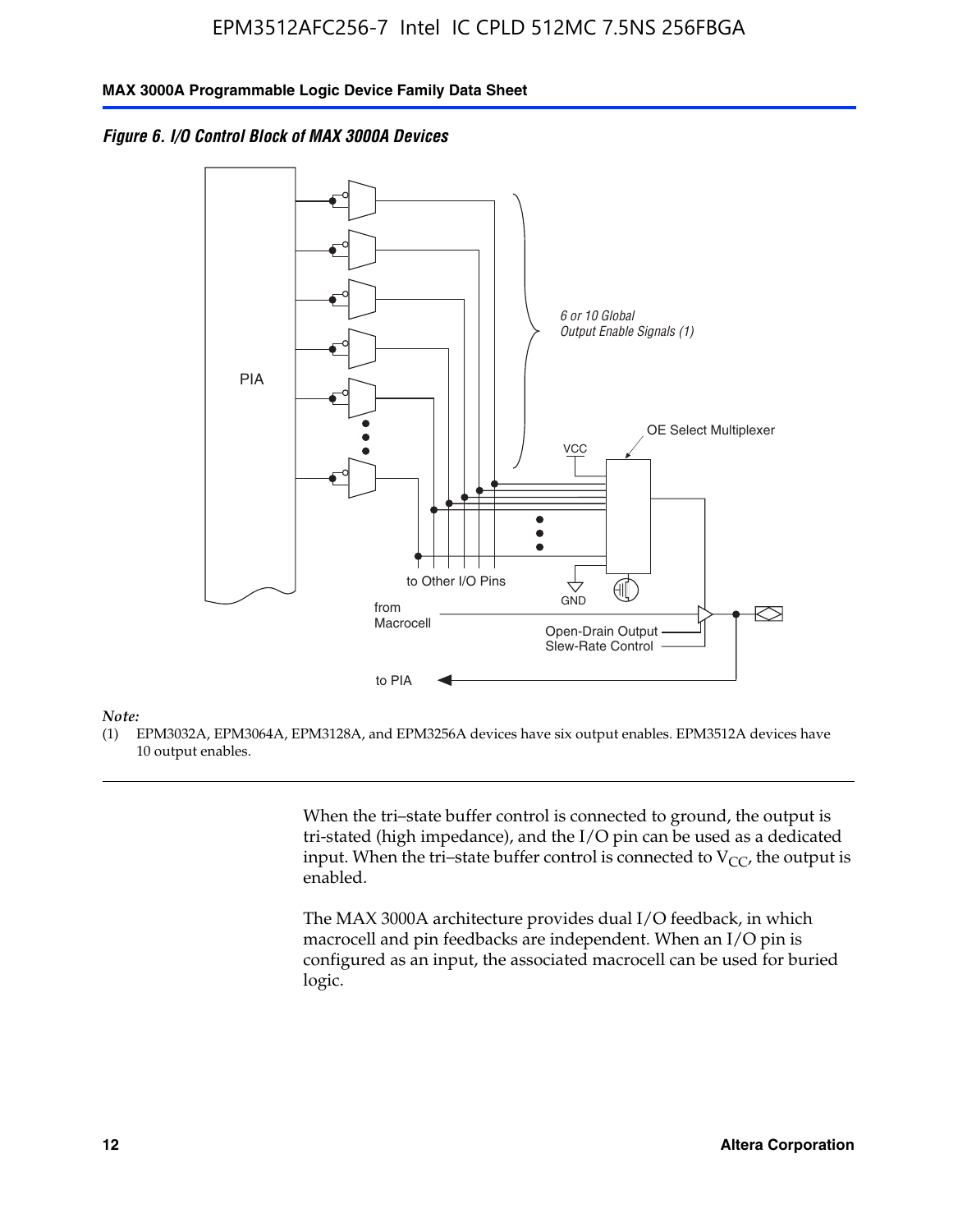*Figure 6. I/O Control Block of MAX 3000A Devices*



#### *Note:*

(1) EPM3032A, EPM3064A, EPM3128A, and EPM3256A devices have six output enables. EPM3512A devices have 10 output enables.

> When the tri–state buffer control is connected to ground, the output is tri-stated (high impedance), and the I/O pin can be used as a dedicated input. When the tri–state buffer control is connected to  $V_{CC}$ , the output is enabled.

The MAX 3000A architecture provides dual I/O feedback, in which macrocell and pin feedbacks are independent. When an I/O pin is configured as an input, the associated macrocell can be used for buried logic.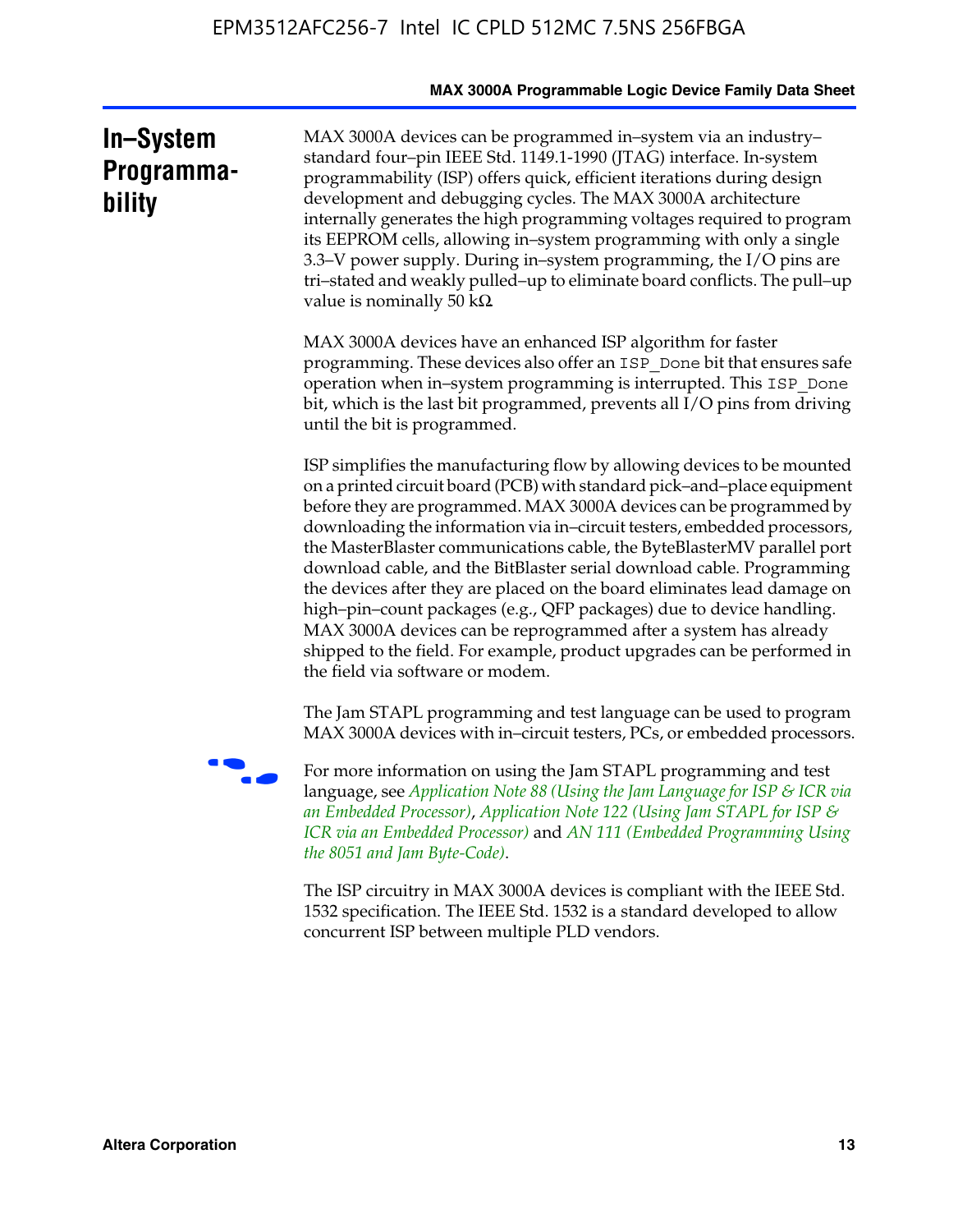|                                   | MAX 3000A Programmable Logic Device Family Data Sheet                                                                                                                                                                                                                                                                                                                                                                                                                                                                                                                                                                                                                                                                                                                                           |
|-----------------------------------|-------------------------------------------------------------------------------------------------------------------------------------------------------------------------------------------------------------------------------------------------------------------------------------------------------------------------------------------------------------------------------------------------------------------------------------------------------------------------------------------------------------------------------------------------------------------------------------------------------------------------------------------------------------------------------------------------------------------------------------------------------------------------------------------------|
| In-System<br>Programma-<br>bility | MAX 3000A devices can be programmed in-system via an industry-<br>standard four-pin IEEE Std. 1149.1-1990 (JTAG) interface. In-system<br>programmability (ISP) offers quick, efficient iterations during design<br>development and debugging cycles. The MAX 3000A architecture<br>internally generates the high programming voltages required to program<br>its EEPROM cells, allowing in-system programming with only a single<br>3.3–V power supply. During in–system programming, the I/O pins are<br>tri-stated and weakly pulled-up to eliminate board conflicts. The pull-up<br>value is nominally 50 $k\Omega$                                                                                                                                                                          |
|                                   | MAX 3000A devices have an enhanced ISP algorithm for faster<br>programming. These devices also offer an ISP_Done bit that ensures safe<br>operation when in-system programming is interrupted. This ISP_Done<br>bit, which is the last bit programmed, prevents all I/O pins from driving<br>until the bit is programmed.                                                                                                                                                                                                                                                                                                                                                                                                                                                                       |
|                                   | ISP simplifies the manufacturing flow by allowing devices to be mounted<br>on a printed circuit board (PCB) with standard pick-and-place equipment<br>before they are programmed. MAX 3000A devices can be programmed by<br>downloading the information via in-circuit testers, embedded processors,<br>the MasterBlaster communications cable, the ByteBlasterMV parallel port<br>download cable, and the BitBlaster serial download cable. Programming<br>the devices after they are placed on the board eliminates lead damage on<br>high-pin-count packages (e.g., QFP packages) due to device handling.<br>MAX 3000A devices can be reprogrammed after a system has already<br>shipped to the field. For example, product upgrades can be performed in<br>the field via software or modem. |
|                                   | The Jam STAPL programming and test language can be used to program<br>MAX 3000A devices with in–circuit testers, PCs, or embedded processors.                                                                                                                                                                                                                                                                                                                                                                                                                                                                                                                                                                                                                                                   |
|                                   | For more information on using the Jam STAPL programming and test<br>language, see Application Note 88 (Using the Jam Language for ISP & ICR via<br>an Embedded Processor), Application Note 122 (Using Jam STAPL for ISP &<br>ICR via an Embedded Processor) and AN 111 (Embedded Programming Using<br>the 8051 and Jam Byte-Code).                                                                                                                                                                                                                                                                                                                                                                                                                                                             |
|                                   | The ISP circuitry in MAX 3000A devices is compliant with the IEEE Std.<br>1532 specification. The IEEE Std. 1532 is a standard developed to allow<br>concurrent ISP between multiple PLD vendors.                                                                                                                                                                                                                                                                                                                                                                                                                                                                                                                                                                                               |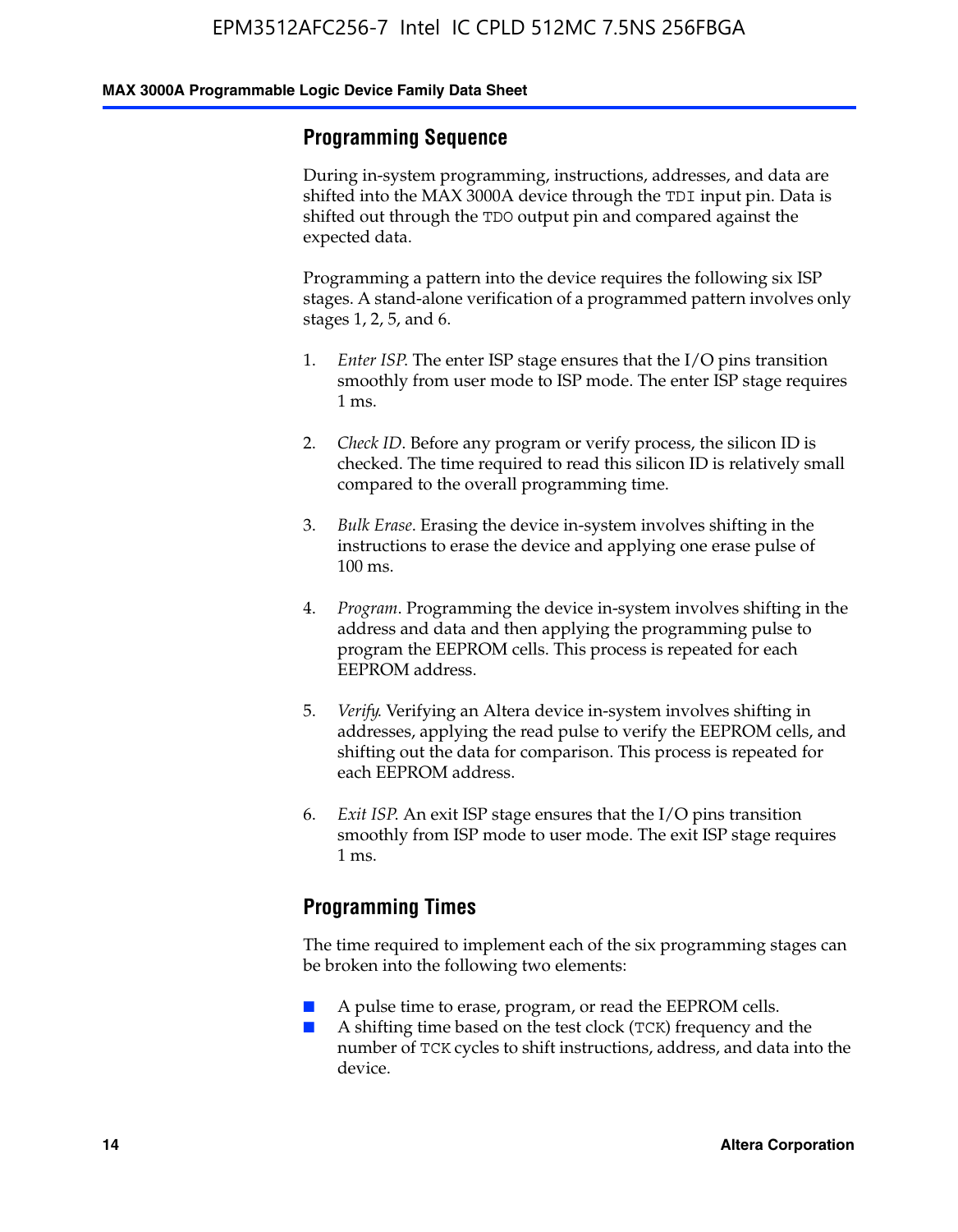#### **Programming Sequence**

During in-system programming, instructions, addresses, and data are shifted into the MAX 3000A device through the TDI input pin. Data is shifted out through the TDO output pin and compared against the expected data.

Programming a pattern into the device requires the following six ISP stages. A stand-alone verification of a programmed pattern involves only stages 1, 2, 5, and 6.

- 1. *Enter ISP*. The enter ISP stage ensures that the I/O pins transition smoothly from user mode to ISP mode. The enter ISP stage requires 1 ms.
- 2. *Check ID*. Before any program or verify process, the silicon ID is checked. The time required to read this silicon ID is relatively small compared to the overall programming time.
- 3. *Bulk Erase*. Erasing the device in-system involves shifting in the instructions to erase the device and applying one erase pulse of 100 ms.
- 4. *Program*. Programming the device in-system involves shifting in the address and data and then applying the programming pulse to program the EEPROM cells. This process is repeated for each EEPROM address.
- 5. *Verify*. Verifying an Altera device in-system involves shifting in addresses, applying the read pulse to verify the EEPROM cells, and shifting out the data for comparison. This process is repeated for each EEPROM address.
- 6. *Exit ISP*. An exit ISP stage ensures that the I/O pins transition smoothly from ISP mode to user mode. The exit ISP stage requires 1 ms.

#### **Programming Times**

The time required to implement each of the six programming stages can be broken into the following two elements:

- A pulse time to erase, program, or read the EEPROM cells.
- A shifting time based on the test clock (TCK) frequency and the number of TCK cycles to shift instructions, address, and data into the device.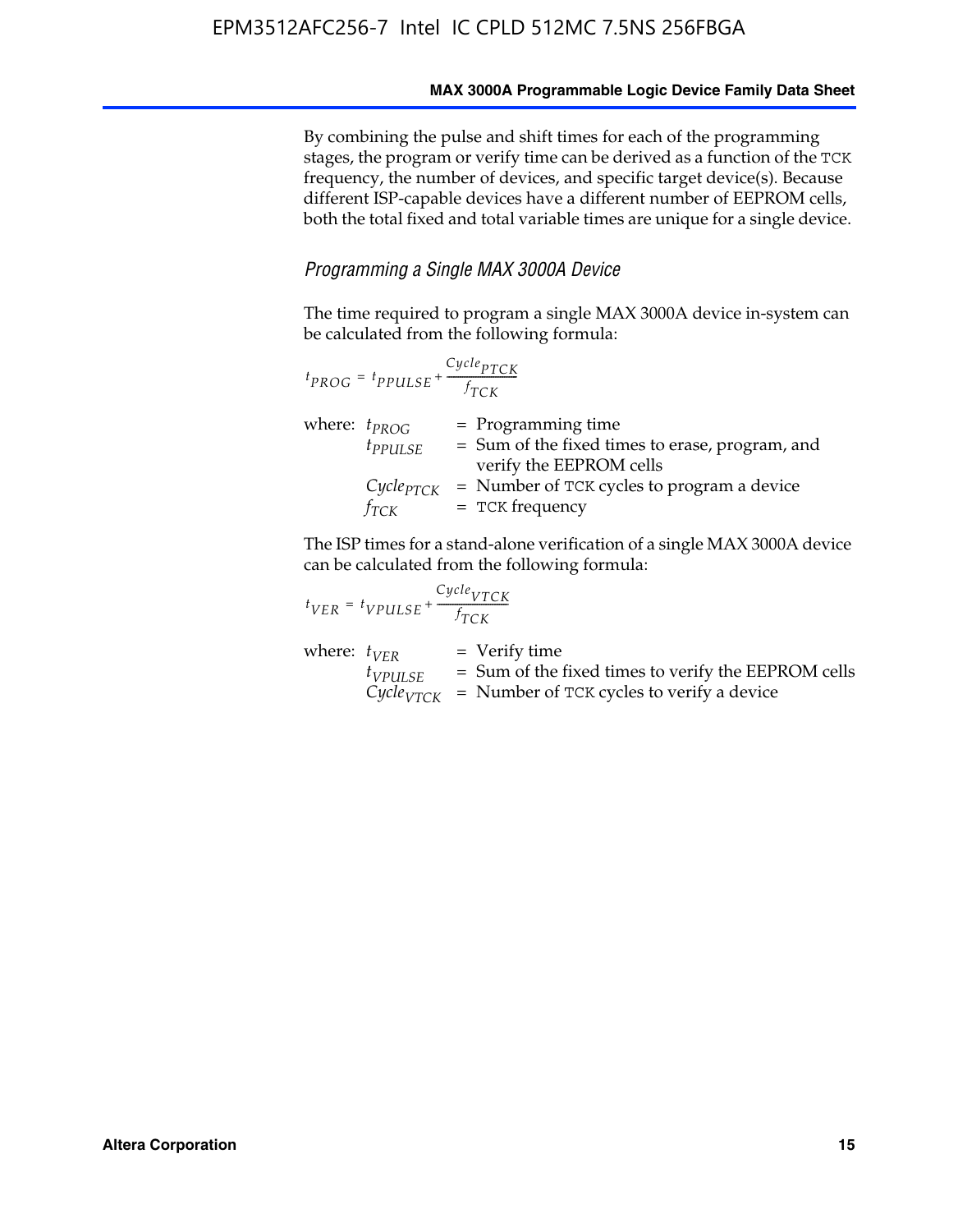By combining the pulse and shift times for each of the programming stages, the program or verify time can be derived as a function of the TCK frequency, the number of devices, and specific target device(s). Because different ISP-capable devices have a different number of EEPROM cells, both the total fixed and total variable times are unique for a single device.

#### *Programming a Single MAX 3000A Device*

The time required to program a single MAX 3000A device in-system can be calculated from the following formula:

|                   | $t_{PROG} = t_{PPULSE} + \frac{Cycle_{PTCK}}{f_{TCK}}$ |                                                                                                      |
|-------------------|--------------------------------------------------------|------------------------------------------------------------------------------------------------------|
| where: $t_{PROG}$ | $t_{PPULSE}$                                           | $=$ Programming time<br>$=$ Sum of the fixed times to erase, program, and<br>verify the EEPROM cells |
|                   | $Cycle_{PTCK}$<br>$f_{TCK}$                            | = Number of TCK cycles to program a device<br>$=$ TCK frequency                                      |

The ISP times for a stand-alone verification of a single MAX 3000A device can be calculated from the following formula:

| $t_{VER} = t_{VPULSE} + \frac{t_{TCK}}{f_{TCK}}$ | $Cycle_{VTCK}$                                                                                                                    |
|--------------------------------------------------|-----------------------------------------------------------------------------------------------------------------------------------|
| where: $t_{VFR}$<br>$t_{VPULSE}$                 | $=$ Verify time<br>$=$ Sum of the fixed times to verify the EEPROM cells<br>$CycleVTCK$ = Number of TCK cycles to verify a device |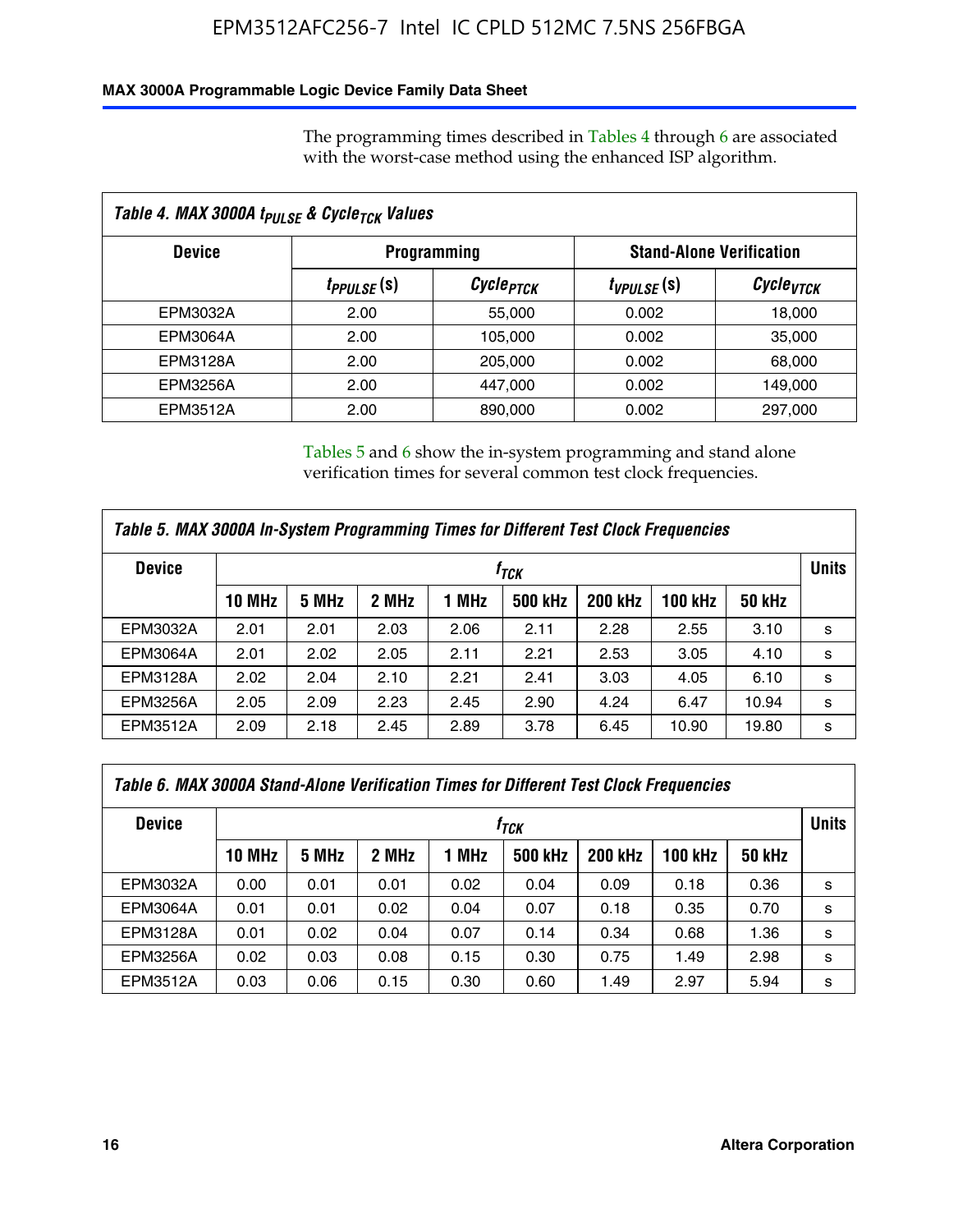#### **MAX 3000A Programmable Logic Device Family Data Sheet**

The programming times described in Tables 4 through 6 are associated with the worst-case method using the enhanced ISP algorithm.

| Table 4. MAX 3000A t <sub>PULSE</sub> & Cycle <sub>TCK</sub> Values |                               |                                                       |                 |                       |  |  |
|---------------------------------------------------------------------|-------------------------------|-------------------------------------------------------|-----------------|-----------------------|--|--|
| <b>Device</b>                                                       |                               | <b>Stand-Alone Verification</b><br><b>Programming</b> |                 |                       |  |  |
|                                                                     | <i>t<sub>PPULSE</sub></i> (s) | Cycle <sub>PTCK</sub>                                 | $t_{VPULSE}(s)$ | Cycle <sub>vTCK</sub> |  |  |
| EPM3032A                                                            | 2.00                          | 55,000                                                | 0.002           | 18,000                |  |  |
| EPM3064A                                                            | 2.00                          | 105,000                                               | 0.002           | 35,000                |  |  |
| EPM3128A                                                            | 2.00                          | 205,000                                               | 0.002           | 68,000                |  |  |
| EPM3256A                                                            | 2.00                          | 447.000                                               | 0.002           | 149,000               |  |  |
| <b>EPM3512A</b>                                                     | 2.00                          | 890,000                                               | 0.002           | 297,000               |  |  |

Tables 5 and 6 show the in-system programming and stand alone verification times for several common test clock frequencies.

| Table 5. MAX 3000A In-System Programming Times for Different Test Clock Frequencies |               |       |       |       |                |                |              |               |   |
|-------------------------------------------------------------------------------------|---------------|-------|-------|-------|----------------|----------------|--------------|---------------|---|
| <b>Device</b>                                                                       | $f_{TCK}$     |       |       |       |                |                | <b>Units</b> |               |   |
|                                                                                     | <b>10 MHz</b> | 5 MHz | 2 MHz | 1 MHz | <b>500 kHz</b> | <b>200 kHz</b> | 100 kHz      | <b>50 kHz</b> |   |
| EPM3032A                                                                            | 2.01          | 2.01  | 2.03  | 2.06  | 2.11           | 2.28           | 2.55         | 3.10          | s |
| <b>EPM3064A</b>                                                                     | 2.01          | 2.02  | 2.05  | 2.11  | 2.21           | 2.53           | 3.05         | 4.10          | s |
| <b>EPM3128A</b>                                                                     | 2.02          | 2.04  | 2.10  | 2.21  | 2.41           | 3.03           | 4.05         | 6.10          | s |
| <b>EPM3256A</b>                                                                     | 2.05          | 2.09  | 2.23  | 2.45  | 2.90           | 4.24           | 6.47         | 10.94         | s |
| EPM3512A                                                                            | 2.09          | 2.18  | 2.45  | 2.89  | 3.78           | 6.45           | 10.90        | 19.80         | s |

| Table 6. MAX 3000A Stand-Alone Verification Times for Different Test Clock Frequencies |               |       |       |       |                |                |                |               |   |
|----------------------------------------------------------------------------------------|---------------|-------|-------|-------|----------------|----------------|----------------|---------------|---|
| <b>Device</b>                                                                          | $f_{TCK}$     |       |       |       |                |                |                | <b>Units</b>  |   |
|                                                                                        | <b>10 MHz</b> | 5 MHz | 2 MHz | 1 MHz | <b>500 kHz</b> | <b>200 kHz</b> | <b>100 kHz</b> | <b>50 kHz</b> |   |
| EPM3032A                                                                               | 0.00          | 0.01  | 0.01  | 0.02  | 0.04           | 0.09           | 0.18           | 0.36          | s |
| <b>EPM3064A</b>                                                                        | 0.01          | 0.01  | 0.02  | 0.04  | 0.07           | 0.18           | 0.35           | 0.70          | s |
| EPM3128A                                                                               | 0.01          | 0.02  | 0.04  | 0.07  | 0.14           | 0.34           | 0.68           | 1.36          | s |
| <b>EPM3256A</b>                                                                        | 0.02          | 0.03  | 0.08  | 0.15  | 0.30           | 0.75           | 1.49           | 2.98          | s |
| EPM3512A                                                                               | 0.03          | 0.06  | 0.15  | 0.30  | 0.60           | 1.49           | 2.97           | 5.94          | s |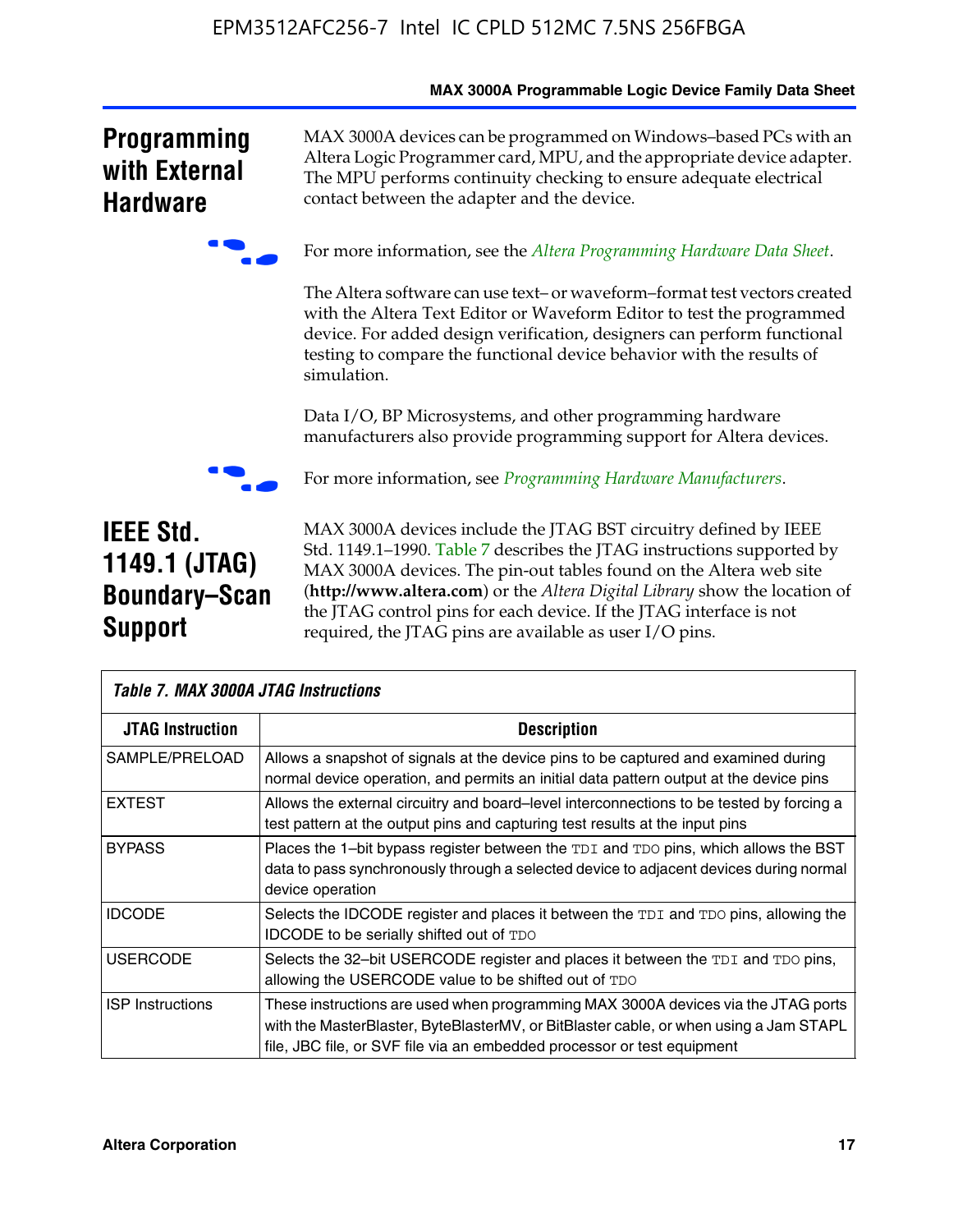|                                                                             | MAX 3000A Programmable Logic Device Family Data Sheet                                                                                                                                                                                                                                                                                                                                                                            |
|-----------------------------------------------------------------------------|----------------------------------------------------------------------------------------------------------------------------------------------------------------------------------------------------------------------------------------------------------------------------------------------------------------------------------------------------------------------------------------------------------------------------------|
| <b>Programming</b><br>with External<br><b>Hardware</b>                      | MAX 3000A devices can be programmed on Windows-based PCs with an<br>Altera Logic Programmer card, MPU, and the appropriate device adapter.<br>The MPU performs continuity checking to ensure adequate electrical<br>contact between the adapter and the device.                                                                                                                                                                  |
|                                                                             | For more information, see the Altera Programming Hardware Data Sheet.                                                                                                                                                                                                                                                                                                                                                            |
|                                                                             | The Altera software can use text- or waveform-format test vectors created<br>with the Altera Text Editor or Waveform Editor to test the programmed<br>device. For added design verification, designers can perform functional<br>testing to compare the functional device behavior with the results of<br>simulation.                                                                                                            |
|                                                                             | Data I/O, BP Microsystems, and other programming hardware<br>manufacturers also provide programming support for Altera devices.                                                                                                                                                                                                                                                                                                  |
|                                                                             | For more information, see <i>Programming Hardware Manufacturers</i> .                                                                                                                                                                                                                                                                                                                                                            |
| <b>IEEE Std.</b><br>1149.1 (JTAG)<br><b>Boundary-Scan</b><br><b>Support</b> | MAX 3000A devices include the JTAG BST circuitry defined by IEEE<br>Std. 1149.1-1990. Table 7 describes the JTAG instructions supported by<br>MAX 3000A devices. The pin-out tables found on the Altera web site<br>(http://www.altera.com) or the Altera Digital Library show the location of<br>the JTAG control pins for each device. If the JTAG interface is not<br>required, the JTAG pins are available as user I/O pins. |

| <b>Table 7. MAX 3000A JTAG Instructions</b> |                                                                                                                                                                                                                                                       |  |  |  |  |  |
|---------------------------------------------|-------------------------------------------------------------------------------------------------------------------------------------------------------------------------------------------------------------------------------------------------------|--|--|--|--|--|
| <b>JTAG Instruction</b>                     | <b>Description</b>                                                                                                                                                                                                                                    |  |  |  |  |  |
| SAMPLE/PRELOAD                              | Allows a snapshot of signals at the device pins to be captured and examined during<br>normal device operation, and permits an initial data pattern output at the device pins                                                                          |  |  |  |  |  |
| <b>EXTEST</b>                               | Allows the external circuitry and board–level interconnections to be tested by forcing a<br>test pattern at the output pins and capturing test results at the input pins                                                                              |  |  |  |  |  |
| <b>BYPASS</b>                               | Places the 1-bit bypass register between the TDI and TDO pins, which allows the BST<br>data to pass synchronously through a selected device to adjacent devices during normal<br>device operation                                                     |  |  |  |  |  |
| <b>IDCODE</b>                               | Selects the IDCODE register and places it between the TDI and TDO pins, allowing the<br><b>IDCODE</b> to be serially shifted out of TDO                                                                                                               |  |  |  |  |  |
| <b>USERCODE</b>                             | Selects the 32-bit USERCODE register and places it between the TDI and TDO pins,<br>allowing the USERCODE value to be shifted out of TDO                                                                                                              |  |  |  |  |  |
| <b>ISP</b> Instructions                     | These instructions are used when programming MAX 3000A devices via the JTAG ports<br>with the MasterBlaster, ByteBlasterMV, or BitBlaster cable, or when using a Jam STAPL<br>file, JBC file, or SVF file via an embedded processor or test equipment |  |  |  |  |  |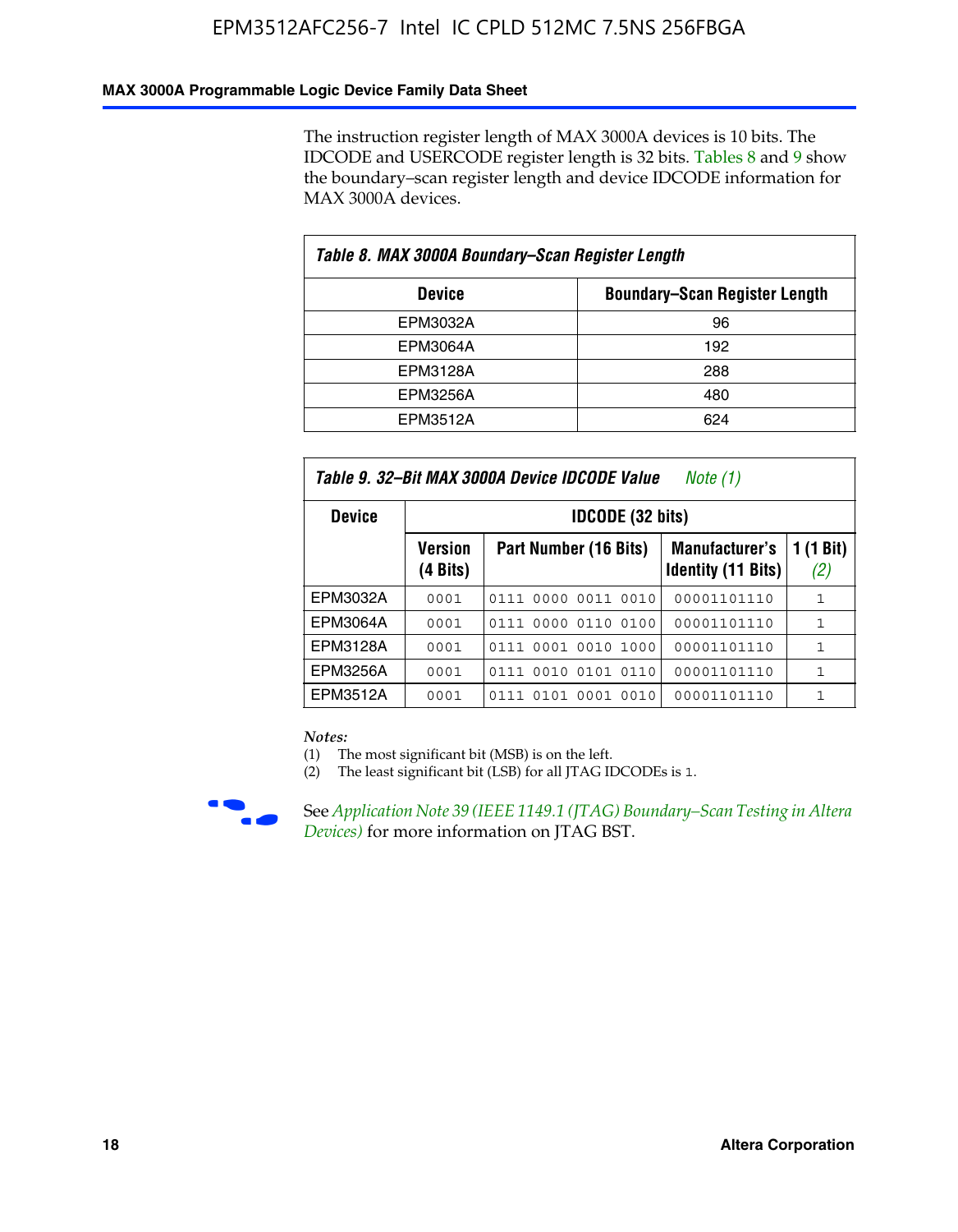#### **MAX 3000A Programmable Logic Device Family Data Sheet**

The instruction register length of MAX 3000A devices is 10 bits. The IDCODE and USERCODE register length is 32 bits. Tables 8 and 9 show the boundary–scan register length and device IDCODE information for MAX 3000A devices.

| Table 8. MAX 3000A Boundary–Scan Register Length |                                      |  |  |  |  |  |
|--------------------------------------------------|--------------------------------------|--|--|--|--|--|
| <b>Device</b>                                    | <b>Boundary-Scan Register Length</b> |  |  |  |  |  |
| EPM3032A                                         | 96                                   |  |  |  |  |  |
| EPM3064A                                         | 192                                  |  |  |  |  |  |
| EPM3128A                                         | 288                                  |  |  |  |  |  |
| EPM3256A                                         | 480                                  |  |  |  |  |  |
| EPM3512A                                         | 624                                  |  |  |  |  |  |

| Table 9. 32–Bit MAX 3000A Device IDCODE Value<br>Note (1) |                     |                                                                                                 |             |              |  |  |  |  |  |  |
|-----------------------------------------------------------|---------------------|-------------------------------------------------------------------------------------------------|-------------|--------------|--|--|--|--|--|--|
| <b>Device</b>                                             |                     | <b>IDCODE (32 bits)</b>                                                                         |             |              |  |  |  |  |  |  |
|                                                           | Version<br>(4 Bits) | 1 (1 Bit)<br>Part Number (16 Bits)<br><b>Manufacturer's</b><br><b>Identity (11 Bits)</b><br>(2) |             |              |  |  |  |  |  |  |
| EPM3032A                                                  | 0001                | 0111 0000 0011 0010                                                                             | 00001101110 | $\mathbf{1}$ |  |  |  |  |  |  |
| EPM3064A                                                  | 0001                | 0111 0000 0110 0100                                                                             | 00001101110 | 1            |  |  |  |  |  |  |
| EPM3128A                                                  | 0001                | 0001 0010<br>1000<br>0111                                                                       | 00001101110 | $\mathbf{1}$ |  |  |  |  |  |  |
| EPM3256A                                                  | 0001                | 0111 0010 0101 0110                                                                             | 00001101110 | $\mathbf{1}$ |  |  |  |  |  |  |
| EPM3512A                                                  | 0001                | 0111 0101 0001 0010                                                                             | 00001101110 | 1            |  |  |  |  |  |  |

#### *Notes:*

(1) The most significant bit (MSB) is on the left.

(2) The least significant bit (LSB) for all JTAG IDCODEs is 1.



**F See Application Note 39 (IEEE 1149.1 (JTAG) Boundary–Scan Testing in Altera** *Devices)* for more information on JTAG BST.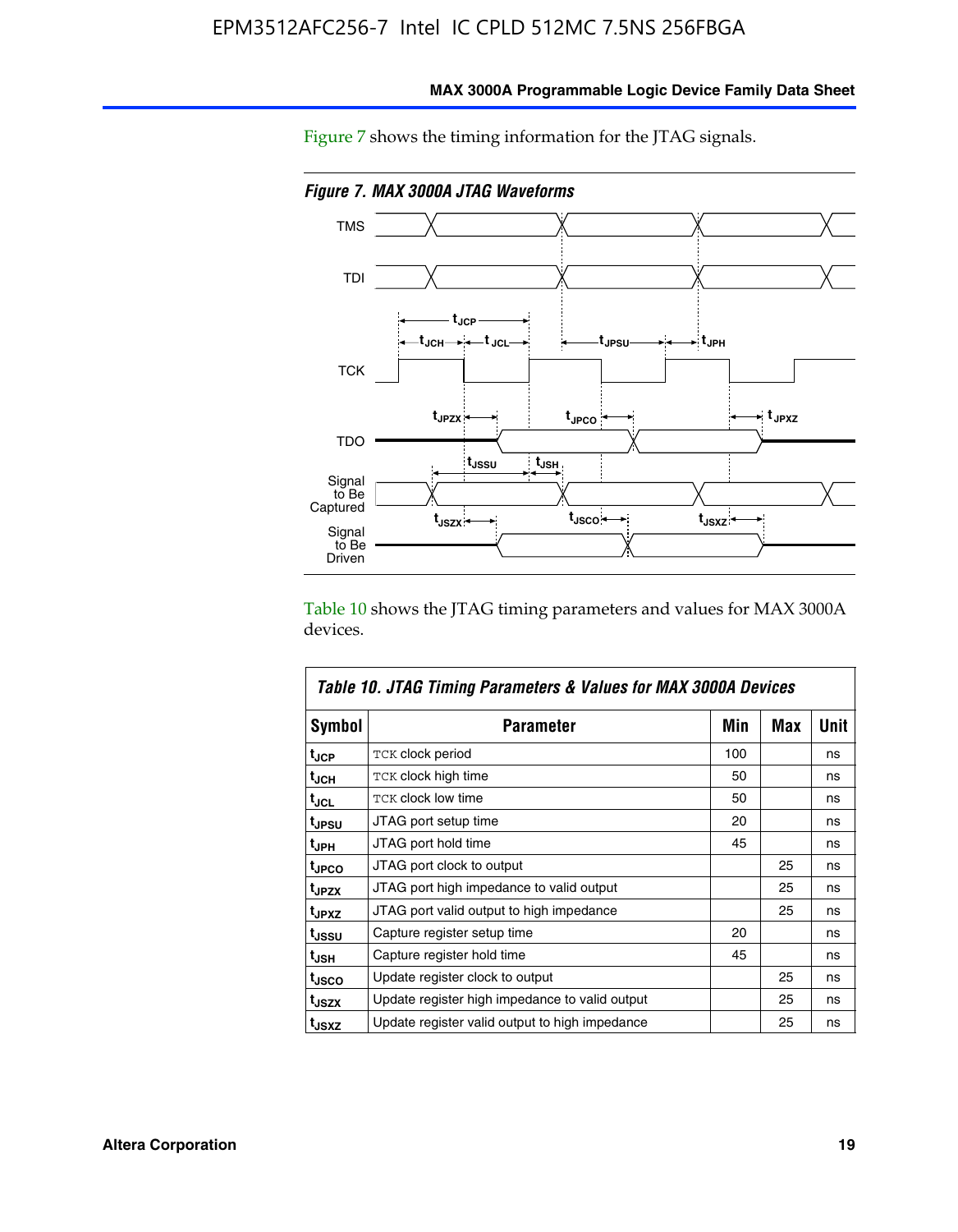

**MAX 3000A Programmable Logic Device Family Data Sheet**

Figure 7 shows the timing information for the JTAG signals.

Table 10 shows the JTAG timing parameters and values for MAX 3000A devices.

|                   | Table 10. JTAG Timing Parameters & Values for MAX 3000A Devices |     |     |             |
|-------------------|-----------------------------------------------------------------|-----|-----|-------------|
| <b>Symbol</b>     | <b>Parameter</b>                                                | Min | Max | <b>Unit</b> |
| t <sub>JCP</sub>  | <b>TCK clock period</b>                                         | 100 |     | ns          |
| t <sub>JCH</sub>  | TCK clock high time                                             | 50  |     | ns          |
| t <sub>JCL</sub>  | <b>TCK clock low time</b>                                       | 50  |     | ns          |
| t <sub>JPSU</sub> | JTAG port setup time                                            | 20  |     | ns          |
| t <sub>JPH</sub>  | JTAG port hold time                                             | 45  |     | ns          |
| <sup>t</sup> JPCO | JTAG port clock to output                                       |     | 25  | ns          |
| t <sub>JPZX</sub> | JTAG port high impedance to valid output                        |     | 25  | ns          |
| t <sub>JPXZ</sub> | JTAG port valid output to high impedance                        |     | 25  | ns          |
| tussu             | Capture register setup time                                     | 20  |     | ns          |
| t <sub>JSH</sub>  | Capture register hold time                                      | 45  |     | ns          |
| t <sub>JSCO</sub> | Update register clock to output                                 |     | 25  | ns          |
| t <sub>JSZX</sub> | Update register high impedance to valid output                  |     | 25  | ns          |
| t <sub>JSXZ</sub> | Update register valid output to high impedance                  |     | 25  | ns          |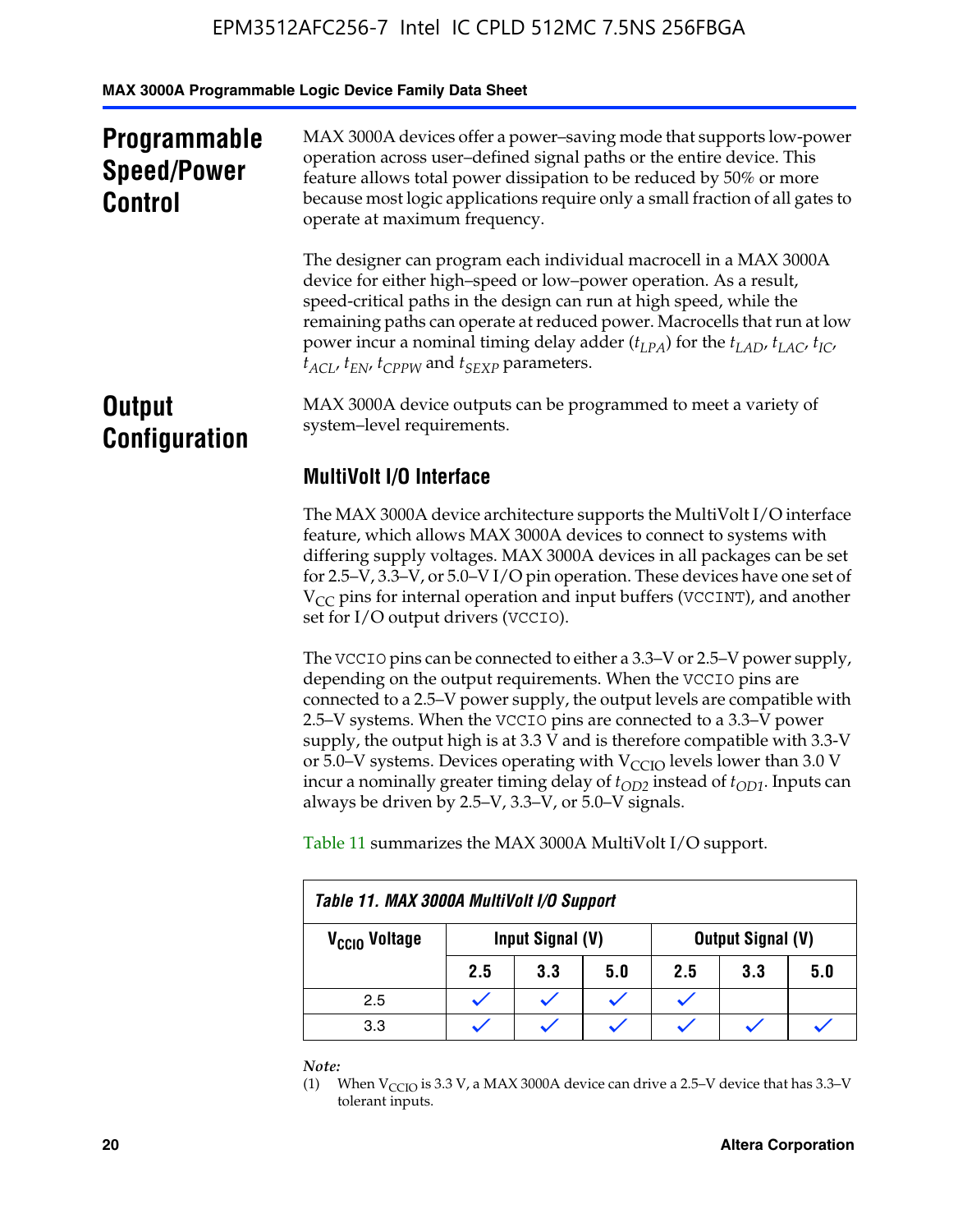**MAX 3000A Programmable Logic Device Family Data Sheet**

| <b>Programmable</b><br><b>Speed/Power</b><br><b>Control</b> | MAX 3000A devices offer a power-saving mode that supports low-power<br>operation across user-defined signal paths or the entire device. This<br>feature allows total power dissipation to be reduced by 50% or more<br>because most logic applications require only a small fraction of all gates to<br>operate at maximum frequency.                                                                                                                        |  |  |  |
|-------------------------------------------------------------|--------------------------------------------------------------------------------------------------------------------------------------------------------------------------------------------------------------------------------------------------------------------------------------------------------------------------------------------------------------------------------------------------------------------------------------------------------------|--|--|--|
|                                                             | The designer can program each individual macrocell in a MAX 3000A<br>device for either high–speed or low–power operation. As a result,<br>speed-critical paths in the design can run at high speed, while the<br>remaining paths can operate at reduced power. Macrocells that run at low<br>power incur a nominal timing delay adder $(t_{LPA})$ for the $t_{LAD}$ , $t_{LAC}$ , $t_{IC}$ ,<br>$t_{ACL}$ , $t_{EN}$ , $t_{CPPW}$ and $t_{SEXP}$ parameters. |  |  |  |
| <b>Output</b><br><b>Configuration</b>                       | MAX 3000A device outputs can be programmed to meet a variety of<br>system-level requirements.                                                                                                                                                                                                                                                                                                                                                                |  |  |  |
|                                                             | <b>MultiVolt I/O Interface</b>                                                                                                                                                                                                                                                                                                                                                                                                                               |  |  |  |
|                                                             | The MAX 3000A device architecture supports the MultiVolt I/O interface<br>feature, which allows MAX 3000A devices to connect to systems with                                                                                                                                                                                                                                                                                                                 |  |  |  |

differing supply voltages. MAX 3000A devices in all packages can be set for 2.5–V, 3.3–V, or 5.0–V I/O pin operation. These devices have one set of  $V_{CC}$  pins for internal operation and input buffers (VCCINT), and another set for I/O output drivers (VCCIO).

The VCCIO pins can be connected to either a 3.3–V or 2.5–V power supply, depending on the output requirements. When the VCCIO pins are connected to a 2.5–V power supply, the output levels are compatible with 2.5–V systems. When the VCCIO pins are connected to a 3.3–V power supply, the output high is at 3.3  $\bar{V}$  and is therefore compatible with 3.3-V or 5.0–V systems. Devices operating with  $V_{CCIO}$  levels lower than 3.0 V incur a nominally greater timing delay of  $t_{OD2}$  instead of  $t_{OD1}$ . Inputs can always be driven by 2.5–V, 3.3–V, or 5.0–V signals.

Table 11 summarizes the MAX 3000A MultiVolt I/O support.

| Table 11. MAX 3000A MultiVolt I/O Support |                                       |     |     |     |     |     |  |
|-------------------------------------------|---------------------------------------|-----|-----|-----|-----|-----|--|
| V <sub>CCIO</sub> Voltage                 | Output Signal (V)<br>Input Signal (V) |     |     |     |     |     |  |
|                                           | 2.5                                   | 3.3 | 5.0 | 2.5 | 3.3 | 5.0 |  |
| 2.5                                       |                                       |     |     |     |     |     |  |
| 3.3                                       |                                       |     |     |     |     |     |  |

*Note:*

<sup>(1)</sup> When  $V_{\text{CCIO}}$  is 3.3 V, a MAX 3000A device can drive a 2.5–V device that has 3.3–V tolerant inputs.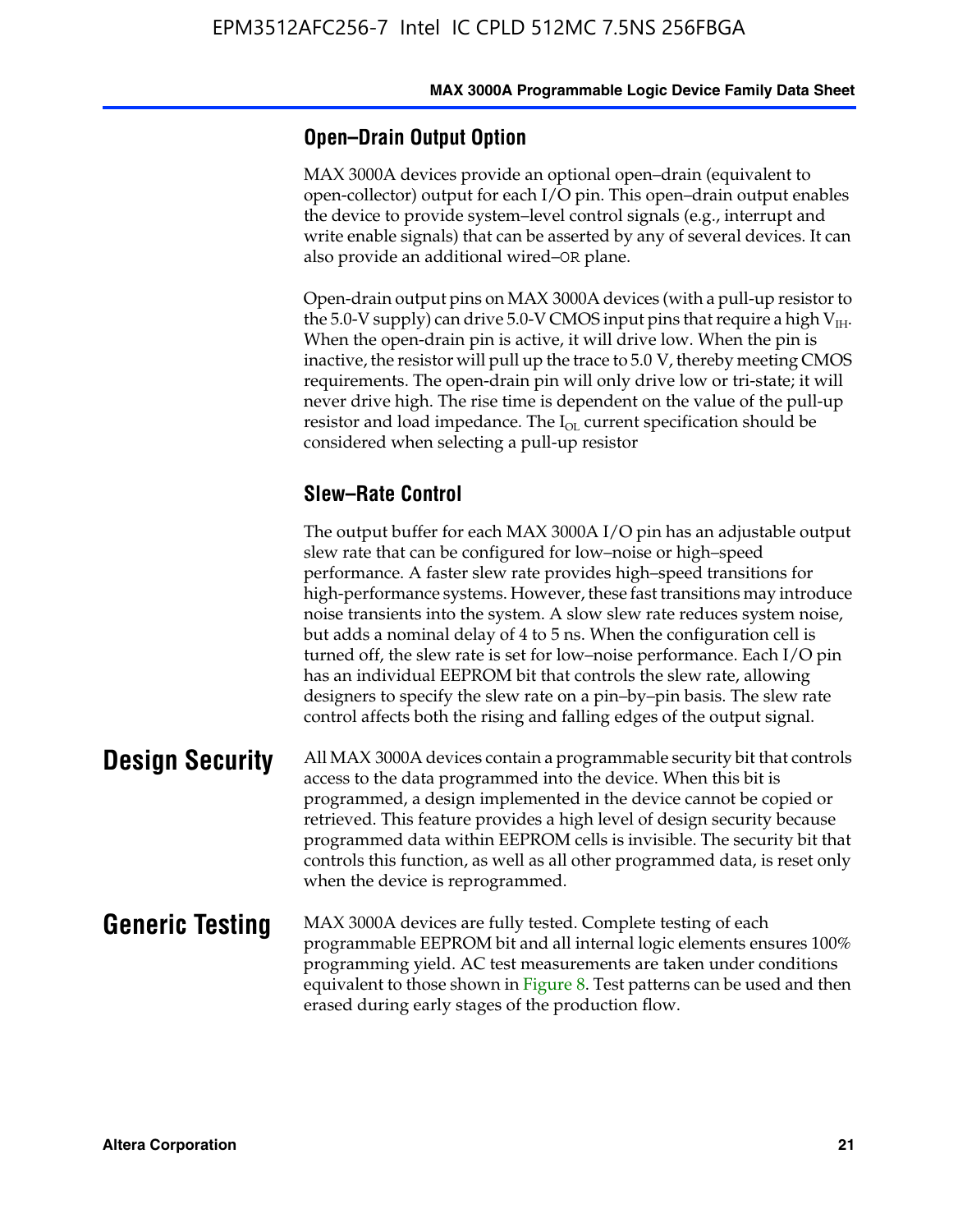#### **Open–Drain Output Option**

MAX 3000A devices provide an optional open–drain (equivalent to open-collector) output for each I/O pin. This open–drain output enables the device to provide system–level control signals (e.g., interrupt and write enable signals) that can be asserted by any of several devices. It can also provide an additional wired–OR plane.

Open-drain output pins on MAX 3000A devices (with a pull-up resistor to the 5.0-V supply) can drive 5.0-V CMOS input pins that require a high  $V_{\text{H}_{\text{H}}}$ . When the open-drain pin is active, it will drive low. When the pin is inactive, the resistor will pull up the trace to 5.0 V, thereby meeting CMOS requirements. The open-drain pin will only drive low or tri-state; it will never drive high. The rise time is dependent on the value of the pull-up resistor and load impedance. The  $I_{OL}$  current specification should be considered when selecting a pull-up resistor

#### **Slew–Rate Control**

The output buffer for each MAX 3000A I/O pin has an adjustable output slew rate that can be configured for low–noise or high–speed performance. A faster slew rate provides high–speed transitions for high-performance systems. However, these fast transitions may introduce noise transients into the system. A slow slew rate reduces system noise, but adds a nominal delay of 4 to 5 ns. When the configuration cell is turned off, the slew rate is set for low–noise performance. Each I/O pin has an individual EEPROM bit that controls the slew rate, allowing designers to specify the slew rate on a pin–by–pin basis. The slew rate control affects both the rising and falling edges of the output signal.

**Design Security** All MAX 3000A devices contain a programmable security bit that controls access to the data programmed into the device. When this bit is programmed, a design implemented in the device cannot be copied or retrieved. This feature provides a high level of design security because programmed data within EEPROM cells is invisible. The security bit that controls this function, as well as all other programmed data, is reset only when the device is reprogrammed.

#### **Generic Testing** MAX 3000A devices are fully tested. Complete testing of each programmable EEPROM bit and all internal logic elements ensures 100% programming yield. AC test measurements are taken under conditions equivalent to those shown in Figure 8. Test patterns can be used and then erased during early stages of the production flow.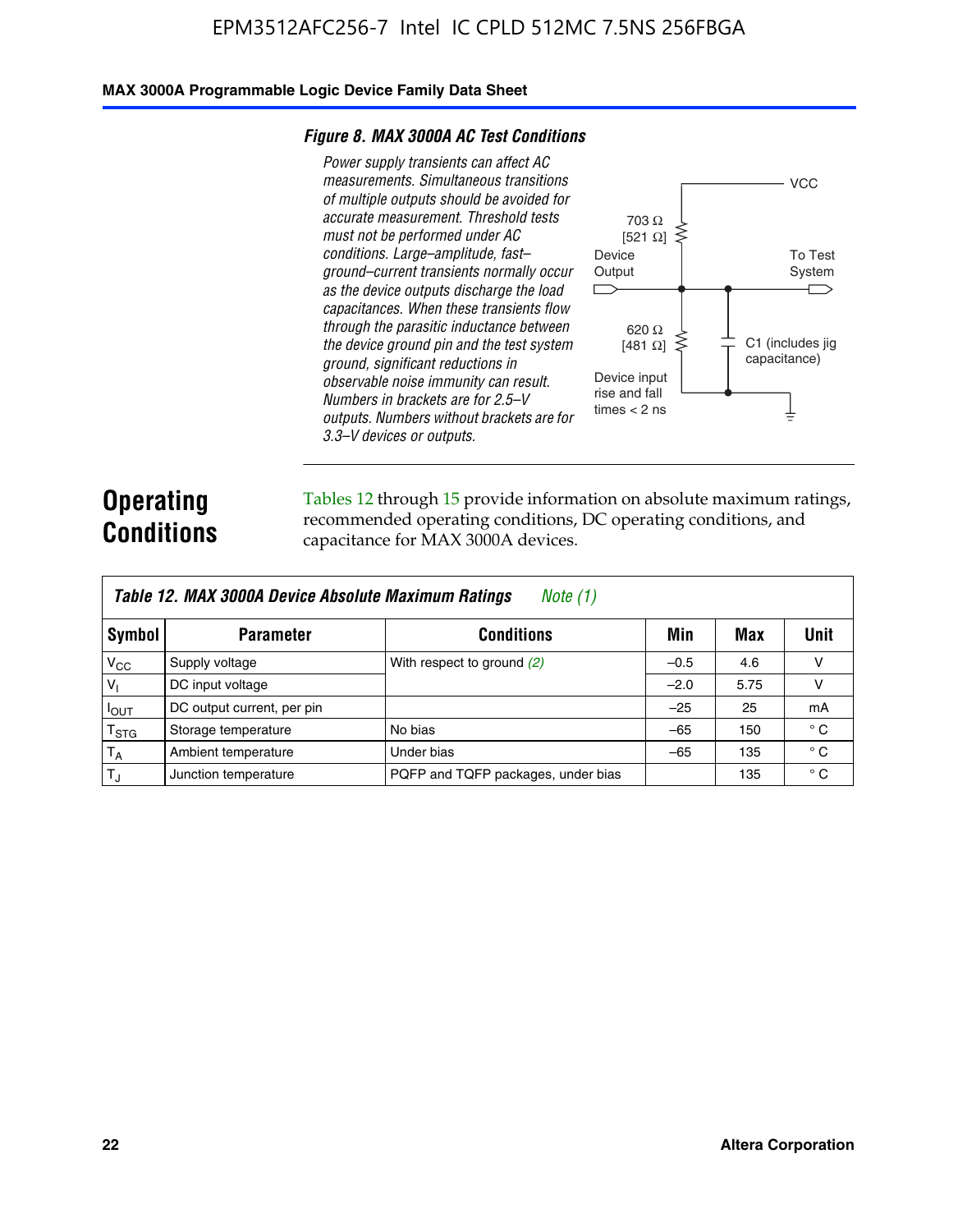#### **MAX 3000A Programmable Logic Device Family Data Sheet**

#### *Figure 8. MAX 3000A AC Test Conditions*

*Power supply transients can affect AC measurements. Simultaneous transitions of multiple outputs should be avoided for accurate measurement. Threshold tests must not be performed under AC conditions. Large–amplitude, fast– ground–current transients normally occur as the device outputs discharge the load capacitances. When these transients flow through the parasitic inductance between the device ground pin and the test system ground, significant reductions in observable noise immunity can result. Numbers in brackets are for 2.5–V outputs. Numbers without brackets are for 3.3–V devices or outputs.*



# **Operating Conditions**

Tables 12 through 15 provide information on absolute maximum ratings, recommended operating conditions, DC operating conditions, and capacitance for MAX 3000A devices.

|                 | Table 12. MAX 3000A Device Absolute Maximum Ratings<br><i>Note</i> $(1)$ |                                    |        |      |              |  |  |  |
|-----------------|--------------------------------------------------------------------------|------------------------------------|--------|------|--------------|--|--|--|
| Symbol          | <b>Parameter</b>                                                         | <b>Conditions</b>                  | Min    | Max  | Unit         |  |  |  |
| $V_{CC}$        | Supply voltage                                                           | With respect to ground (2)         | $-0.5$ | 4.6  | v            |  |  |  |
| $V_1$           | DC input voltage                                                         |                                    | $-2.0$ | 5.75 | v            |  |  |  |
| $I_{OUT}$       | DC output current, per pin                                               |                                    | $-25$  | 25   | mA           |  |  |  |
| $T_{\rm STG}$   | Storage temperature                                                      | No bias                            | $-65$  | 150  | $^{\circ}$ C |  |  |  |
| $T_A$           | Ambient temperature                                                      | Under bias                         | $-65$  | 135  | $^{\circ}$ C |  |  |  |
| IT <sub>J</sub> | Junction temperature                                                     | PQFP and TQFP packages, under bias |        | 135  | $^{\circ}$ C |  |  |  |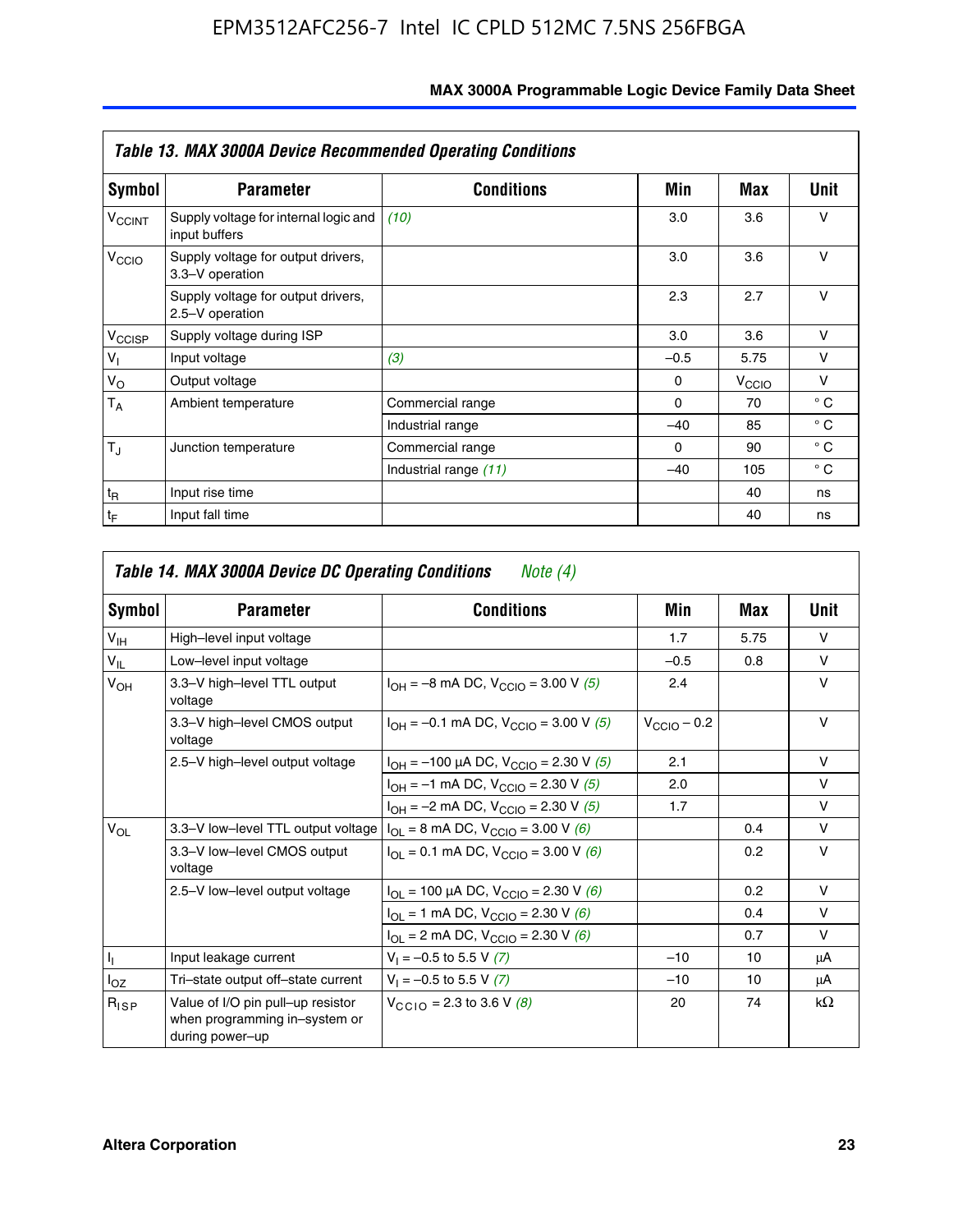| <b>Table 13. MAX 3000A Device Recommended Operating Conditions</b> |                                                        |                       |          |                   |              |  |  |
|--------------------------------------------------------------------|--------------------------------------------------------|-----------------------|----------|-------------------|--------------|--|--|
| Symbol                                                             | <b>Parameter</b>                                       | <b>Conditions</b>     | Min      | Max               | Unit         |  |  |
| $V_{\rm CCINT}$                                                    | Supply voltage for internal logic and<br>input buffers | (10)                  | 3.0      | 3.6               | $\vee$       |  |  |
| V <sub>CCIO</sub>                                                  | Supply voltage for output drivers,<br>3.3-V operation  |                       | 3.0      | 3.6               | $\vee$       |  |  |
|                                                                    | Supply voltage for output drivers,<br>2.5-V operation  |                       | 2.3      | 2.7               | v            |  |  |
| V <sub>CCISP</sub>                                                 | Supply voltage during ISP                              |                       | 3.0      | 3.6               | $\vee$       |  |  |
| $V_{\parallel}$                                                    | Input voltage                                          | (3)                   | $-0.5$   | 5.75              | v            |  |  |
| $V_{\rm O}$                                                        | Output voltage                                         |                       | $\Omega$ | V <sub>CCIO</sub> | v            |  |  |
| $T_A$                                                              | Ambient temperature                                    | Commercial range      | $\Omega$ | 70                | $^{\circ}$ C |  |  |
|                                                                    |                                                        | Industrial range      | $-40$    | 85                | $^{\circ}$ C |  |  |
| $T_{\rm J}$                                                        | Junction temperature                                   | Commercial range      | $\Omega$ | 90                | $^{\circ}$ C |  |  |
|                                                                    |                                                        | Industrial range (11) | $-40$    | 105               | $^{\circ}$ C |  |  |
| $t_{\mathsf{R}}$                                                   | Input rise time                                        |                       |          | 40                | ns           |  |  |
| $t_{\mathsf{F}}$                                                   | Input fall time                                        |                       |          | 40                | ns           |  |  |

| Symbol          | <b>Parameter</b>                                                                                | <b>Conditions</b>                                  | Min                     | Max  | Unit      |
|-----------------|-------------------------------------------------------------------------------------------------|----------------------------------------------------|-------------------------|------|-----------|
| V <sub>IH</sub> | High-level input voltage                                                                        |                                                    | 1.7                     | 5.75 | $\vee$    |
| $V_{IL}$        | Low-level input voltage                                                                         |                                                    | $-0.5$                  | 0.8  | v         |
| $V_{OH}$        | 3.3-V high-level TTL output<br>voltage                                                          | $I_{OH} = -8$ mA DC, $V_{CClO} = 3.00$ V (5)       | 2.4                     |      | $\vee$    |
|                 | 3.3-V high-level CMOS output<br>voltage                                                         | $I_{OH} = -0.1$ mA DC, $V_{CClO} = 3.00$ V (5)     | $V_{\text{CCIO}} - 0.2$ |      | v         |
|                 | $I_{OH}$ = -100 µA DC, V <sub>CCIO</sub> = 2.30 V (5)<br>2.5-V high-level output voltage        |                                                    | 2.1                     |      | v         |
|                 |                                                                                                 | $I_{OH} = -1$ mA DC, $V_{CCIO} = 2.30$ V (5)       | 2.0                     |      | $\vee$    |
|                 |                                                                                                 | $I_{OH} = -2$ mA DC, $V_{CCIO} = 2.30$ V (5)       | 1.7                     |      | v         |
| $V_{OL}$        | 3.3-V low-level TTL output voltage $ I_{OL} = 8 \text{ mA DC}$ , V <sub>CCIO</sub> = 3.00 V (6) |                                                    |                         | 0.4  | v         |
|                 | 3.3-V low-level CMOS output<br>voltage                                                          | $I_{OL} = 0.1$ mA DC, $V_{CCIO} = 3.00$ V (6)      |                         | 0.2  | $\vee$    |
|                 | 2.5-V low-level output voltage                                                                  | $I_{OL}$ = 100 µA DC, $V_{CCIO}$ = 2.30 V (6)      |                         | 0.2  | v         |
|                 |                                                                                                 | $I_{OL}$ = 1 mA DC, $V_{CCIO}$ = 2.30 V (6)        |                         | 0.4  | v         |
|                 |                                                                                                 | $I_{OL}$ = 2 mA DC, V <sub>CCIO</sub> = 2.30 V (6) |                         | 0.7  | v         |
| 4               | Input leakage current                                                                           | $V_1 = -0.5$ to 5.5 V (7)                          | $-10$                   | 10   | μA        |
| $I_{OZ}$        | Tri-state output off-state current                                                              | $V_1 = -0.5$ to 5.5 V (7)                          | $-10$                   | 10   | μA        |
| $R_{lSP}$       | Value of I/O pin pull-up resistor<br>when programming in-system or<br>during power-up           | $V_{CCD}$ = 2.3 to 3.6 V (8)                       | 20                      | 74   | $k\Omega$ |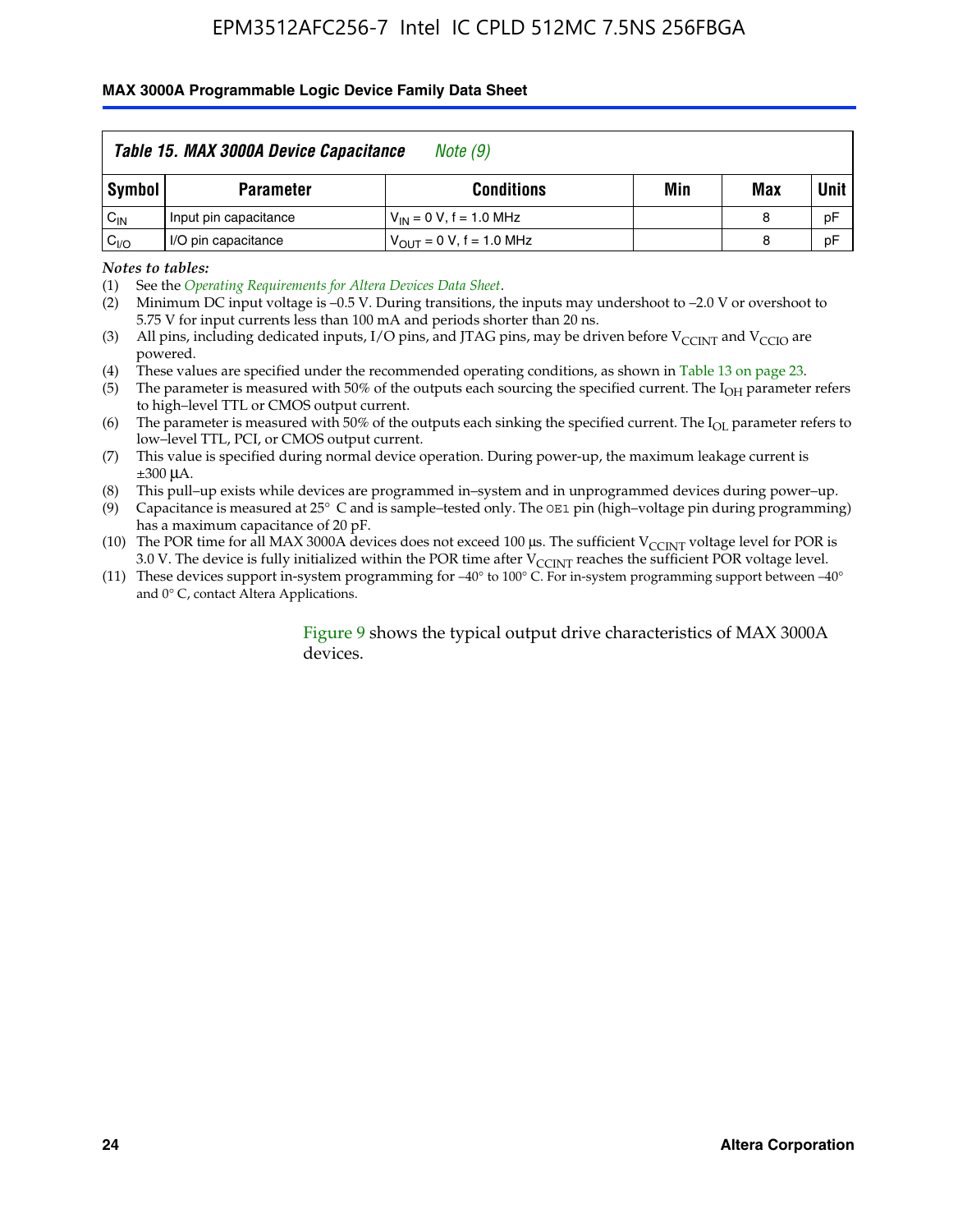#### **MAX 3000A Programmable Logic Device Family Data Sheet**

|          | Table 15. MAX 3000A Device Capacitance<br>Note (9) |                               |     |     |             |  |  |
|----------|----------------------------------------------------|-------------------------------|-----|-----|-------------|--|--|
| Symbol   | <b>Parameter</b>                                   | <b>Conditions</b>             | Min | Max | <b>Unit</b> |  |  |
| $C_{IN}$ | Input pin capacitance                              | $V_{IN} = 0 V$ , f = 1.0 MHz  |     | 8   | pF          |  |  |
| $C_{VO}$ | I/O pin capacitance                                | $V_{OUT} = 0 V$ , f = 1.0 MHz |     | 8   | pF          |  |  |

*Notes to tables:*

(2) Minimum DC input voltage is –0.5 V. During transitions, the inputs may undershoot to –2.0 V or overshoot to 5.75 V for input currents less than 100 mA and periods shorter than 20 ns.

(4) These values are specified under the recommended operating conditions, as shown in Table 13 on page 23.

(5) The parameter is measured with 50% of the outputs each sourcing the specified current. The  $I<sub>OH</sub>$  parameter refers to high–level TTL or CMOS output current.

(6) The parameter is measured with 50% of the outputs each sinking the specified current. The  $I_{OL}$  parameter refers to low–level TTL, PCI, or CMOS output current.

(7) This value is specified during normal device operation. During power-up, the maximum leakage current is ±300 μA.

(8) This pull–up exists while devices are programmed in–system and in unprogrammed devices during power–up.

- (9) Capacitance is measured at 25° C and is sample–tested only. The OE1 pin (high–voltage pin during programming) has a maximum capacitance of 20 pF.
- (10) The POR time for all MAX 3000A devices does not exceed 100 μs. The sufficient  $V_{\text{CCINT}}$  voltage level for POR is 3.0 V. The device is fully initialized within the POR time after  $V_{\text{CCINT}}$  reaches the sufficient POR voltage level.
- (11) These devices support in-system programming for –40° to 100° C. For in-system programming support between –40° and 0° C, contact Altera Applications.

#### Figure 9 shows the typical output drive characteristics of MAX 3000A devices.

<sup>(1)</sup> See the *Operating Requirements for Altera Devices Data Sheet*.

<sup>(3)</sup> All pins, including dedicated inputs, I/O pins, and JTAG pins, may be driven before  $V_{\text{CCINT}}$  and  $V_{\text{CCIO}}$  are powered.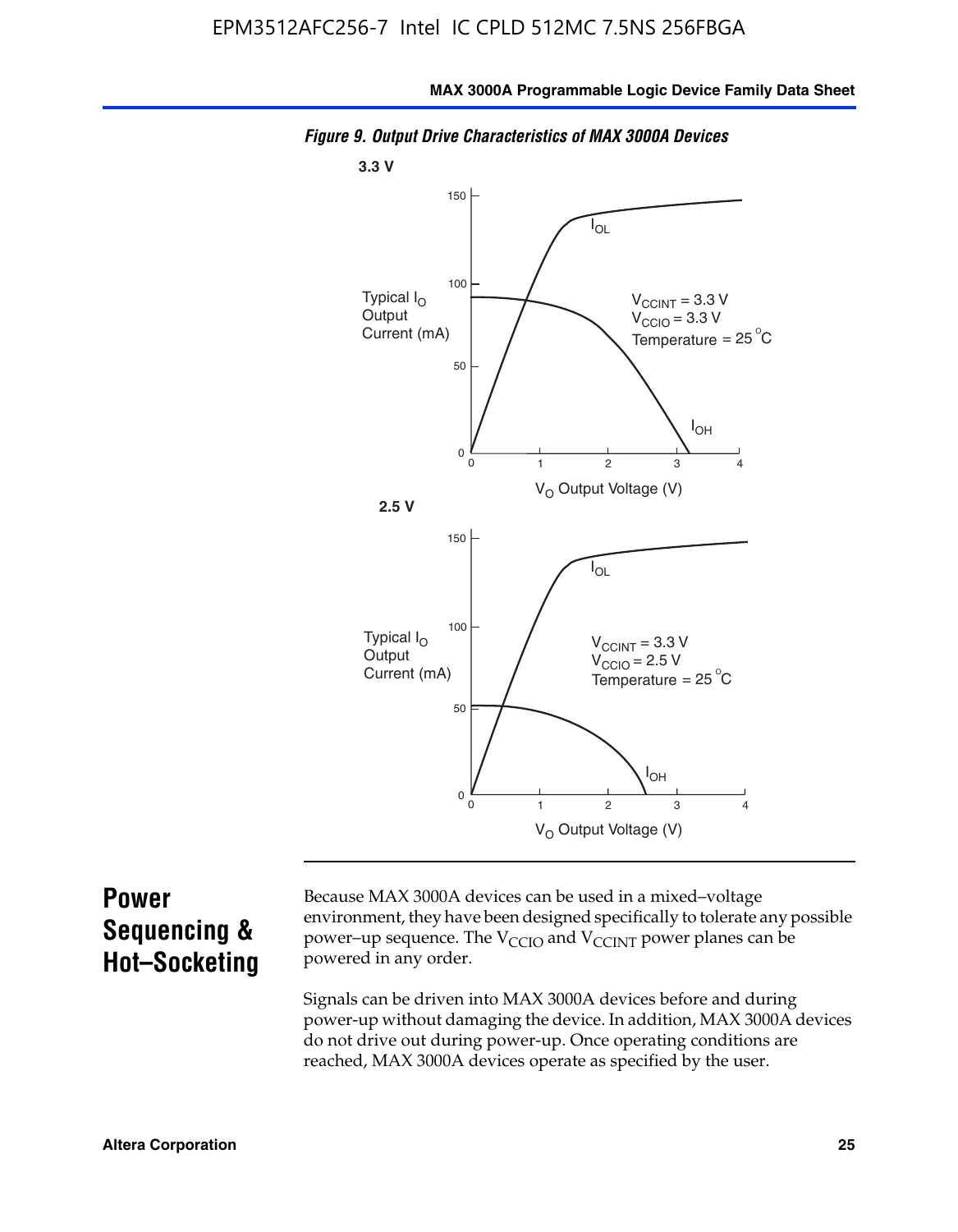

*Figure 9. Output Drive Characteristics of MAX 3000A Devices*

# **Power Sequencing & Hot–Socketing**

Because MAX 3000A devices can be used in a mixed–voltage environment, they have been designed specifically to tolerate any possible power–up sequence. The  $V_{CCIO}$  and  $V_{CCINT}$  power planes can be powered in any order.

Signals can be driven into MAX 3000A devices before and during power-up without damaging the device. In addition, MAX 3000A devices do not drive out during power-up. Once operating conditions are reached, MAX 3000A devices operate as specified by the user.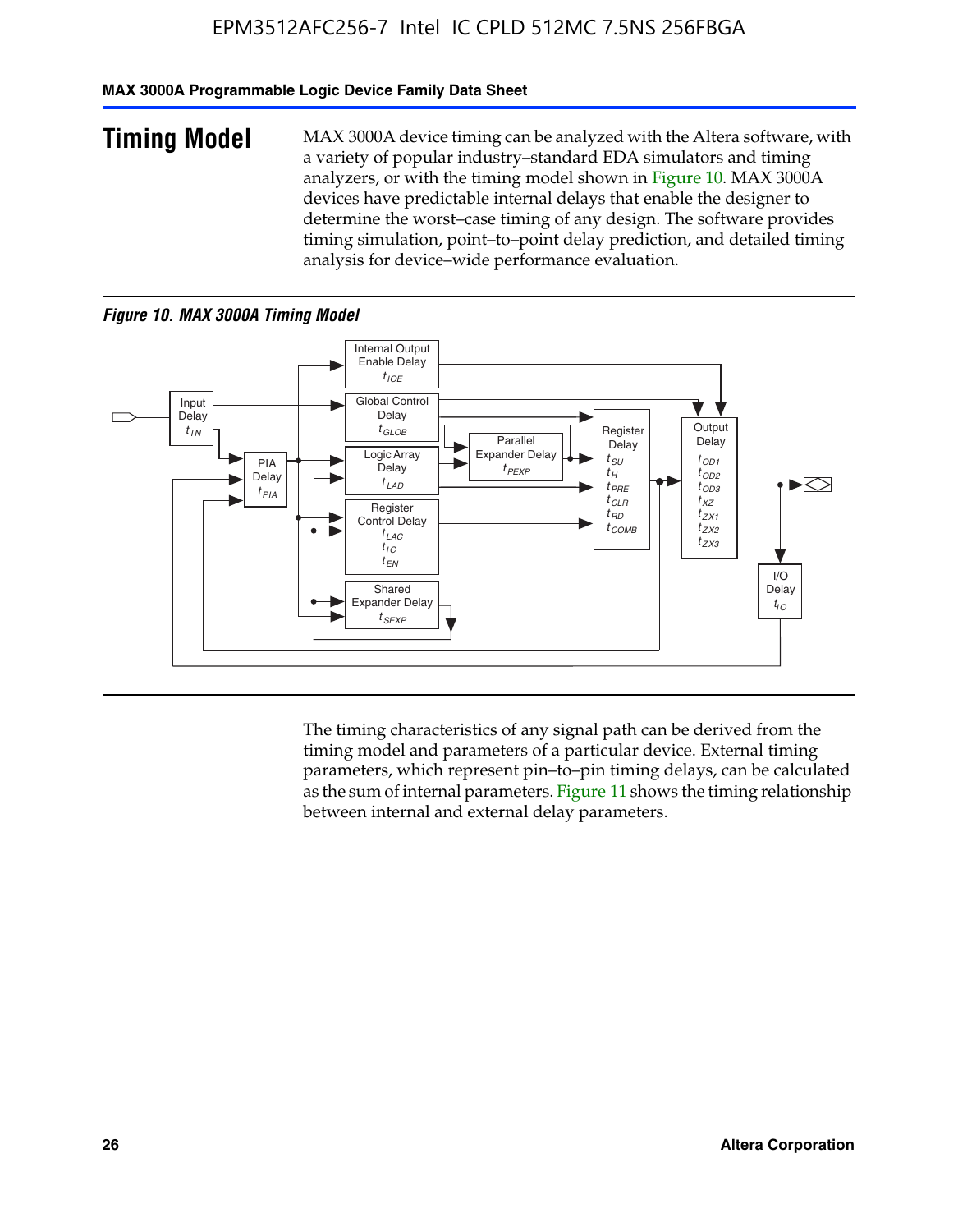#### **MAX 3000A Programmable Logic Device Family Data Sheet**

**Timing Model** MAX 3000A device timing can be analyzed with the Altera software, with a variety of popular industry–standard EDA simulators and timing analyzers, or with the timing model shown in Figure 10. MAX 3000A devices have predictable internal delays that enable the designer to determine the worst–case timing of any design. The software provides timing simulation, point–to–point delay prediction, and detailed timing analysis for device–wide performance evaluation.

#### *Figure 10. MAX 3000A Timing Model*



The timing characteristics of any signal path can be derived from the timing model and parameters of a particular device. External timing parameters, which represent pin–to–pin timing delays, can be calculated as the sum of internal parameters. Figure 11 shows the timing relationship between internal and external delay parameters.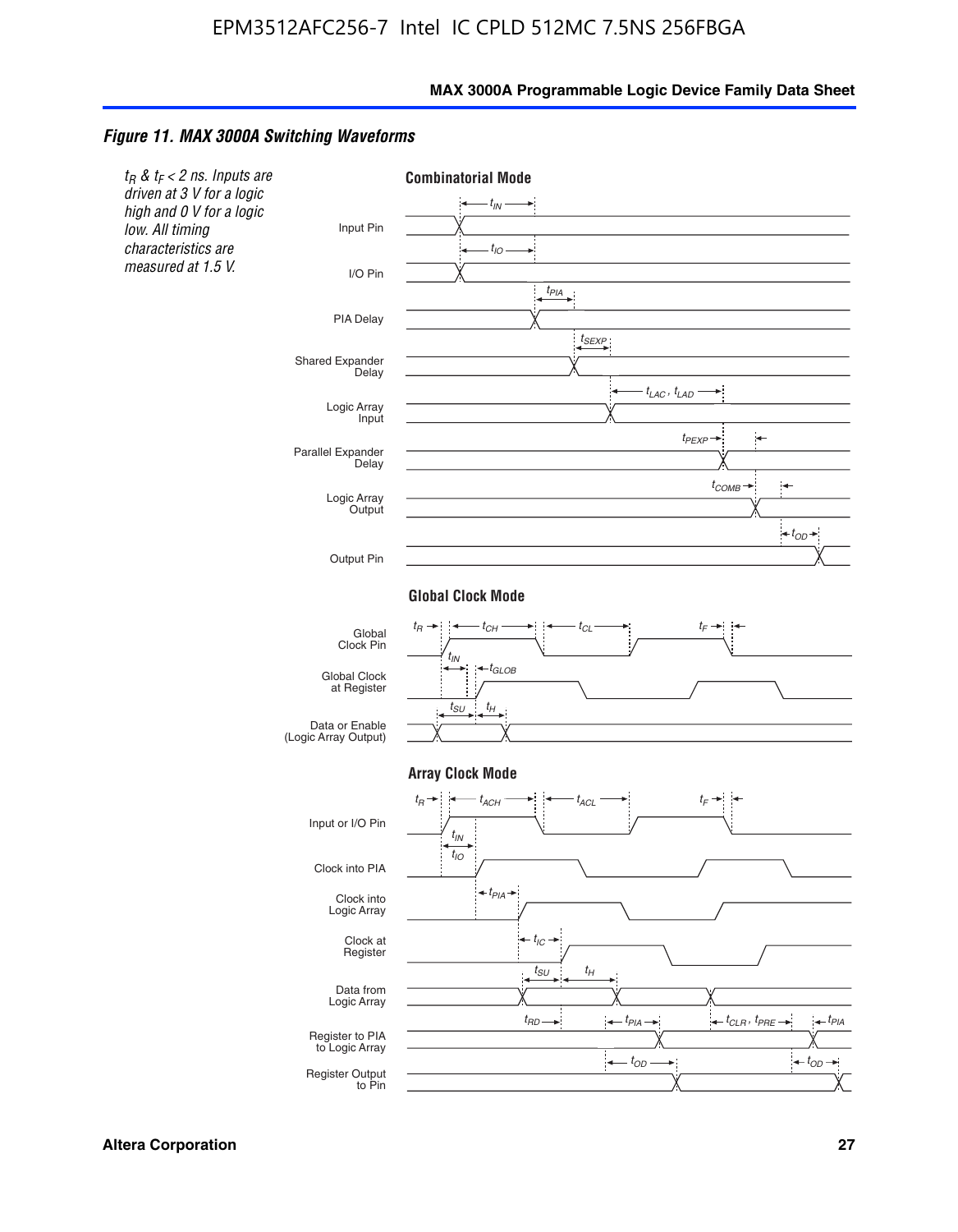#### *Figure 11. MAX 3000A Switching Waveforms*

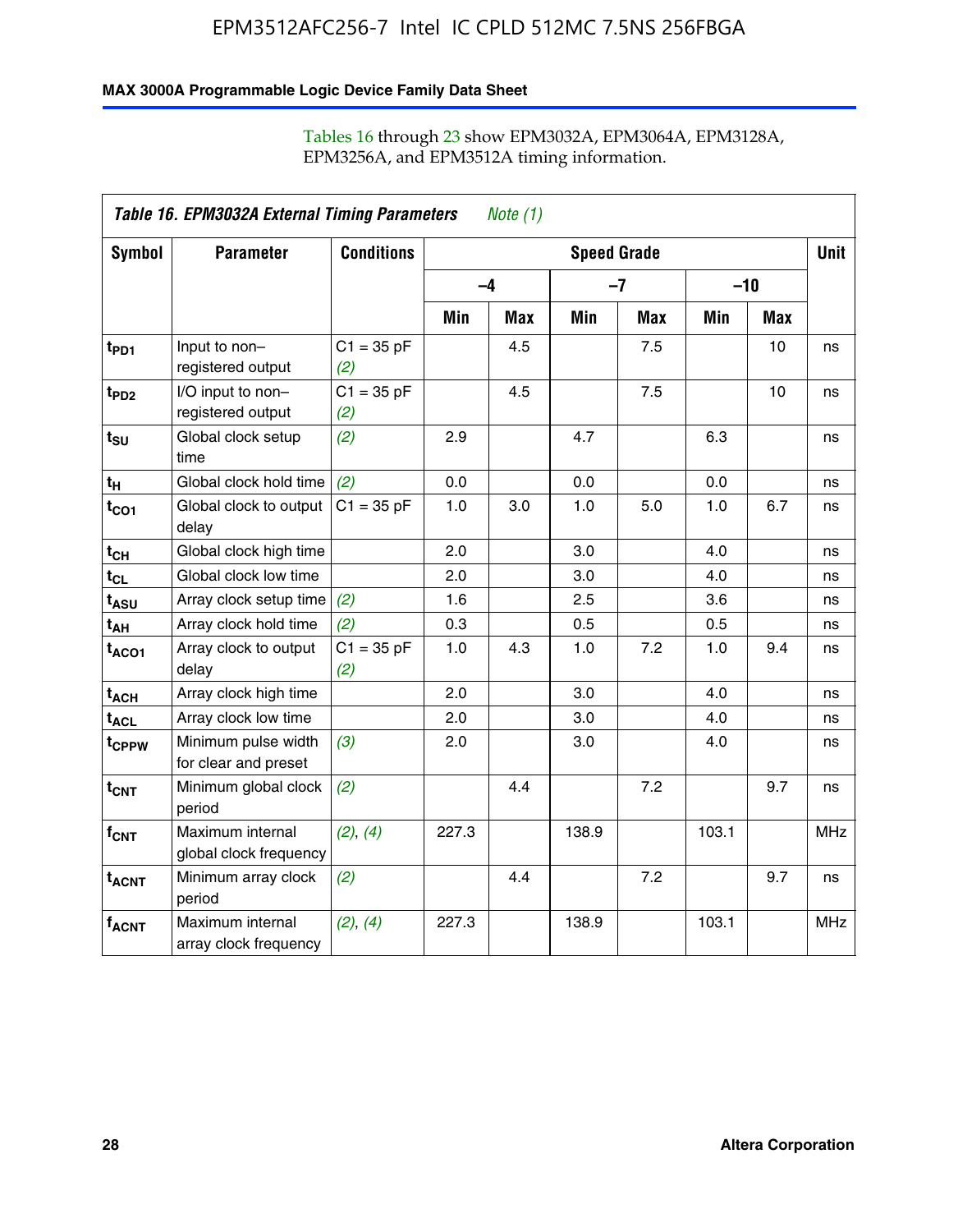#### **MAX 3000A Programmable Logic Device Family Data Sheet**

|                             | Table 16. EPM3032A External Timing Parameters<br><i>Note</i> $(1)$ |                     |                    |     |       |            |       |            |             |
|-----------------------------|--------------------------------------------------------------------|---------------------|--------------------|-----|-------|------------|-------|------------|-------------|
| Symbol                      | <b>Parameter</b>                                                   | <b>Conditions</b>   | <b>Speed Grade</b> |     |       |            |       |            | <b>Unit</b> |
|                             |                                                                    |                     | $-4$               |     |       | $-7$       | $-10$ |            |             |
|                             |                                                                    |                     | Min                | Max | Min   | <b>Max</b> | Min   | <b>Max</b> |             |
| t <sub>PD1</sub>            | Input to non-<br>registered output                                 | $C1 = 35 pF$<br>(2) |                    | 4.5 |       | 7.5        |       | 10         | ns          |
| t <sub>PD2</sub>            | I/O input to non-<br>registered output                             | $C1 = 35 pF$<br>(2) |                    | 4.5 |       | 7.5        |       | 10         | ns          |
| $t_{\text{SU}}$             | Global clock setup<br>time                                         | (2)                 | 2.9                |     | 4.7   |            | 6.3   |            | ns          |
| $t_H$                       | Global clock hold time                                             | (2)                 | 0.0                |     | 0.0   |            | 0.0   |            | ns          |
| $t_{CO1}$                   | Global clock to output<br>delay                                    | $C1 = 35 pF$        | 1.0                | 3.0 | 1.0   | 5.0        | 1.0   | 6.7        | ns          |
| $t_{CH}$                    | Global clock high time                                             |                     | 2.0                |     | 3.0   |            | 4.0   |            | ns          |
| $t_{CL}$                    | Global clock low time                                              |                     | 2.0                |     | 3.0   |            | 4.0   |            | ns          |
| t <sub>ASU</sub>            | Array clock setup time                                             | (2)                 | 1.6                |     | 2.5   |            | 3.6   |            | ns          |
| t <sub>АН</sub>             | Array clock hold time                                              | (2)                 | 0.3                |     | 0.5   |            | 0.5   |            | ns          |
| $t_{ACO1}$                  | Array clock to output<br>delay                                     | $C1 = 35 pF$<br>(2) | 1.0                | 4.3 | 1.0   | 7.2        | 1.0   | 9.4        | ns          |
| $t_{ACH}$                   | Array clock high time                                              |                     | 2.0                |     | 3.0   |            | 4.0   |            | ns          |
| $\textsf{t}_{\mathsf{ACL}}$ | Array clock low time                                               |                     | 2.0                |     | 3.0   |            | 4.0   |            | ns          |
| t <sub>CPPW</sub>           | Minimum pulse width<br>for clear and preset                        | (3)                 | 2.0                |     | 3.0   |            | 4.0   |            | ns          |
| $t_{\text{CNT}}$            | Minimum global clock<br>period                                     | (2)                 |                    | 4.4 |       | 7.2        |       | 9.7        | ns          |
| $f_{CNT}$                   | Maximum internal<br>global clock frequency                         | (2), (4)            | 227.3              |     | 138.9 |            | 103.1 |            | <b>MHz</b>  |
| $t_{ACNT}$                  | Minimum array clock<br>period                                      | (2)                 |                    | 4.4 |       | 7.2        |       | 9.7        | ns          |
| $f_{ACNT}$                  | Maximum internal<br>array clock frequency                          | (2), (4)            | 227.3              |     | 138.9 |            | 103.1 |            | <b>MHz</b>  |

#### Tables 16 through 23 show EPM3032A, EPM3064A, EPM3128A, EPM3256A, and EPM3512A timing information.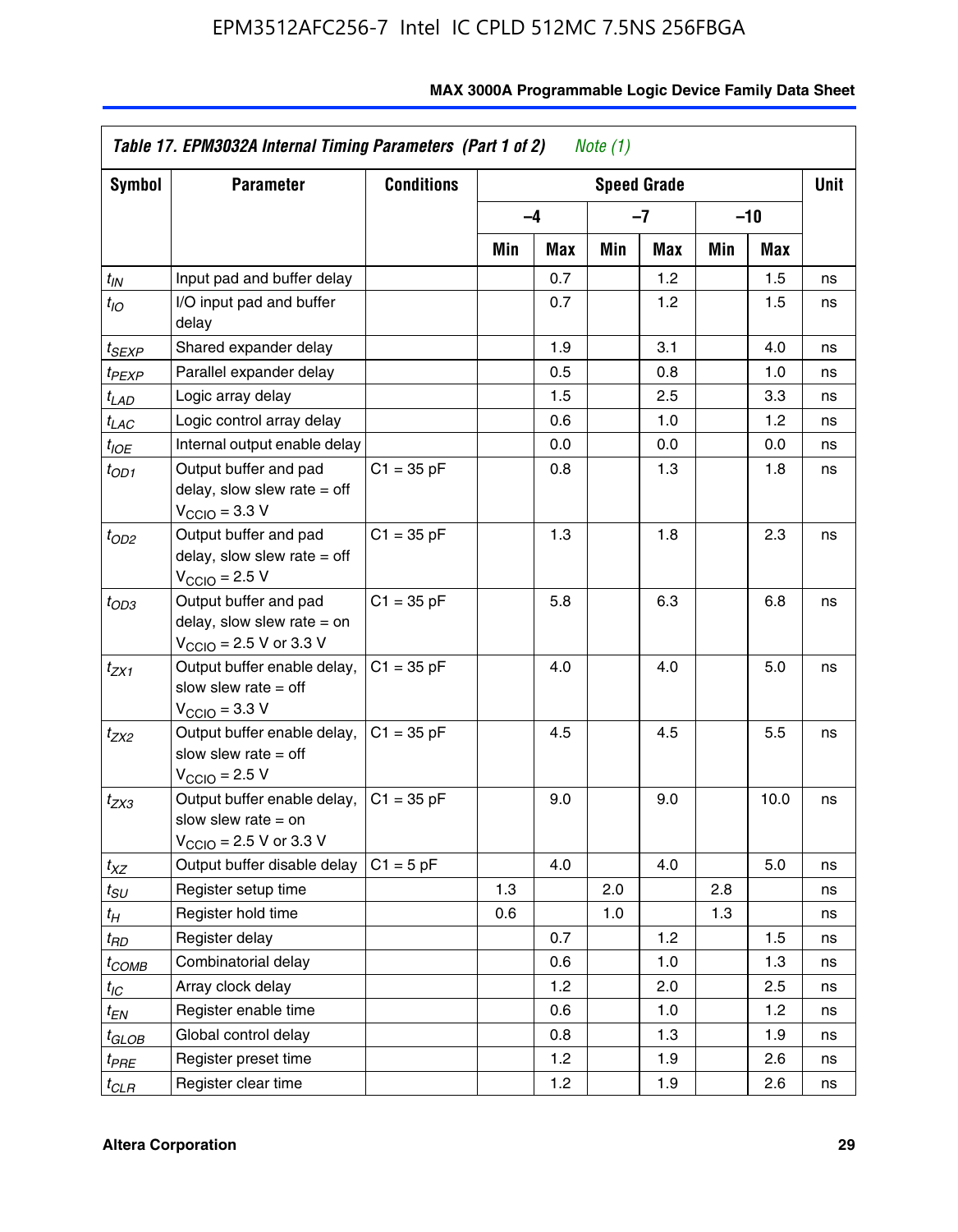| Symbol            | <b>Parameter</b>                                                                                            | <b>Conditions</b> | <b>Speed Grade</b> |      |     |     |     |      | <b>Unit</b> |
|-------------------|-------------------------------------------------------------------------------------------------------------|-------------------|--------------------|------|-----|-----|-----|------|-------------|
|                   |                                                                                                             |                   |                    | $-4$ |     | -7  | -10 |      |             |
|                   |                                                                                                             |                   | Min                | Max  | Min | Max | Min | Max  |             |
| $t_{IN}$          | Input pad and buffer delay                                                                                  |                   |                    | 0.7  |     | 1.2 |     | 1.5  | ns          |
| $t_{IO}$          | I/O input pad and buffer<br>delay                                                                           |                   |                    | 0.7  |     | 1.2 |     | 1.5  | ns          |
| t <sub>SEXP</sub> | Shared expander delay                                                                                       |                   |                    | 1.9  |     | 3.1 |     | 4.0  | ns          |
| t <sub>PEXP</sub> | Parallel expander delay                                                                                     |                   |                    | 0.5  |     | 0.8 |     | 1.0  | ns          |
| t <sub>LAD</sub>  | Logic array delay                                                                                           |                   |                    | 1.5  |     | 2.5 |     | 3.3  | ns          |
| $t_{LAC}$         | Logic control array delay                                                                                   |                   |                    | 0.6  |     | 1.0 |     | 1.2  | ns          |
| $t_{IOE}$         | Internal output enable delay                                                                                |                   |                    | 0.0  |     | 0.0 |     | 0.0  | ns          |
| $t_{OD1}$         | Output buffer and pad<br>delay, slow slew rate $=$ off<br>$V_{\text{CCIO}} = 3.3 \text{ V}$                 | $C1 = 35 pF$      |                    | 0.8  |     | 1.3 |     | 1.8  | ns          |
| $t_{OD2}$         | Output buffer and pad<br>delay, slow slew rate $=$ off<br>$V_{\text{CCIO}} = 2.5 V$                         | $C1 = 35 pF$      |                    | 1.3  |     | 1.8 |     | 2.3  | ns          |
| $t_{OD3}$         | Output buffer and pad<br>delay, slow slew rate $=$ on<br>$V_{\text{CCIO}}$ = 2.5 V or 3.3 V                 | $C1 = 35 pF$      |                    | 5.8  |     | 6.3 |     | 6.8  | ns          |
| t <sub>ZX1</sub>  | Output buffer enable delay,<br>slow slew rate $=$ off<br>$V_{\text{CCIO}} = 3.3$ V                          | $C1 = 35 pF$      |                    | 4.0  |     | 4.0 |     | 5.0  | ns          |
| t <sub>ZX2</sub>  | Output buffer enable delay,<br>slow slew rate $=$ off<br>$V_{\text{CCIO}} = 2.5 V$                          | $C1 = 35 pF$      |                    | 4.5  |     | 4.5 |     | 5.5  | ns          |
| $t_{ZX3}$         | Output buffer enable delay,<br>slow slew rate $=$ on<br>$V_{\text{CCIO}} = 2.5 \text{ V or } 3.3 \text{ V}$ | $C1 = 35 pF$      |                    | 9.0  |     | 9.0 |     | 10.0 | ns          |
| $t_{XZ}$          | Output buffer disable delay                                                                                 | $C1 = 5 pF$       |                    | 4.0  |     | 4.0 |     | 5.0  | ns          |
| t <sub>SU</sub>   | Register setup time                                                                                         |                   | 1.3                |      | 2.0 |     | 2.8 |      | ns          |
| t <sub>Η</sub>    | Register hold time                                                                                          |                   | 0.6                |      | 1.0 |     | 1.3 |      | ns          |
| t <sub>RD</sub>   | Register delay                                                                                              |                   |                    | 0.7  |     | 1.2 |     | 1.5  | ns          |
| $t_{COMB}$        | Combinatorial delay                                                                                         |                   |                    | 0.6  |     | 1.0 |     | 1.3  | ns          |
| $t_{IC}$          | Array clock delay                                                                                           |                   |                    | 1.2  |     | 2.0 |     | 2.5  | ns          |
| $t_{EN}$          | Register enable time                                                                                        |                   |                    | 0.6  |     | 1.0 |     | 1.2  | ns          |
| t <sub>GLOB</sub> | Global control delay                                                                                        |                   |                    | 0.8  |     | 1.3 |     | 1.9  | ns          |
| t <sub>PRE</sub>  | Register preset time                                                                                        |                   |                    | 1.2  |     | 1.9 |     | 2.6  | ns          |
| $t_{CLR}$         | Register clear time                                                                                         |                   |                    | 1.2  |     | 1.9 |     | 2.6  | ns          |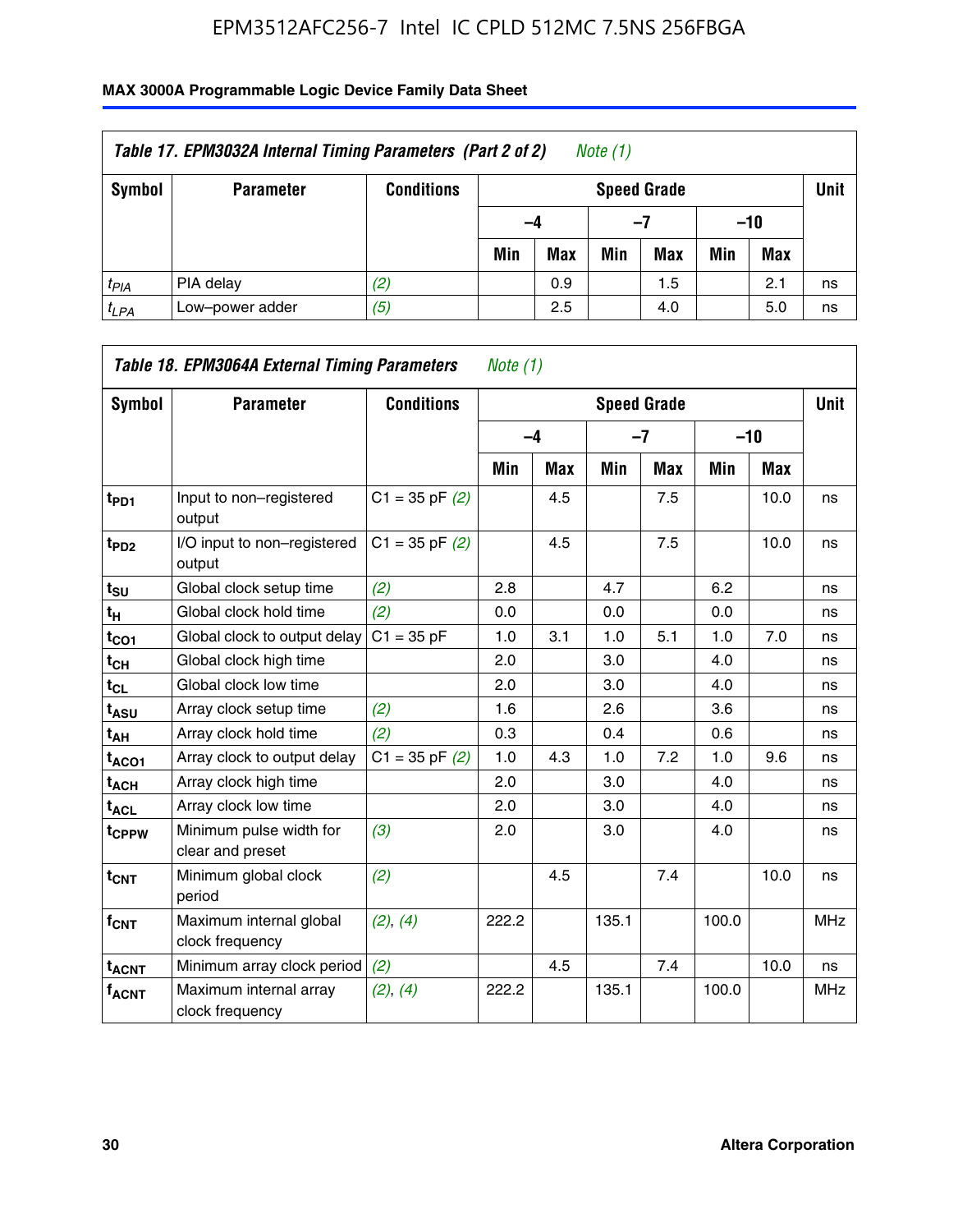| Table 17. EPM3032A Internal Timing Parameters (Part 2 of 2)<br>Note (1) |                  |                   |     |                                   |     |     |       |     |    |  |  |
|-------------------------------------------------------------------------|------------------|-------------------|-----|-----------------------------------|-----|-----|-------|-----|----|--|--|
| Symbol                                                                  | <b>Parameter</b> | <b>Conditions</b> |     | <b>Unit</b><br><b>Speed Grade</b> |     |     |       |     |    |  |  |
|                                                                         |                  |                   | -4  |                                   | -7  |     | $-10$ |     |    |  |  |
|                                                                         |                  |                   | Min | <b>Max</b>                        | Min | Max | Min   | Max |    |  |  |
| $t_{PIA}$                                                               | PIA delay        | (2)               |     | 0.9                               |     | 1.5 |       | 2.1 | ns |  |  |
| $t_{LPA}$                                                               | Low-power adder  | (5)               |     | 2.5                               |     | 4.0 |       | 5.0 | ns |  |  |

| Table 18. EPM3064A External Timing Parameters<br>Note $(1)$ |                                             |                    |       |     |                    |      |       |      |             |  |  |
|-------------------------------------------------------------|---------------------------------------------|--------------------|-------|-----|--------------------|------|-------|------|-------------|--|--|
| Symbol                                                      | <b>Parameter</b>                            | <b>Conditions</b>  |       |     | <b>Speed Grade</b> |      |       |      | <b>Unit</b> |  |  |
|                                                             |                                             |                    |       | -4  |                    | $-7$ | $-10$ |      |             |  |  |
|                                                             |                                             |                    | Min   | Max | Min                | Max  | Min   | Max  |             |  |  |
| $t_{PD1}$                                                   | Input to non-registered<br>output           | $C1 = 35$ pF $(2)$ |       | 4.5 |                    | 7.5  |       | 10.0 | ns          |  |  |
| t <sub>PD2</sub>                                            | I/O input to non-registered<br>output       | $C1 = 35 pF(2)$    |       | 4.5 |                    | 7.5  |       | 10.0 | ns          |  |  |
| t <sub>SU</sub>                                             | Global clock setup time                     | (2)                | 2.8   |     | 4.7                |      | 6.2   |      | ns          |  |  |
| $t_H$                                                       | Global clock hold time                      | (2)                | 0.0   |     | 0.0                |      | 0.0   |      | ns          |  |  |
| $t_{CO1}$                                                   | Global clock to output delay                | $C1 = 35 pF$       | 1.0   | 3.1 | 1.0                | 5.1  | 1.0   | 7.0  | ns          |  |  |
| $t_{CL}$                                                    | Global clock high time                      |                    | 2.0   |     | 3.0                |      | 4.0   |      | ns          |  |  |
| $t_{CL}$                                                    | Global clock low time                       |                    | 2.0   |     | 3.0                |      | 4.0   |      | ns          |  |  |
| t <sub>ASU</sub>                                            | Array clock setup time                      | (2)                | 1.6   |     | 2.6                |      | 3.6   |      | ns          |  |  |
| $t_{AH}$                                                    | Array clock hold time                       | (2)                | 0.3   |     | 0.4                |      | 0.6   |      | ns          |  |  |
| $t_{ACO1}$                                                  | Array clock to output delay                 | $C1 = 35$ pF $(2)$ | 1.0   | 4.3 | 1.0                | 7.2  | 1.0   | 9.6  | ns          |  |  |
| $t_{ACH}$                                                   | Array clock high time                       |                    | 2.0   |     | 3.0                |      | 4.0   |      | ns          |  |  |
| <b>t<sub>ACL</sub></b>                                      | Array clock low time                        |                    | 2.0   |     | 3.0                |      | 4.0   |      | ns          |  |  |
| t <sub>CPPW</sub>                                           | Minimum pulse width for<br>clear and preset | (3)                | 2.0   |     | 3.0                |      | 4.0   |      | ns          |  |  |
| $t_{\text{CNT}}$                                            | Minimum global clock<br>period              | (2)                |       | 4.5 |                    | 7.4  |       | 10.0 | ns          |  |  |
| $f_{\text{CNT}}$                                            | Maximum internal global<br>clock frequency  | (2), (4)           | 222.2 |     | 135.1              |      | 100.0 |      | <b>MHz</b>  |  |  |
| <b>t<sub>ACNT</sub></b>                                     | Minimum array clock period                  | (2)                |       | 4.5 |                    | 7.4  |       | 10.0 | ns          |  |  |
| <b>fACNT</b>                                                | Maximum internal array<br>clock frequency   | (2), (4)           | 222.2 |     | 135.1              |      | 100.0 |      | <b>MHz</b>  |  |  |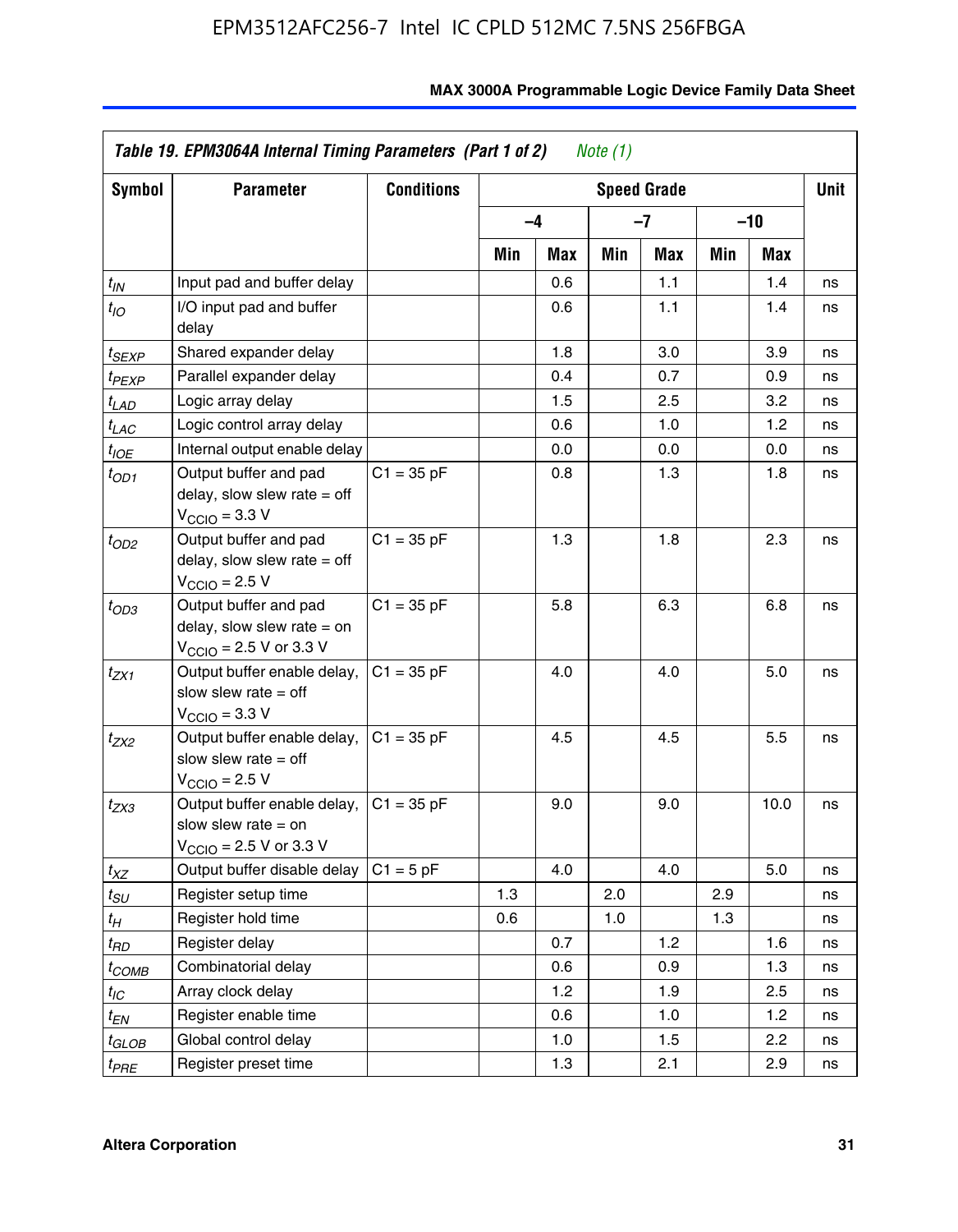| Symbol                | <b>Parameter</b>                                                                                             | <b>Conditions</b> |     |      |     | <b>Speed Grade</b> |     |            | Unit |
|-----------------------|--------------------------------------------------------------------------------------------------------------|-------------------|-----|------|-----|--------------------|-----|------------|------|
|                       |                                                                                                              |                   |     | $-4$ |     | $-7$               |     | -10        |      |
|                       |                                                                                                              |                   | Min | Max  | Min | Max                | Min | <b>Max</b> |      |
| $t_{\mathsf{IN}}$     | Input pad and buffer delay                                                                                   |                   |     | 0.6  |     | 1.1                |     | 1.4        | ns   |
| $t_{IO}$              | I/O input pad and buffer<br>delay                                                                            |                   |     | 0.6  |     | 1.1                |     | 1.4        | ns   |
| t <sub>SEXP</sub>     | Shared expander delay                                                                                        |                   |     | 1.8  |     | 3.0                |     | 3.9        | ns   |
| t <sub>PEXP</sub>     | Parallel expander delay                                                                                      |                   |     | 0.4  |     | 0.7                |     | 0.9        | ns   |
| $t_{LAD}$             | Logic array delay                                                                                            |                   |     | 1.5  |     | 2.5                |     | 3.2        | ns   |
| $t_{LAC}$             | Logic control array delay                                                                                    |                   |     | 0.6  |     | 1.0                |     | 1.2        | ns   |
| $t_{IOE}$             | Internal output enable delay                                                                                 |                   |     | 0.0  |     | 0.0                |     | 0.0        | ns   |
| $t_{OD1}$             | Output buffer and pad<br>delay, slow slew rate $=$ off<br>$V_{\text{CCIO}} = 3.3 \text{ V}$                  | $C1 = 35 pF$      |     | 0.8  |     | 1.3                |     | 1.8        | ns   |
| $t_{OD2}$             | Output buffer and pad<br>delay, slow slew rate $=$ off<br>$V_{\rm CClO}$ = 2.5 V                             | $C1 = 35 pF$      |     | 1.3  |     | 1.8                |     | 2.3        | ns   |
| $t_{OD3}$             | Output buffer and pad<br>delay, slow slew rate $=$ on<br>$V_{\text{CGIO}} = 2.5 \text{ V or } 3.3 \text{ V}$ | $C1 = 35 pF$      |     | 5.8  |     | 6.3                |     | 6.8        | ns   |
| $t_{ZX1}$             | Output buffer enable delay,<br>slow slew rate $=$ off<br>$V_{\text{CCIO}} = 3.3 V$                           | $C1 = 35 pF$      |     | 4.0  |     | 4.0                |     | 5.0        | ns   |
| t <sub>ZX2</sub>      | Output buffer enable delay,<br>slow slew rate $=$ off<br>$V_{\rm CClO}$ = 2.5 V                              | $C1 = 35 pF$      |     | 4.5  |     | 4.5                |     | 5.5        | ns   |
| t <sub>ZX3</sub>      | Output buffer enable delay,<br>slow slew rate $=$ on<br>$V_{\text{CCIO}} = 2.5 \text{ V or } 3.3 \text{ V}$  | $C1 = 35 pF$      |     | 9.0  |     | 9.0                |     | 10.0       | ns   |
| $t_{XZ}$              | Output buffer disable delay                                                                                  | $C1 = 5 pF$       |     | 4.0  |     | 4.0                |     | 5.0        | ns   |
| $t_{\scriptstyle SU}$ | Register setup time                                                                                          |                   | 1.3 |      | 2.0 |                    | 2.9 |            | ns   |
| $t_H$                 | Register hold time                                                                                           |                   | 0.6 |      | 1.0 |                    | 1.3 |            | ns   |
| t <sub>RD</sub>       | Register delay                                                                                               |                   |     | 0.7  |     | 1.2                |     | 1.6        | ns   |
| t <sub>COMB</sub>     | Combinatorial delay                                                                                          |                   |     | 0.6  |     | 0.9                |     | 1.3        | ns   |
| $t_{IC}$              | Array clock delay                                                                                            |                   |     | 1.2  |     | 1.9                |     | 2.5        | ns   |
| $t_{EN}$              | Register enable time                                                                                         |                   |     | 0.6  |     | 1.0                |     | 1.2        | ns   |
| t <sub>GLOB</sub>     | Global control delay                                                                                         |                   |     | 1.0  |     | 1.5                |     | 2.2        | ns   |
| t <sub>PRE</sub>      | Register preset time                                                                                         |                   |     | 1.3  |     | 2.1                |     | 2.9        | ns   |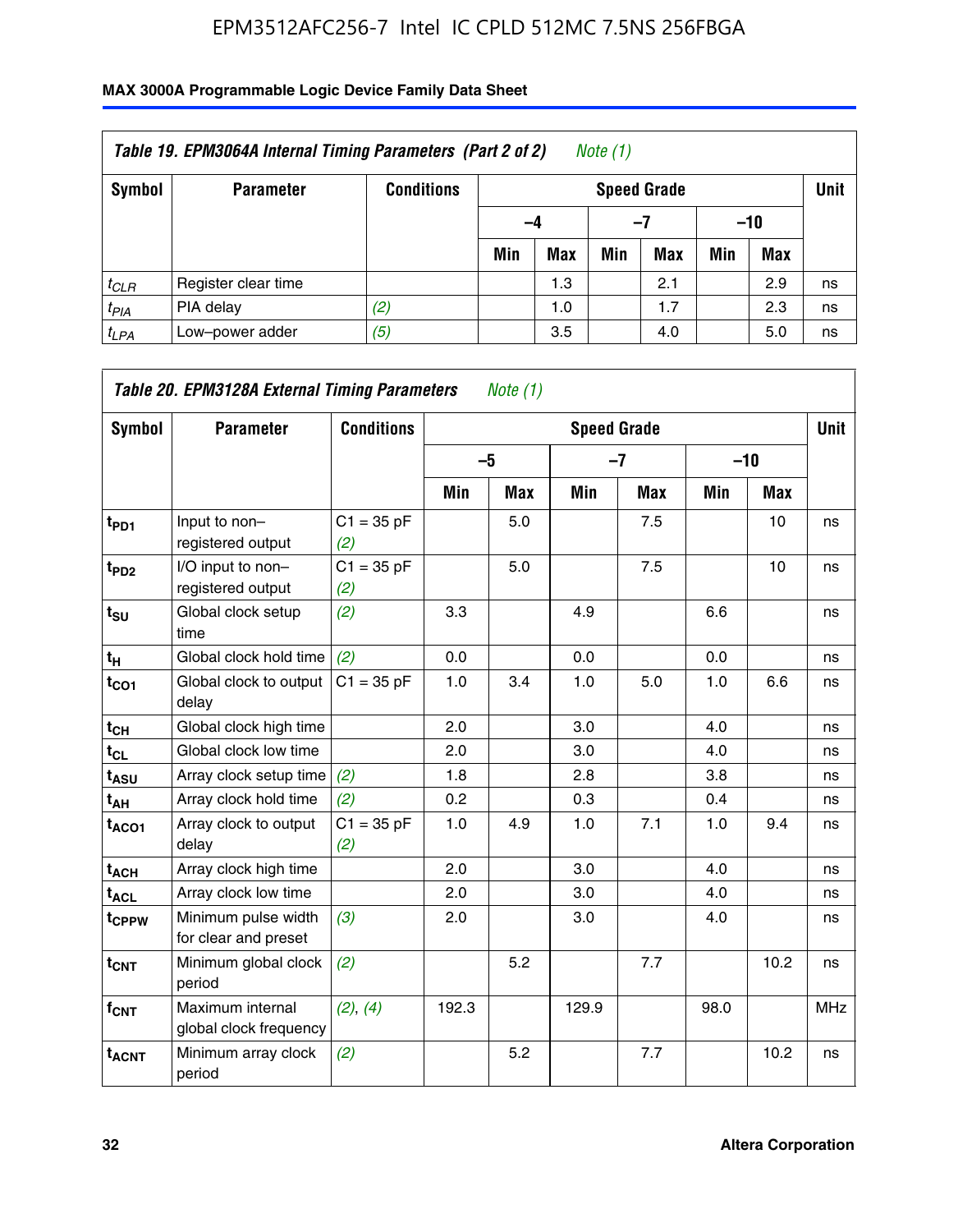| Table 19. EPM3064A Internal Timing Parameters (Part 2 of 2)<br>Note $(1)$ |                     |                   |     |                    |     |            |       |            |    |  |  |
|---------------------------------------------------------------------------|---------------------|-------------------|-----|--------------------|-----|------------|-------|------------|----|--|--|
| Symbol                                                                    | <b>Parameter</b>    | <b>Conditions</b> |     | <b>Speed Grade</b> |     |            |       |            |    |  |  |
|                                                                           |                     |                   | -4  |                    |     | -7         | $-10$ |            |    |  |  |
|                                                                           |                     |                   | Min | <b>Max</b>         | Min | <b>Max</b> | Min   | <b>Max</b> |    |  |  |
| $t_{CLR}$                                                                 | Register clear time |                   |     | 1.3                |     | 2.1        |       | 2.9        | ns |  |  |
| $t_{PIA}$                                                                 | PIA delay           | (2)               |     | 1.0                |     | 1.7        |       | 2.3        | ns |  |  |
| $t_{LPA}$                                                                 | Low-power adder     | (5)               |     | 3.5                |     | 4.0        |       | 5.0        | ns |  |  |

| Symbol                  | <b>Parameter</b>                            | <b>Conditions</b>   |       |            | <b>Speed Grade</b> |            |       |            | <b>Unit</b> |
|-------------------------|---------------------------------------------|---------------------|-------|------------|--------------------|------------|-------|------------|-------------|
|                         |                                             |                     | $-5$  |            | $-7$               |            | $-10$ |            |             |
|                         |                                             |                     | Min   | <b>Max</b> | Min                | <b>Max</b> | Min   | <b>Max</b> |             |
| $t_{PD1}$               | Input to non-<br>registered output          | $C1 = 35 pF$<br>(2) |       | 5.0        |                    | 7.5        |       | 10         | ns          |
| $t_{PD2}$               | I/O input to non-<br>registered output      | $C1 = 35 pF$<br>(2) |       | 5.0        |                    | 7.5        |       | 10         | ns          |
| $t_{\text{SU}}$         | Global clock setup<br>time                  | (2)                 | 3.3   |            | 4.9                |            | 6.6   |            | ns          |
| $t_H$                   | Global clock hold time                      | (2)                 | 0.0   |            | 0.0                |            | 0.0   |            | ns          |
| $t_{CO1}$               | Global clock to output<br>delay             | $C1 = 35 pF$        | 1.0   | 3.4        | 1.0                | 5.0        | 1.0   | 6.6        | ns          |
| $t_{CH}$                | Global clock high time                      |                     | 2.0   |            | 3.0                |            | 4.0   |            | ns          |
| $t_{CL}$                | Global clock low time                       |                     | 2.0   |            | 3.0                |            | 4.0   |            | ns          |
| $t_{\mathsf{ASU}}$      | Array clock setup time                      | (2)                 | 1.8   |            | 2.8                |            | 3.8   |            | ns          |
| t <sub>АН</sub>         | Array clock hold time                       | (2)                 | 0.2   |            | 0.3                |            | 0.4   |            | ns          |
| $t_{ACO1}$              | Array clock to output<br>delay              | $C1 = 35 pF$<br>(2) | 1.0   | 4.9        | 1.0                | 7.1        | 1.0   | 9.4        | ns          |
| $t_{ACH}$               | Array clock high time                       |                     | 2.0   |            | 3.0                |            | 4.0   |            | ns          |
| t <sub>ACL</sub>        | Array clock low time                        |                     | 2.0   |            | 3.0                |            | 4.0   |            | ns          |
| t <sub>CPPW</sub>       | Minimum pulse width<br>for clear and preset | (3)                 | 2.0   |            | 3.0                |            | 4.0   |            | ns          |
| $t_{CNT}$               | Minimum global clock<br>period              | (2)                 |       | 5.2        |                    | 7.7        |       | 10.2       | ns          |
| f <sub>CNT</sub>        | Maximum internal<br>global clock frequency  | (2), (4)            | 192.3 |            | 129.9              |            | 98.0  |            | <b>MHz</b>  |
| <b>t<sub>ACNT</sub></b> | Minimum array clock<br>period               | (2)                 |       | 5.2        |                    | 7.7        |       | 10.2       | ns          |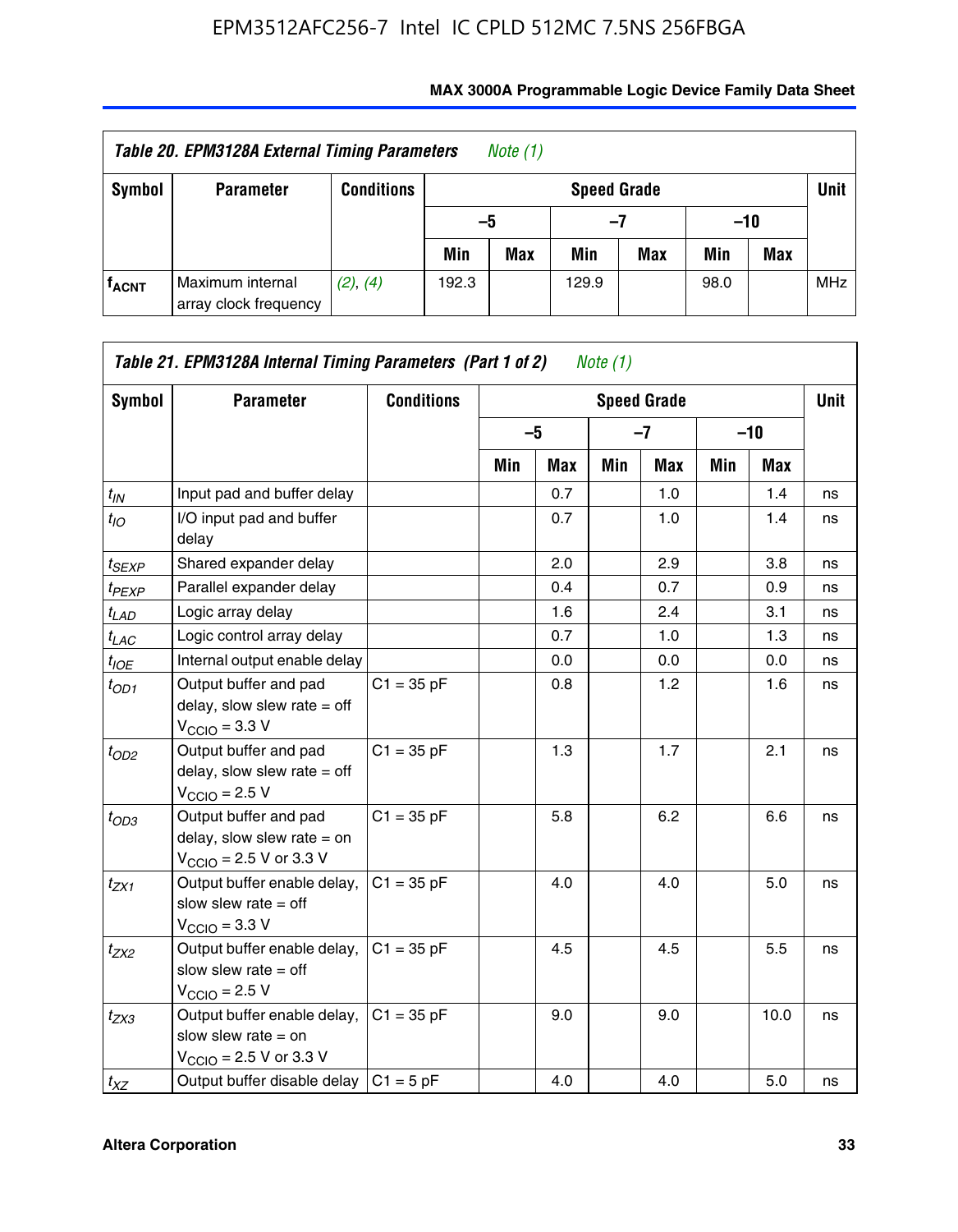| Table 20. EPM3128A External Timing Parameters<br>Note (1) |                                           |                   |       |            |                    |     |       |     |             |  |
|-----------------------------------------------------------|-------------------------------------------|-------------------|-------|------------|--------------------|-----|-------|-----|-------------|--|
| Symbol                                                    | <b>Parameter</b>                          | <b>Conditions</b> |       |            | <b>Speed Grade</b> |     |       |     | <b>Unit</b> |  |
|                                                           |                                           |                   | -5    |            | -7                 |     | $-10$ |     |             |  |
|                                                           |                                           |                   | Min   | <b>Max</b> | Min                | Max | Min   | Max |             |  |
| <sup>T</sup> ACNT                                         | Maximum internal<br>array clock frequency | (2), (4)          | 192.3 |            | 129.9              |     | 98.0  |     | <b>MHz</b>  |  |

| Symbol            | <b>Parameter</b>                                                                                             | <b>Conditions</b> |     |      |     | <b>Speed Grade</b> |     |            | <b>Unit</b> |
|-------------------|--------------------------------------------------------------------------------------------------------------|-------------------|-----|------|-----|--------------------|-----|------------|-------------|
|                   |                                                                                                              |                   |     | $-5$ |     | $-7$               |     | $-10$      |             |
|                   |                                                                                                              |                   | Min | Max  | Min | <b>Max</b>         | Min | <b>Max</b> |             |
| $t_{IN}$          | Input pad and buffer delay                                                                                   |                   |     | 0.7  |     | 1.0                |     | 1.4        | ns          |
| $t_{IO}$          | I/O input pad and buffer<br>delay                                                                            |                   |     | 0.7  |     | 1.0                |     | 1.4        | ns          |
| t <sub>SEXP</sub> | Shared expander delay                                                                                        |                   |     | 2.0  |     | 2.9                |     | 3.8        | ns          |
| t <sub>PEXP</sub> | Parallel expander delay                                                                                      |                   |     | 0.4  |     | 0.7                |     | 0.9        | ns          |
| $t_{LAD}$         | Logic array delay                                                                                            |                   |     | 1.6  |     | 2.4                |     | 3.1        | ns          |
| t <sub>LAC</sub>  | Logic control array delay                                                                                    |                   |     | 0.7  |     | 1.0                |     | 1.3        | ns          |
| t <sub>IOE</sub>  | Internal output enable delay                                                                                 |                   |     | 0.0  |     | 0.0                |     | 0.0        | ns          |
| $t_{OD1}$         | Output buffer and pad<br>delay, slow slew rate $=$ off<br>$V_{\text{CCIO}} = 3.3 \text{ V}$                  | $C1 = 35 pF$      |     | 0.8  |     | 1.2                |     | 1.6        | ns          |
| $t_{OD2}$         | Output buffer and pad<br>delay, slow slew rate $=$ off<br>$VCCIO = 2.5 V$                                    | $C1 = 35 pF$      |     | 1.3  |     | 1.7                |     | 2.1        | ns          |
| $t_{OD3}$         | Output buffer and pad<br>delay, slow slew rate $=$ on<br>$V_{\text{CCIO}} = 2.5 \text{ V or } 3.3 \text{ V}$ | $C1 = 35 pF$      |     | 5.8  |     | 6.2                |     | 6.6        | ns          |
| t <sub>ZX1</sub>  | Output buffer enable delay,<br>slow slew rate $=$ off<br>$V_{\text{CCIO}} = 3.3 V$                           | $C1 = 35 pF$      |     | 4.0  |     | 4.0                |     | 5.0        | ns          |
| $t_{ZX2}$         | Output buffer enable delay,<br>slow slew rate $=$ off<br>$VCCIO = 2.5 V$                                     | $C1 = 35 pF$      |     | 4.5  |     | 4.5                |     | 5.5        | ns          |
| t <sub>ZX3</sub>  | Output buffer enable delay,<br>slow slew rate $=$ on<br>$V_{\text{CCIO}} = 2.5 \text{ V or } 3.3 \text{ V}$  | $C1 = 35 pF$      |     | 9.0  |     | 9.0                |     | 10.0       | ns          |
| $t_{XZ}$          | Output buffer disable delay                                                                                  | $C1 = 5 pF$       |     | 4.0  |     | 4.0                |     | 5.0        | ns          |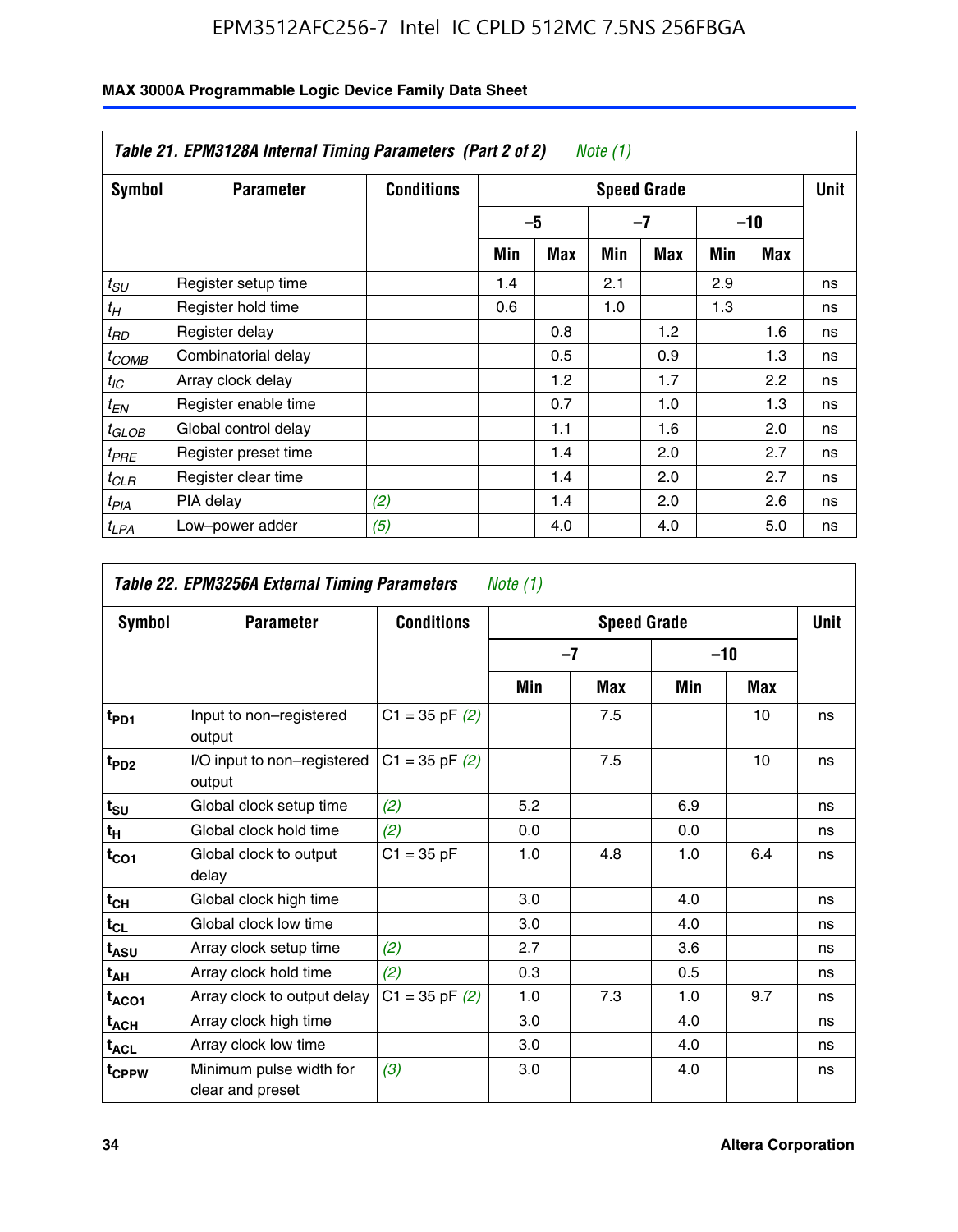|                  | Table 21. EPM3128A Internal Timing Parameters (Part 2 of 2)<br>Note $(1)$ |                   |                    |      |     |     |     |       |    |  |  |
|------------------|---------------------------------------------------------------------------|-------------------|--------------------|------|-----|-----|-----|-------|----|--|--|
| Symbol           | <b>Parameter</b>                                                          | <b>Conditions</b> | <b>Speed Grade</b> |      |     |     |     |       |    |  |  |
|                  |                                                                           |                   |                    | $-5$ |     | -7  |     | $-10$ |    |  |  |
|                  |                                                                           |                   | Min                | Max  | Min | Max | Min | Max   |    |  |  |
| $t_{SU}$         | Register setup time                                                       |                   | 1.4                |      | 2.1 |     | 2.9 |       | ns |  |  |
| $t_H$            | Register hold time                                                        |                   | 0.6                |      | 1.0 |     | 1.3 |       | ns |  |  |
| $t_{RD}$         | Register delay                                                            |                   |                    | 0.8  |     | 1.2 |     | 1.6   | ns |  |  |
| $t_{COMB}$       | Combinatorial delay                                                       |                   |                    | 0.5  |     | 0.9 |     | 1.3   | ns |  |  |
| $t_{IC}$         | Array clock delay                                                         |                   |                    | 1.2  |     | 1.7 |     | 2.2   | ns |  |  |
| $t_{EN}$         | Register enable time                                                      |                   |                    | 0.7  |     | 1.0 |     | 1.3   | ns |  |  |
| $t_{GLOB}$       | Global control delay                                                      |                   |                    | 1.1  |     | 1.6 |     | 2.0   | ns |  |  |
| $t_{PRE}$        | Register preset time                                                      |                   |                    | 1.4  |     | 2.0 |     | 2.7   | ns |  |  |
| ${}^t$ CLR       | Register clear time                                                       |                   |                    | 1.4  |     | 2.0 |     | 2.7   | ns |  |  |
| t <sub>PIA</sub> | PIA delay                                                                 | (2)               |                    | 1.4  |     | 2.0 |     | 2.6   | ns |  |  |
| ${}^tLPA$        | Low-power adder                                                           | (5)               |                    | 4.0  |     | 4.0 |     | 5.0   | ns |  |  |

| Table 22. EPM3256A External Timing Parameters<br>Note $(1)$ |                                             |                    |     |                    |     |     |             |  |  |  |  |
|-------------------------------------------------------------|---------------------------------------------|--------------------|-----|--------------------|-----|-----|-------------|--|--|--|--|
| Symbol                                                      | <b>Parameter</b>                            | <b>Conditions</b>  |     | <b>Speed Grade</b> |     |     | <b>Unit</b> |  |  |  |  |
|                                                             |                                             |                    |     | $-10$<br>$-7$      |     |     |             |  |  |  |  |
|                                                             |                                             |                    | Min | Max                | Min | Max |             |  |  |  |  |
| t <sub>PD1</sub>                                            | Input to non-registered<br>output           | $C1 = 35$ pF $(2)$ |     | 7.5                |     | 10  | ns          |  |  |  |  |
| t <sub>PD2</sub>                                            | I/O input to non-registered<br>output       | $C1 = 35$ pF $(2)$ |     | 7.5                |     | 10  | ns          |  |  |  |  |
| $t_{\text{SU}}$                                             | Global clock setup time                     | (2)                | 5.2 |                    | 6.9 |     | ns          |  |  |  |  |
| $t_H$                                                       | Global clock hold time                      | (2)                | 0.0 |                    | 0.0 |     | ns          |  |  |  |  |
| $t_{CO1}$                                                   | Global clock to output<br>delay             | $C1 = 35 pF$       | 1.0 | 4.8                | 1.0 | 6.4 | ns          |  |  |  |  |
| $t_{CH}$                                                    | Global clock high time                      |                    | 3.0 |                    | 4.0 |     | ns          |  |  |  |  |
| $t_{CL}$                                                    | Global clock low time                       |                    | 3.0 |                    | 4.0 |     | ns          |  |  |  |  |
| t <sub>ASU</sub>                                            | Array clock setup time                      | (2)                | 2.7 |                    | 3.6 |     | ns          |  |  |  |  |
| $t_{AH}$                                                    | Array clock hold time                       | (2)                | 0.3 |                    | 0.5 |     | ns          |  |  |  |  |
| t <sub>ACO1</sub>                                           | Array clock to output delay                 | $C1 = 35$ pF $(2)$ | 1.0 | 7.3                | 1.0 | 9.7 | ns          |  |  |  |  |
| $t_{ACH}$                                                   | Array clock high time                       |                    | 3.0 |                    | 4.0 |     | ns          |  |  |  |  |
| $t_{\sf ACL}$                                               | Array clock low time                        |                    | 3.0 |                    | 4.0 |     | ns          |  |  |  |  |
| t <sub>CPPW</sub>                                           | Minimum pulse width for<br>clear and preset | (3)                | 3.0 |                    | 4.0 |     | ns          |  |  |  |  |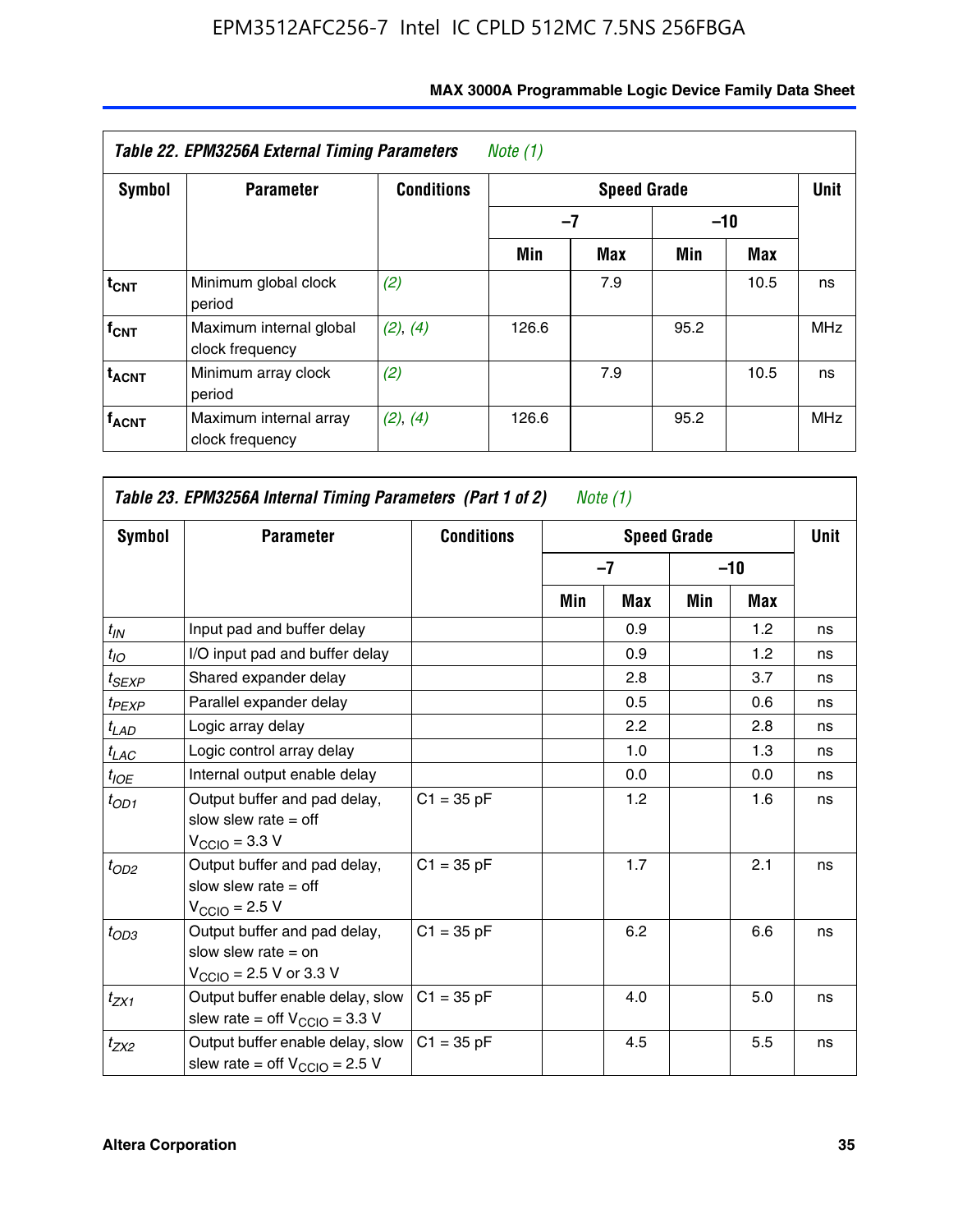| <b>Symbol</b>           | <b>Parameter</b>                           | <b>Conditions</b> |       |     | Unit  |      |            |
|-------------------------|--------------------------------------------|-------------------|-------|-----|-------|------|------------|
|                         |                                            |                   | -7    |     | $-10$ |      |            |
|                         |                                            |                   | Min   | Max | Min   | Max  |            |
| $t_{CNT}$               | Minimum global clock<br>period             | (2)               |       | 7.9 |       | 10.5 | ns         |
| $f_{CNT}$               | Maximum internal global<br>clock frequency | (2), (4)          | 126.6 |     | 95.2  |      | <b>MHz</b> |
| <b>t<sub>ACNT</sub></b> | Minimum array clock<br>period              | (2)               |       | 7.9 |       | 10.5 | ns         |
| <b>f<sub>ACNT</sub></b> | Maximum internal array<br>clock frequency  | (2), (4)          | 126.6 |     | 95.2  |      | <b>MHz</b> |

| Table 23. EPM3256A Internal Timing Parameters (Part 1 of 2)<br>Note (1) |                                                                                                              |                   |     |      |                    |       |             |  |  |  |
|-------------------------------------------------------------------------|--------------------------------------------------------------------------------------------------------------|-------------------|-----|------|--------------------|-------|-------------|--|--|--|
| Symbol                                                                  | <b>Parameter</b>                                                                                             | <b>Conditions</b> |     |      | <b>Speed Grade</b> |       | <b>Unit</b> |  |  |  |
|                                                                         |                                                                                                              |                   |     | $-7$ |                    | $-10$ |             |  |  |  |
|                                                                         |                                                                                                              |                   | Min | Max  | Min                | Max   |             |  |  |  |
| $t_{IN}$                                                                | Input pad and buffer delay                                                                                   |                   |     | 0.9  |                    | 1.2   | ns          |  |  |  |
| $t_{IO}$                                                                | I/O input pad and buffer delay                                                                               |                   |     | 0.9  |                    | 1.2   | ns          |  |  |  |
| $t_{SEXP}$                                                              | Shared expander delay                                                                                        |                   |     | 2.8  |                    | 3.7   | ns          |  |  |  |
| $t_{PEXP}$                                                              | Parallel expander delay                                                                                      |                   |     | 0.5  |                    | 0.6   | ns          |  |  |  |
| $t_{LAD}$                                                               | Logic array delay                                                                                            |                   |     | 2.2  |                    | 2.8   | ns          |  |  |  |
| $t_{LAC}$                                                               | Logic control array delay                                                                                    |                   |     | 1.0  |                    | 1.3   | ns          |  |  |  |
| $t_{IOE}$                                                               | Internal output enable delay                                                                                 |                   |     | 0.0  |                    | 0.0   | ns          |  |  |  |
| $t_{OD1}$                                                               | Output buffer and pad delay,<br>slow slew rate $=$ off<br>$V_{\text{CCIO}} = 3.3 V$                          | $C1 = 35 pF$      |     | 1.2  |                    | 1.6   | ns          |  |  |  |
| $t_{OD2}$                                                               | Output buffer and pad delay,<br>slow slew rate $=$ off<br>$V_{\text{CCIO}} = 2.5 V$                          | $C1 = 35 pF$      |     | 1.7  |                    | 2.1   | ns          |  |  |  |
| $t_{OD3}$                                                               | Output buffer and pad delay,<br>slow slew rate $=$ on<br>$V_{\text{CCIO}} = 2.5 \text{ V or } 3.3 \text{ V}$ | $C1 = 35 pF$      |     | 6.2  |                    | 6.6   | ns          |  |  |  |
| $t_{ZX1}$                                                               | Output buffer enable delay, slow<br>slew rate = off $V_{\text{CCIO}} = 3.3 V$                                | $C1 = 35 pF$      |     | 4.0  |                    | 5.0   | ns          |  |  |  |
| $t_{ZX2}$                                                               | Output buffer enable delay, slow<br>slew rate = off $V_{\text{CCIO}} = 2.5 V$                                | $C1 = 35 pF$      |     | 4.5  |                    | 5.5   | ns          |  |  |  |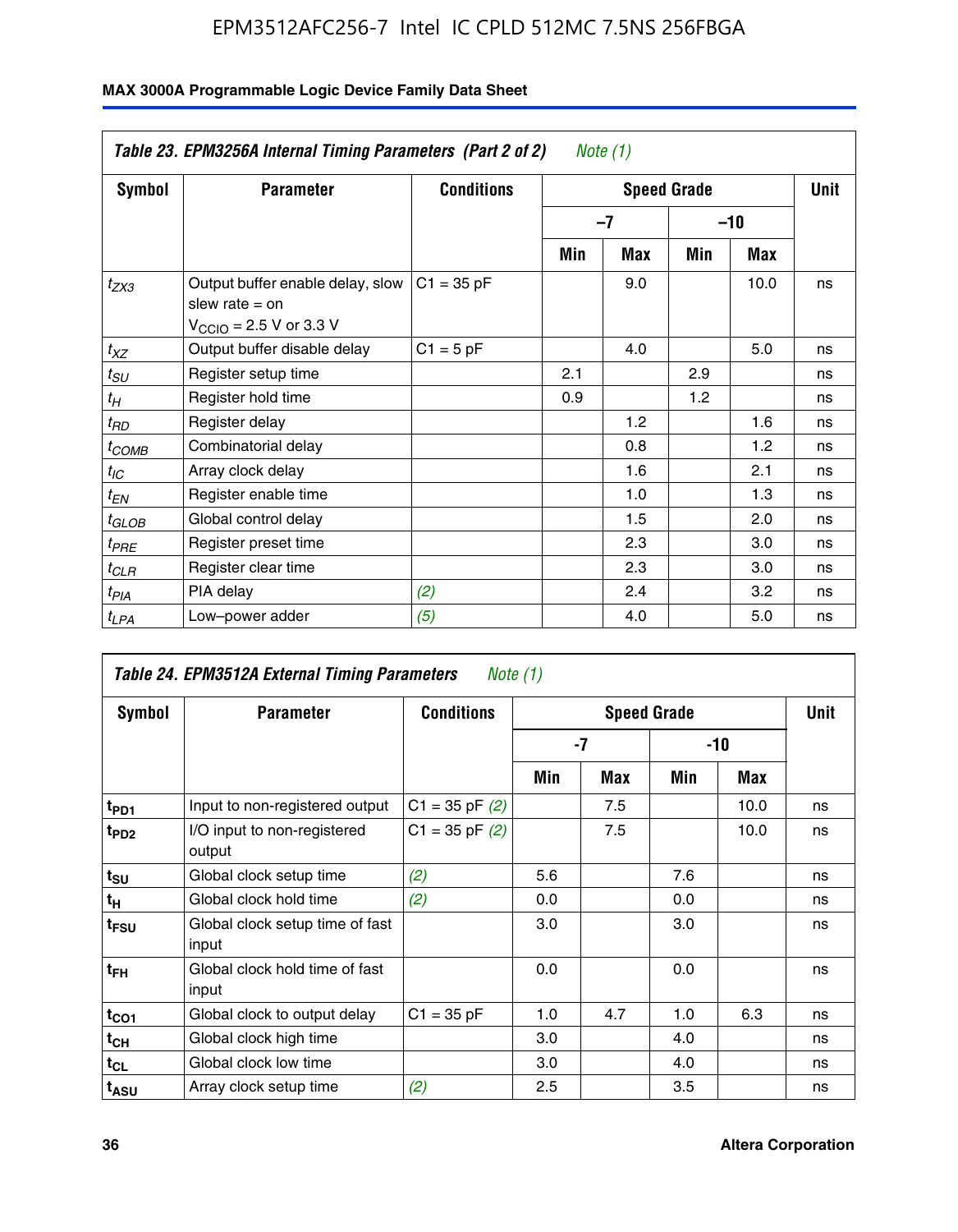|                       | Table 23. EPM3256A Internal Timing Parameters (Part 2 of 2)                                                 |                   |     | Note (1) |                    |      |             |
|-----------------------|-------------------------------------------------------------------------------------------------------------|-------------------|-----|----------|--------------------|------|-------------|
| <b>Symbol</b>         | <b>Parameter</b>                                                                                            | <b>Conditions</b> |     |          | <b>Speed Grade</b> |      | <b>Unit</b> |
|                       |                                                                                                             |                   |     | -7       | $-10$              |      |             |
|                       |                                                                                                             |                   | Min | Max      | Min                | Max  |             |
| $t_{ZX3}$             | Output buffer enable delay, slow<br>slew rate $=$ on<br>$V_{\text{CCIO}} = 2.5 \text{ V or } 3.3 \text{ V}$ | $C1 = 35 pF$      |     | 9.0      |                    | 10.0 | ns          |
| $t_{XZ}$              | Output buffer disable delay                                                                                 | $C1 = 5$ pF       |     | 4.0      |                    | 5.0  | ns          |
| $t_{\scriptstyle SU}$ | Register setup time                                                                                         |                   | 2.1 |          | 2.9                |      | ns          |
| $t_H$                 | Register hold time                                                                                          |                   | 0.9 |          | 1.2                |      | ns          |
| $t_{RD}$              | Register delay                                                                                              |                   |     | 1.2      |                    | 1.6  | ns          |
| t <sub>COMB</sub>     | Combinatorial delay                                                                                         |                   |     | 0.8      |                    | 1.2  | ns          |
| $t_{IC}$              | Array clock delay                                                                                           |                   |     | 1.6      |                    | 2.1  | ns          |
| $t_{EN}$              | Register enable time                                                                                        |                   |     | 1.0      |                    | 1.3  | ns          |
| $t_{GLOB}$            | Global control delay                                                                                        |                   |     | 1.5      |                    | 2.0  | ns          |
| $t_{PRE}$             | Register preset time                                                                                        |                   |     | 2.3      |                    | 3.0  | ns          |
| $t_{CLR}$             | Register clear time                                                                                         |                   |     | 2.3      |                    | 3.0  | ns          |
| t <sub>PIA</sub>      | PIA delay                                                                                                   | (2)               |     | 2.4      |                    | 3.2  | ns          |
| $t_{LPA}$             | Low-power adder                                                                                             | (5)               |     | 4.0      |                    | 5.0  | ns          |

| Table 24. EPM3512A External Timing Parameters<br>Note $(1)$ |                                          |                    |                    |     |       |      |    |
|-------------------------------------------------------------|------------------------------------------|--------------------|--------------------|-----|-------|------|----|
| Symbol                                                      | <b>Parameter</b>                         | <b>Conditions</b>  | <b>Speed Grade</b> |     |       | Unit |    |
|                                                             |                                          |                    | -7                 |     | $-10$ |      |    |
|                                                             |                                          |                    | Min                | Max | Min   | Max  |    |
| t <sub>PD1</sub>                                            | Input to non-registered output           | $C1 = 35$ pF $(2)$ |                    | 7.5 |       | 10.0 | ns |
| $t_{PD2}$                                                   | I/O input to non-registered<br>output    | $C1 = 35 pF(2)$    |                    | 7.5 |       | 10.0 | ns |
| $t_{\text{SU}}$                                             | Global clock setup time                  | (2)                | 5.6                |     | 7.6   |      | ns |
| $t_H$                                                       | Global clock hold time                   | (2)                | 0.0                |     | 0.0   |      | ns |
| $t_{FSU}$                                                   | Global clock setup time of fast<br>input |                    | 3.0                |     | 3.0   |      | ns |
| t <sub>FH</sub>                                             | Global clock hold time of fast<br>input  |                    | 0.0                |     | 0.0   |      | ns |
| $t_{CO1}$                                                   | Global clock to output delay             | $C1 = 35 pF$       | 1.0                | 4.7 | 1.0   | 6.3  | ns |
| $t_{CH}$                                                    | Global clock high time                   |                    | 3.0                |     | 4.0   |      | ns |
| $t_{CL}$                                                    | Global clock low time                    |                    | 3.0                |     | 4.0   |      | ns |
| t <sub>ASU</sub>                                            | Array clock setup time                   | (2)                | 2.5                |     | 3.5   |      | ns |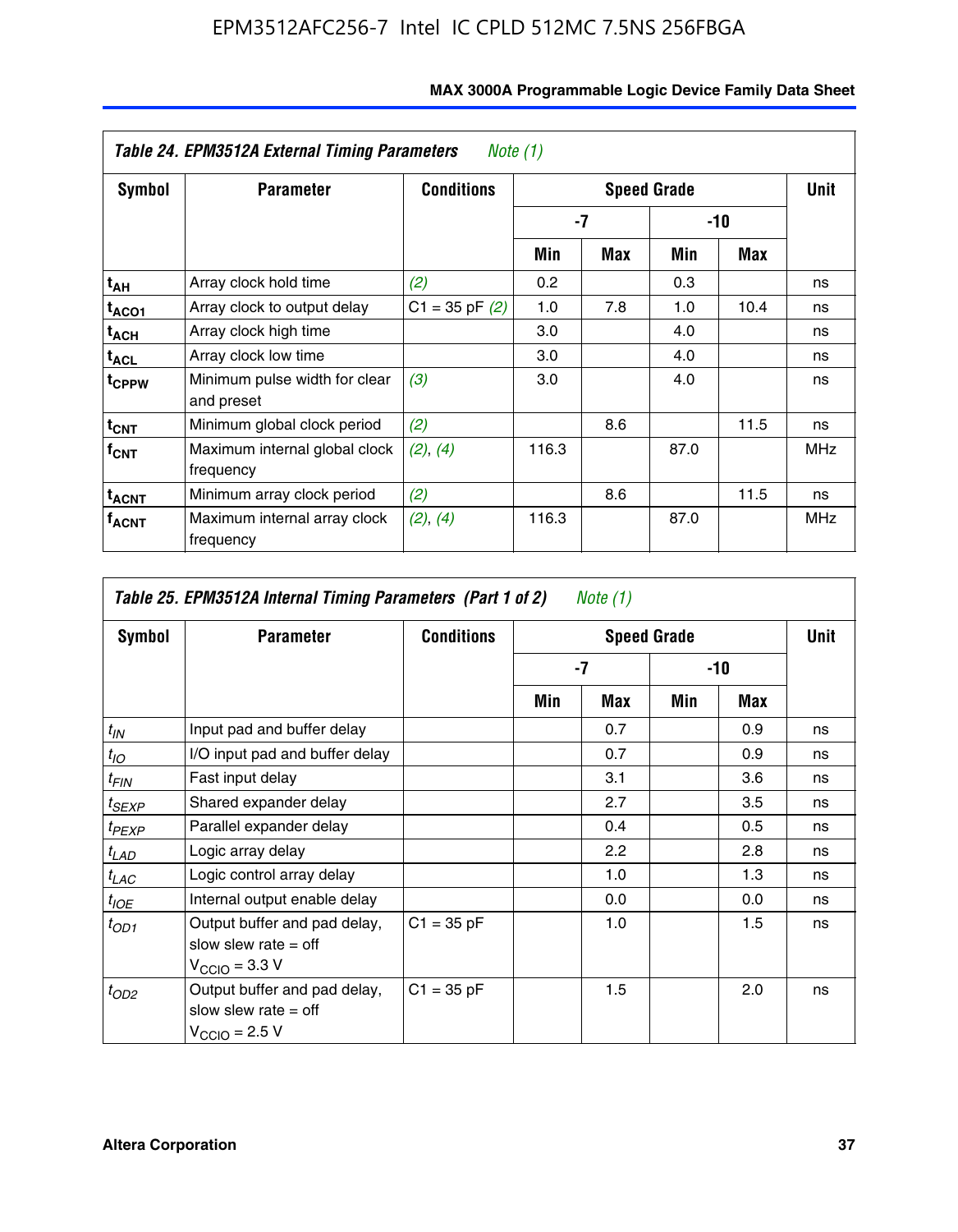| Table 24. EPM3512A External Timing Parameters<br>Note $(1)$ |                                             |                    |                    |     |       |      |            |  |
|-------------------------------------------------------------|---------------------------------------------|--------------------|--------------------|-----|-------|------|------------|--|
| Symbol                                                      | <b>Parameter</b>                            | <b>Conditions</b>  | <b>Speed Grade</b> |     |       |      | Unit       |  |
|                                                             |                                             |                    | -7                 |     | $-10$ |      |            |  |
|                                                             |                                             |                    | Min                | Max | Min   | Max  |            |  |
| t <sub>АН</sub>                                             | Array clock hold time                       | (2)                | 0.2                |     | 0.3   |      | ns         |  |
| t <sub>ACO1</sub>                                           | Array clock to output delay                 | $C1 = 35$ pF $(2)$ | 1.0                | 7.8 | 1.0   | 10.4 | ns         |  |
| $t_{\sf ACH}$                                               | Array clock high time                       |                    | 3.0                |     | 4.0   |      | ns         |  |
| $t_{\sf ACL}$                                               | Array clock low time                        |                    | 3.0                |     | 4.0   |      | ns         |  |
| t <sub>CPPW</sub>                                           | Minimum pulse width for clear<br>and preset | (3)                | 3.0                |     | 4.0   |      | ns         |  |
| $t_{\text{CNT}}$                                            | Minimum global clock period                 | (2)                |                    | 8.6 |       | 11.5 | ns         |  |
| $f_{CNT}$                                                   | Maximum internal global clock<br>frequency  | (2), (4)           | 116.3              |     | 87.0  |      | <b>MHz</b> |  |
| <sup>t</sup> acnt                                           | Minimum array clock period                  | (2)                |                    | 8.6 |       | 11.5 | ns         |  |
| <sup>T</sup> ACNT                                           | Maximum internal array clock<br>frequency   | (2), (4)           | 116.3              |     | 87.0  |      | <b>MHz</b> |  |

| Table 25. EPM3512A Internal Timing Parameters (Part 1 of 2) Note $(1)$ |                                                                                     |                   |     |      |       |     |    |
|------------------------------------------------------------------------|-------------------------------------------------------------------------------------|-------------------|-----|------|-------|-----|----|
| Symbol                                                                 | <b>Parameter</b>                                                                    | <b>Conditions</b> |     | Unit |       |     |    |
|                                                                        |                                                                                     |                   | -7  |      | $-10$ |     |    |
|                                                                        |                                                                                     |                   | Min | Max  | Min   | Max |    |
| $t_{IN}$                                                               | Input pad and buffer delay                                                          |                   |     | 0.7  |       | 0.9 | ns |
| $t_{IO}$                                                               | I/O input pad and buffer delay                                                      |                   |     | 0.7  |       | 0.9 | ns |
| $t_{FIN}$                                                              | Fast input delay                                                                    |                   |     | 3.1  |       | 3.6 | ns |
| $t_{SEXP}$                                                             | Shared expander delay                                                               |                   |     | 2.7  |       | 3.5 | ns |
| $t_{PEXP}$                                                             | Parallel expander delay                                                             |                   |     | 0.4  |       | 0.5 | ns |
| $t_{LAD}$                                                              | Logic array delay                                                                   |                   |     | 2.2  |       | 2.8 | ns |
| $t_{LAC}$                                                              | Logic control array delay                                                           |                   |     | 1.0  |       | 1.3 | ns |
| $t_{IOE}$                                                              | Internal output enable delay                                                        |                   |     | 0.0  |       | 0.0 | ns |
| $t_{OD1}$                                                              | Output buffer and pad delay,<br>slow slew rate $=$ off<br>$V_{\rm CClO}$ = 3.3 V    | $C1 = 35 pF$      |     | 1.0  |       | 1.5 | ns |
| $t_{OD2}$                                                              | Output buffer and pad delay,<br>slow slew rate $=$ off<br>$V_{\text{CCIO}} = 2.5 V$ | $C1 = 35 pF$      |     | 1.5  |       | 2.0 | ns |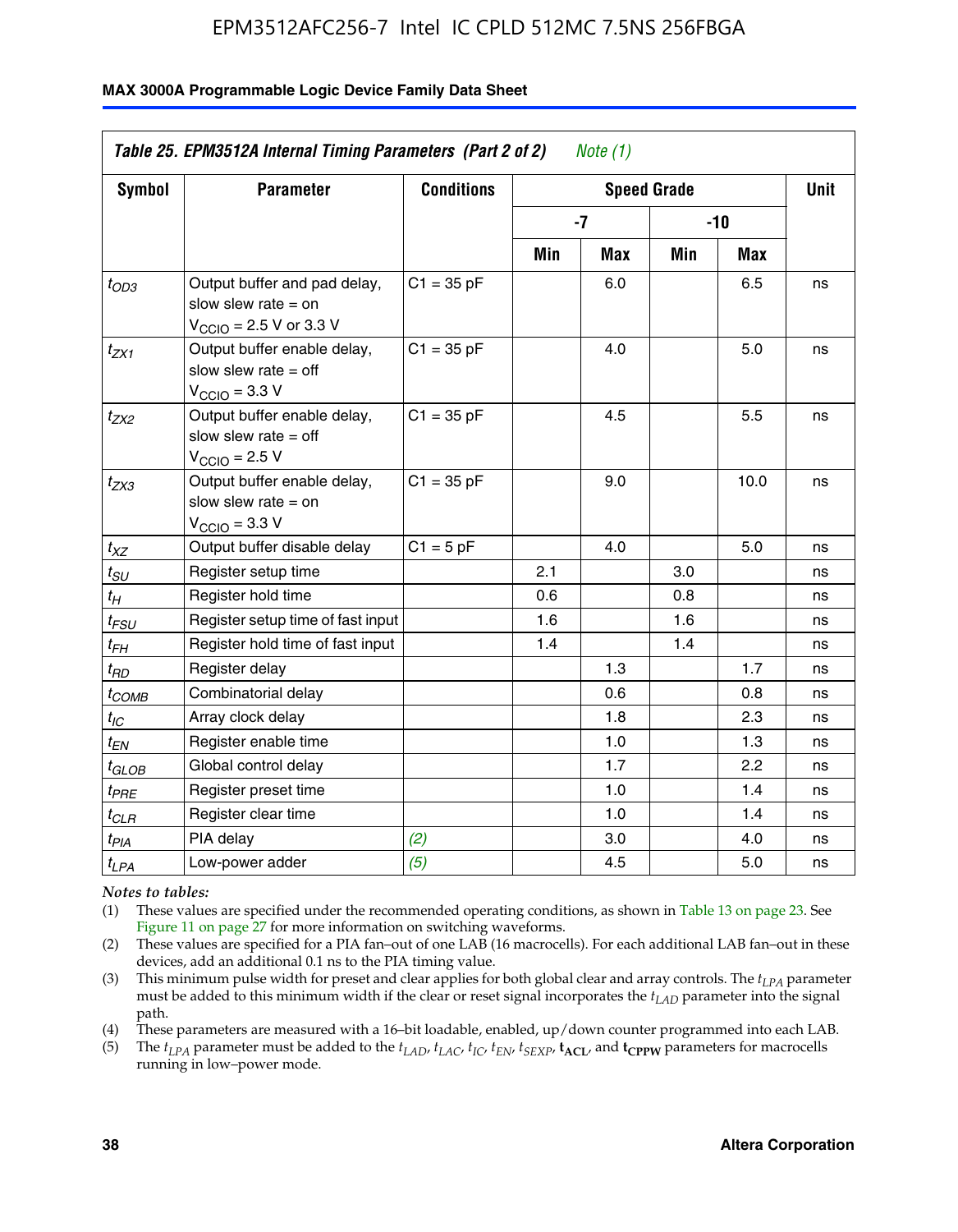#### **MAX 3000A Programmable Logic Device Family Data Sheet**

| Table 25. EPM3512A Internal Timing Parameters (Part 2 of 2)<br>Note $(1)$ |                                                                                                              |                   |      |             |       |      |    |
|---------------------------------------------------------------------------|--------------------------------------------------------------------------------------------------------------|-------------------|------|-------------|-------|------|----|
| <b>Symbol</b>                                                             | <b>Parameter</b>                                                                                             | <b>Conditions</b> |      | <b>Unit</b> |       |      |    |
|                                                                           |                                                                                                              |                   | $-7$ |             | $-10$ |      |    |
|                                                                           |                                                                                                              |                   | Min  | Max         | Min   | Max  |    |
| $t_{OD3}$                                                                 | Output buffer and pad delay,<br>slow slew rate $=$ on<br>$V_{\text{CCIO}} = 2.5 \text{ V or } 3.3 \text{ V}$ | $C1 = 35 pF$      |      | 6.0         |       | 6.5  | ns |
| $t_{ZX1}$                                                                 | Output buffer enable delay,<br>slow slew rate $=$ off<br>$V_{\text{CCIO}} = 3.3 \text{ V}$                   | $C1 = 35 pF$      |      | 4.0         |       | 5.0  | ns |
| $t_{ZX2}$                                                                 | Output buffer enable delay,<br>slow slew rate $=$ off<br>$V_{\text{CCIO}} = 2.5 V$                           | $C1 = 35 pF$      |      | 4.5         |       | 5.5  | ns |
| $t_{ZX3}$                                                                 | Output buffer enable delay,<br>slow slew rate $=$ on<br>$V_{\text{CCIO}} = 3.3 V$                            | $C1 = 35 pF$      |      | 9.0         |       | 10.0 | ns |
| $t_{XZ}$                                                                  | Output buffer disable delay                                                                                  | $C1 = 5pF$        |      | 4.0         |       | 5.0  | ns |
| $t_{SU}$                                                                  | Register setup time                                                                                          |                   | 2.1  |             | 3.0   |      | ns |
| $t_H$                                                                     | Register hold time                                                                                           |                   | 0.6  |             | 0.8   |      | ns |
| $t_{\textit{FSU}}$                                                        | Register setup time of fast input                                                                            |                   | 1.6  |             | 1.6   |      | ns |
| $t_{FH}$                                                                  | Register hold time of fast input                                                                             |                   | 1.4  |             | 1.4   |      | ns |
| $t_{RD}$                                                                  | Register delay                                                                                               |                   |      | 1.3         |       | 1.7  | ns |
| $t_{COMB}$                                                                | Combinatorial delay                                                                                          |                   |      | 0.6         |       | 0.8  | ns |
| $t_{IC}$                                                                  | Array clock delay                                                                                            |                   |      | 1.8         |       | 2.3  | ns |
| $t_{EN}$                                                                  | Register enable time                                                                                         |                   |      | 1.0         |       | 1.3  | ns |
| $t_{\scriptstyle\rm GLOB}$                                                | Global control delay                                                                                         |                   |      | 1.7         |       | 2.2  | ns |
| $t_{PRE}$                                                                 | Register preset time                                                                                         |                   |      | 1.0         |       | 1.4  | ns |
| $t_{CLR}$                                                                 | Register clear time                                                                                          |                   |      | 1.0         |       | 1.4  | ns |
| $t_{PIA}$                                                                 | PIA delay                                                                                                    | (2)               |      | 3.0         |       | 4.0  | ns |
| $t_{LPA}$                                                                 | Low-power adder                                                                                              | (5)               |      | 4.5         |       | 5.0  | ns |

*Notes to tables:*

(1) These values are specified under the recommended operating conditions, as shown in Table 13 on page 23. See Figure 11 on page 27 for more information on switching waveforms.

(2) These values are specified for a PIA fan–out of one LAB (16 macrocells). For each additional LAB fan–out in these devices, add an additional 0.1 ns to the PIA timing value.

(3) This minimum pulse width for preset and clear applies for both global clear and array controls. The *tLPA* parameter must be added to this minimum width if the clear or reset signal incorporates the *tLAD* parameter into the signal path.

(4) These parameters are measured with a 16–bit loadable, enabled, up/down counter programmed into each LAB.

(5) The  $t_{LPA}$  parameter must be added to the  $t_{LAD}$ ,  $t_{LAC}$ ,  $t_{IC}$ ,  $t_{EN}$ ,  $t_{SEXP}$ ,  $t_{ACL}$ , and  $t_{CPPW}$  parameters for macrocells running in low–power mode.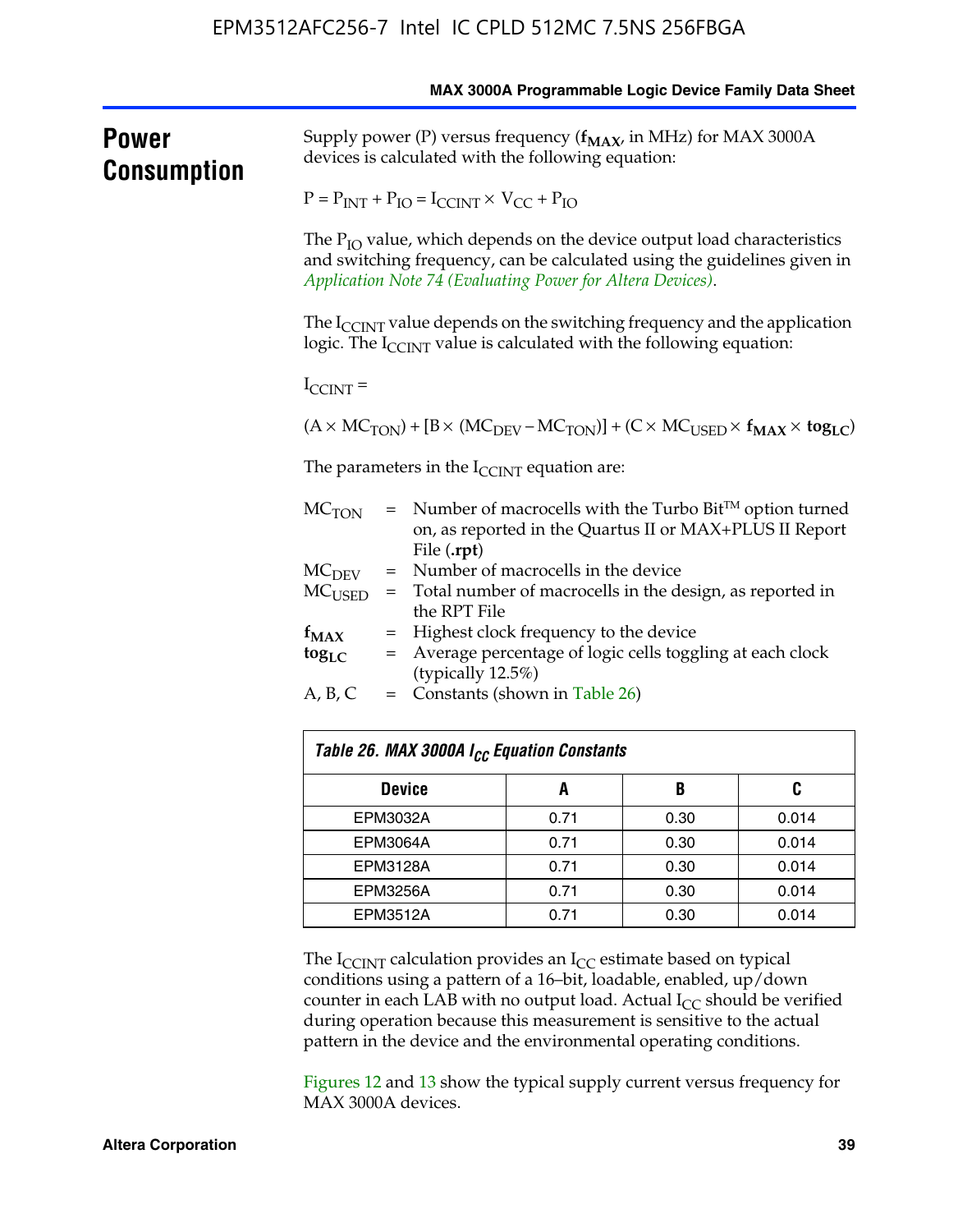|                      | MAX 3000A Programmable Logic Device Family Data Sheet                                                                       |                                                                                                                                                                                                                       |              |      |       |  |  |  |
|----------------------|-----------------------------------------------------------------------------------------------------------------------------|-----------------------------------------------------------------------------------------------------------------------------------------------------------------------------------------------------------------------|--------------|------|-------|--|--|--|
| Power<br>Consumption | Supply power (P) versus frequency ( $f_{MAX}$ , in MHz) for MAX 3000A<br>devices is calculated with the following equation: |                                                                                                                                                                                                                       |              |      |       |  |  |  |
|                      | $P = P_{INT} + P_{IO} = I_{CCINT} \times V_{CC} + P_{IO}$                                                                   |                                                                                                                                                                                                                       |              |      |       |  |  |  |
|                      |                                                                                                                             | The $P_{IO}$ value, which depends on the device output load characteristics<br>and switching frequency, can be calculated using the guidelines given in<br>Application Note 74 (Evaluating Power for Altera Devices). |              |      |       |  |  |  |
|                      |                                                                                                                             | The $I_{\text{CCINT}}$ value depends on the switching frequency and the application<br>logic. The I <sub>CCINT</sub> value is calculated with the following equation:                                                 |              |      |       |  |  |  |
|                      | $I_{\text{CCINT}}$ =                                                                                                        |                                                                                                                                                                                                                       |              |      |       |  |  |  |
|                      |                                                                                                                             | $(A \times MC_{TON}) + [B \times (MC_{DEV} - MC_{TON})] + (C \times MC_{USED} \times f_{MAX} \times tog_{LC})$                                                                                                        |              |      |       |  |  |  |
|                      |                                                                                                                             | The parameters in the $I_{\text{CCINT}}$ equation are:                                                                                                                                                                |              |      |       |  |  |  |
|                      | $MC$ <sub>TON</sub>                                                                                                         | $=$ Number of macrocells with the Turbo Bit <sup>TM</sup> option turned<br>on, as reported in the Quartus II or MAX+PLUS II Report<br>File (.rpt)                                                                     |              |      |       |  |  |  |
|                      | $MC$ <sub>DEV</sub>                                                                                                         | = Number of macrocells in the device                                                                                                                                                                                  |              |      |       |  |  |  |
|                      | $MC_{\rm{LISED}}$                                                                                                           | = Total number of macrocells in the design, as reported in<br>the RPT File                                                                                                                                            |              |      |       |  |  |  |
|                      | $f_{MAX}$                                                                                                                   | = Highest clock frequency to the device                                                                                                                                                                               |              |      |       |  |  |  |
|                      | $\log_{LC}$                                                                                                                 | = Average percentage of logic cells toggling at each clock                                                                                                                                                            |              |      |       |  |  |  |
|                      | (typically 12.5%)<br>A, B, C<br>= Constants (shown in Table 26)                                                             |                                                                                                                                                                                                                       |              |      |       |  |  |  |
|                      |                                                                                                                             | Table 26. MAX 3000A I <sub>CC</sub> Equation Constants                                                                                                                                                                |              |      |       |  |  |  |
|                      |                                                                                                                             | B<br><b>Device</b><br>A                                                                                                                                                                                               |              |      | C     |  |  |  |
|                      |                                                                                                                             | EPM3032A                                                                                                                                                                                                              |              | 0.30 | 0.014 |  |  |  |
|                      |                                                                                                                             | EPM3064A                                                                                                                                                                                                              | 0.71<br>0.71 | 0.30 | 0.014 |  |  |  |
|                      |                                                                                                                             | EPM3128A                                                                                                                                                                                                              | 0.71         | 0.30 | 0.014 |  |  |  |
|                      |                                                                                                                             | FPM3256A                                                                                                                                                                                                              | 0.71         | 0.30 | 0.014 |  |  |  |

The  $I_{\text{CCINT}}$  calculation provides an  $I_{\text{CC}}$  estimate based on typical conditions using a pattern of a 16–bit, loadable, enabled, up/down counter in each LAB with no output load. Actual  $I_{CC}$  should be verified during operation because this measurement is sensitive to the actual pattern in the device and the environmental operating conditions.

EPM3512A 0.71 0.30 0.014

Figures 12 and 13 show the typical supply current versus frequency for MAX 3000A devices.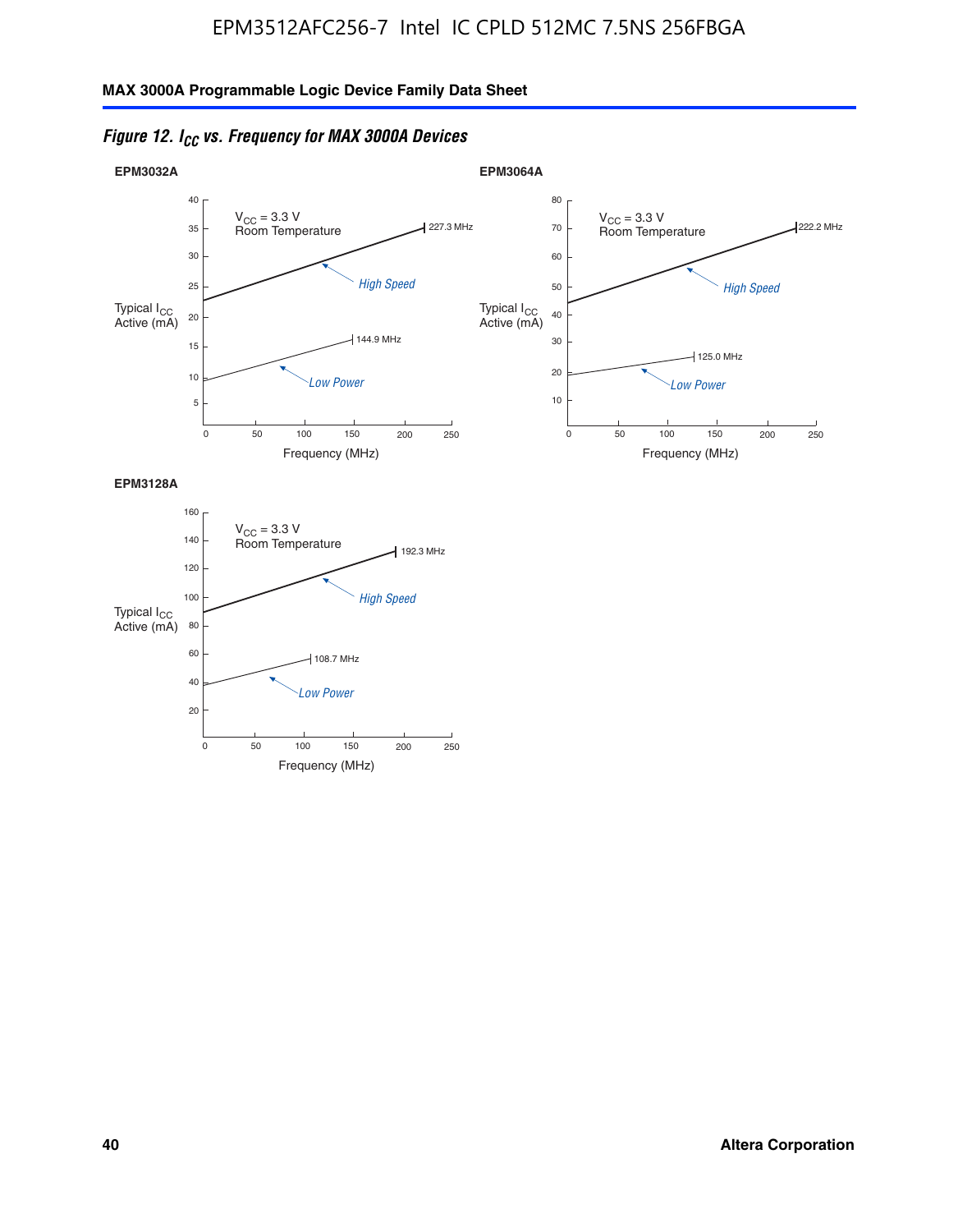



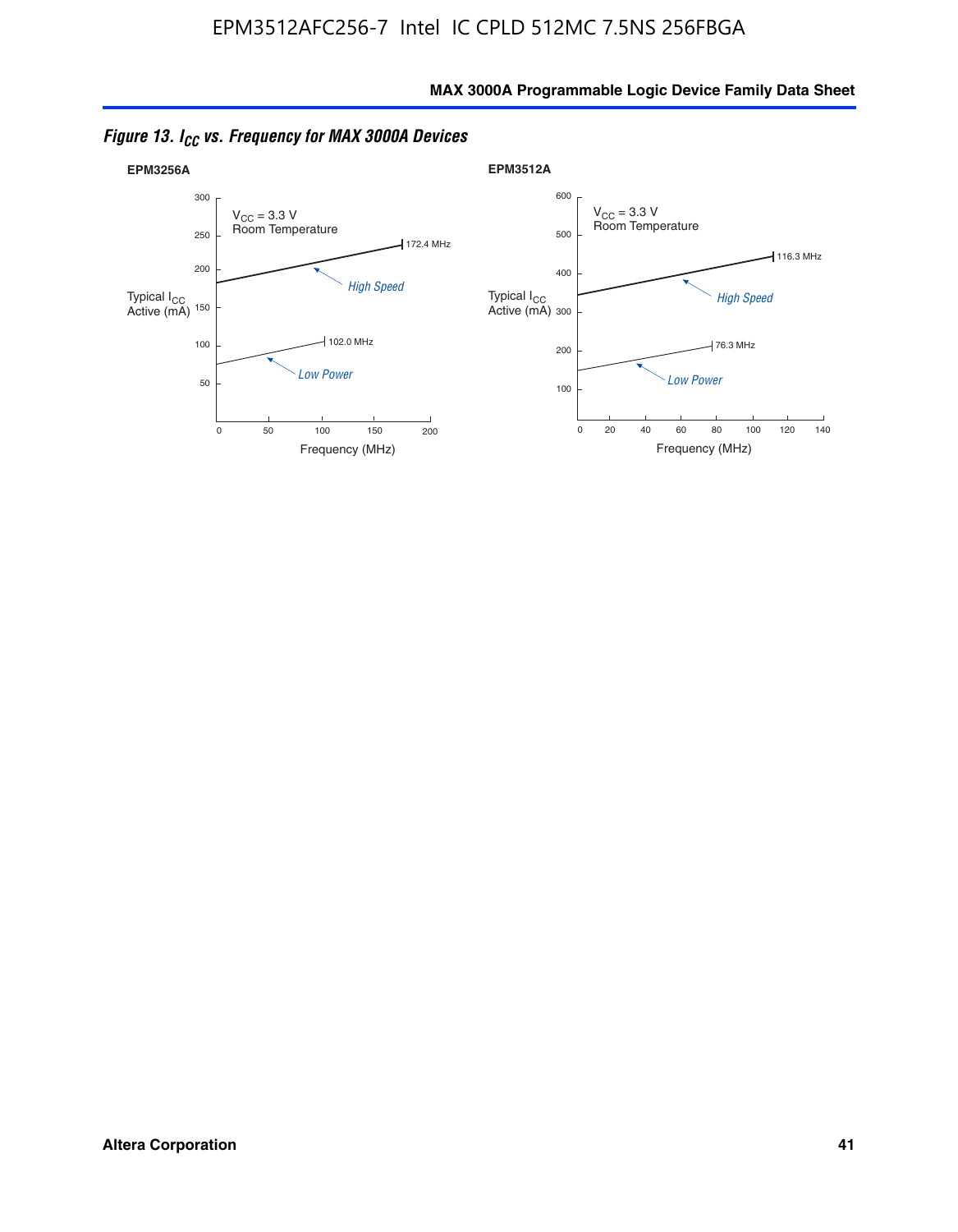

*Figure 13. ICC vs. Frequency for MAX 3000A Devices*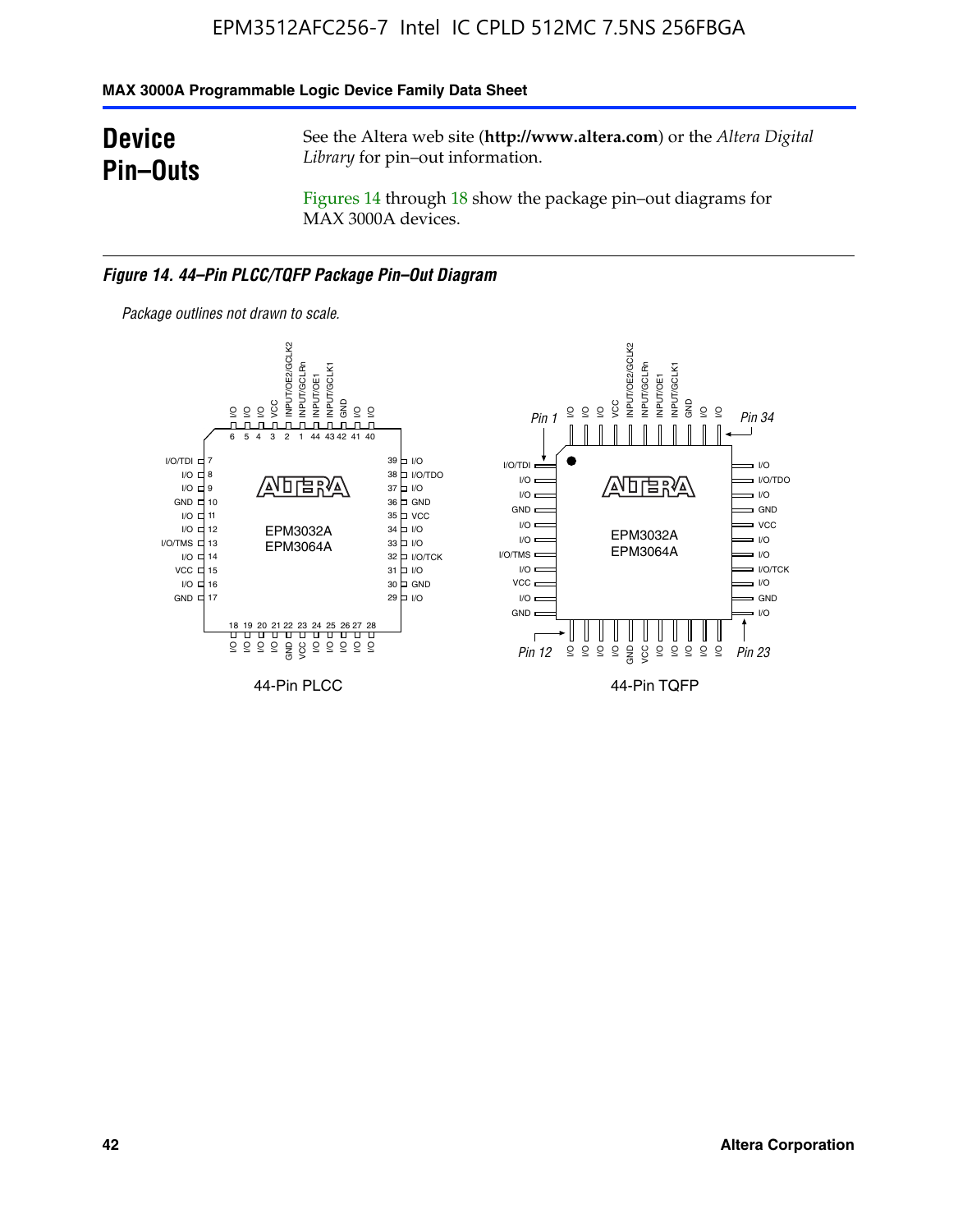#### **MAX 3000A Programmable Logic Device Family Data Sheet**

# **Device Pin–Outs**

See the Altera web site (**http://www.altera.com**) or the *Altera Digital Library* for pin–out information.

Figures 14 through 18 show the package pin–out diagrams for MAX 3000A devices.

#### *Figure 14. 44–Pin PLCC/TQFP Package Pin–Out Diagram*



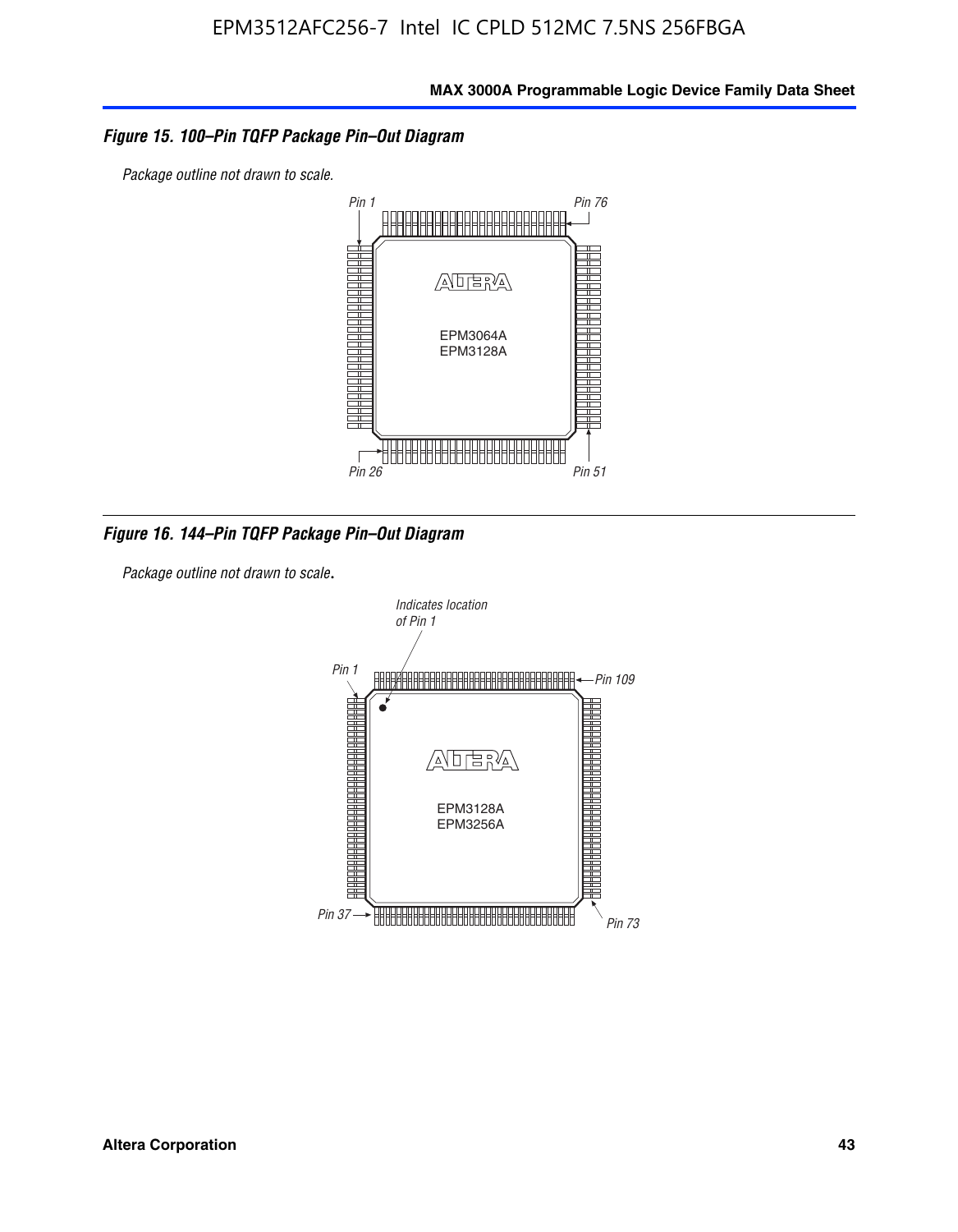#### *Figure 15. 100–Pin TQFP Package Pin–Out Diagram*

*Package outline not drawn to scale.*



*Figure 16. 144–Pin TQFP Package Pin–Out Diagram*

*Package outline not drawn to scale*.

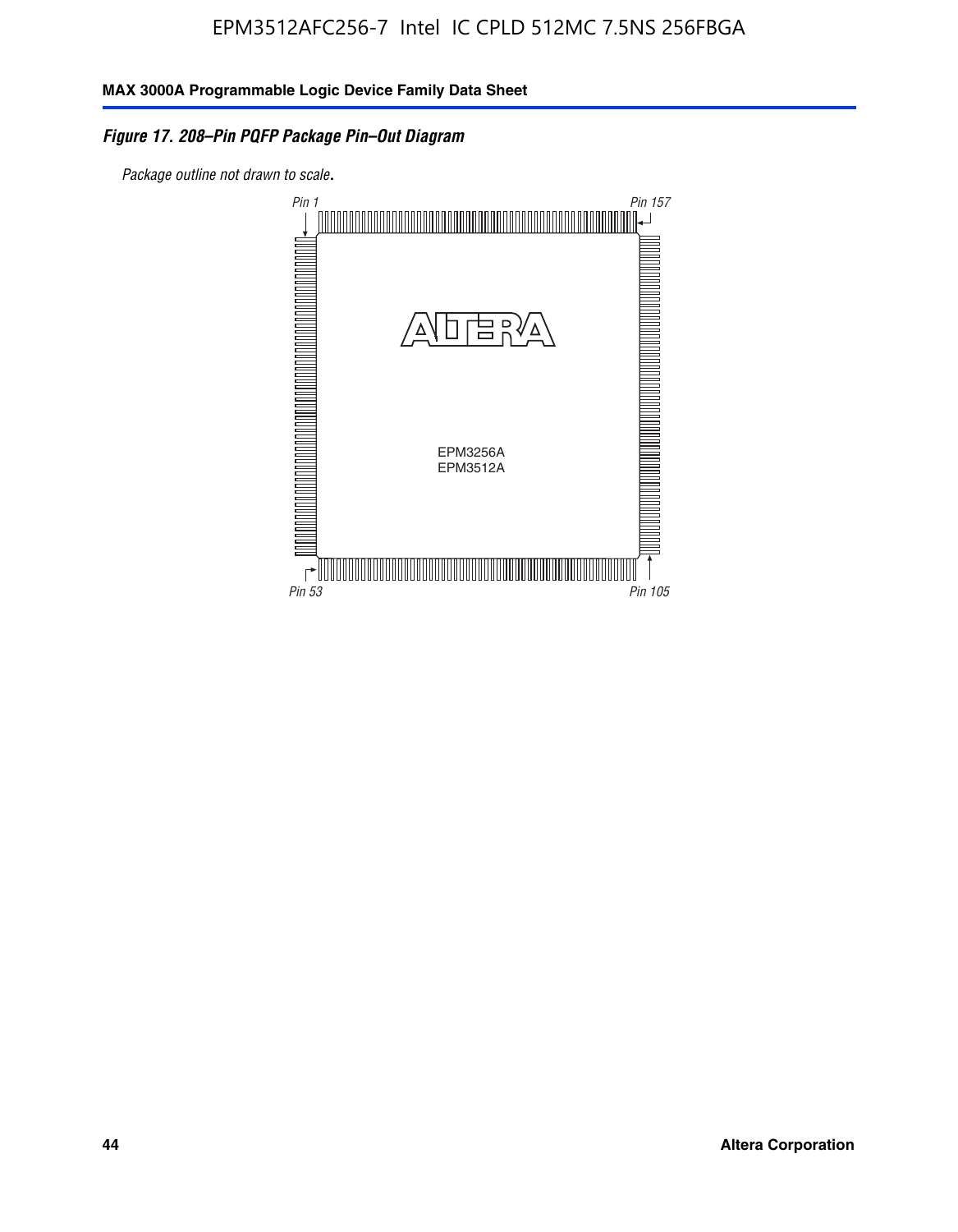# *Figure 17. 208–Pin PQFP Package Pin–Out Diagram*

*Package outline not drawn to scale*.

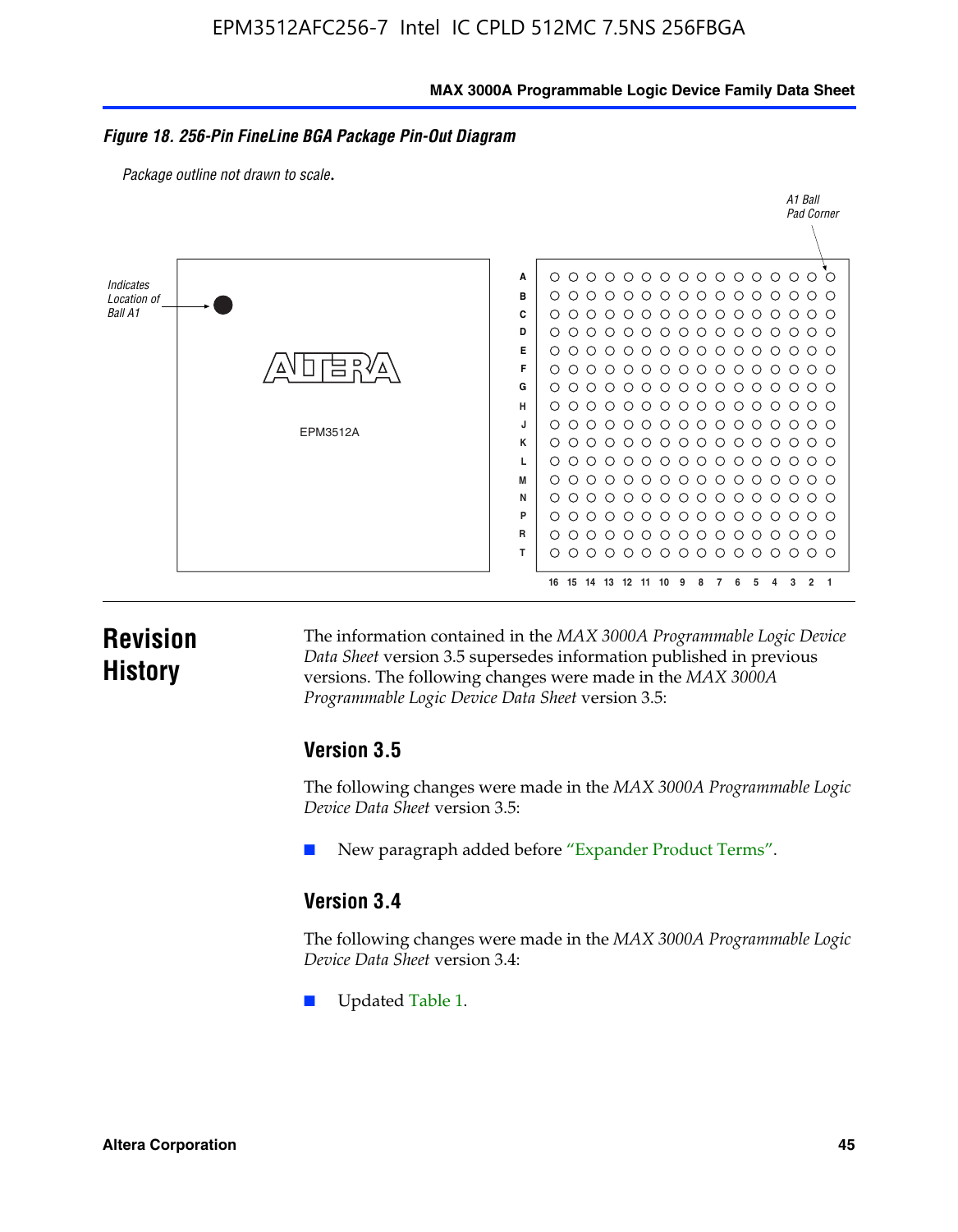#### **MAX 3000A Programmable Logic Device Family Data Sheet**

#### *Figure 18. 256-Pin FineLine BGA Package Pin-Out Diagram*

*Package outline not drawn to scale*.



# **Revision History**

The information contained in the *MAX 3000A Programmable Logic Device Data Sheet* version 3.5 supersedes information published in previous versions. The following changes were made in the *MAX 3000A Programmable Logic Device Data Sheet* version 3.5:

#### **Version 3.5**

The following changes were made in the *MAX 3000A Programmable Logic Device Data Sheet* version 3.5:

New paragraph added before "Expander Product Terms".

# **Version 3.4**

The following changes were made in the *MAX 3000A Programmable Logic Device Data Sheet* version 3.4:

Updated Table 1.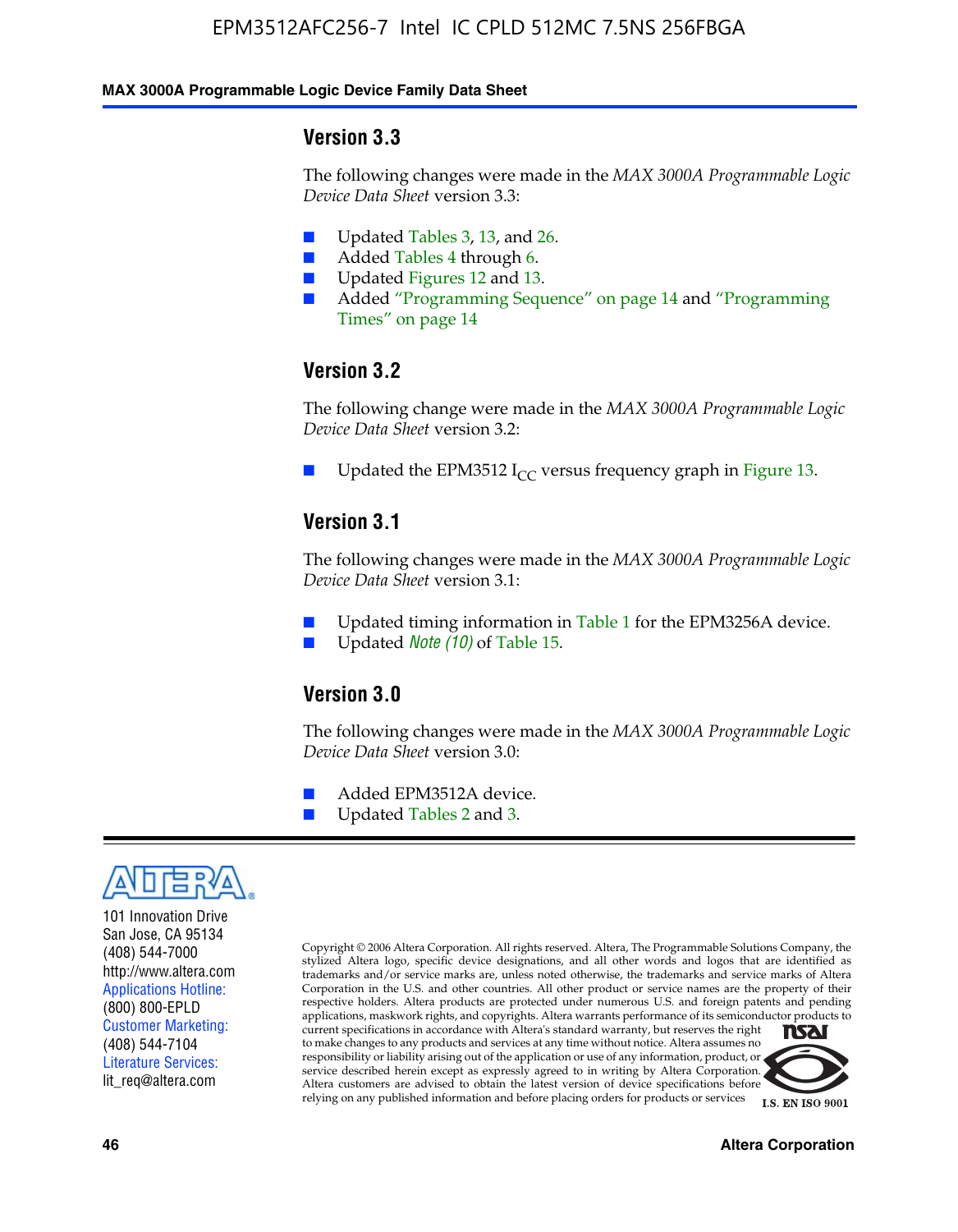#### **MAX 3000A Programmable Logic Device Family Data Sheet**

#### **Version 3.3**

The following changes were made in the *MAX 3000A Programmable Logic Device Data Sheet* version 3.3:

- Updated Tables 3, 13, and 26.
- Added Tables 4 through 6.
- Updated Figures 12 and 13.
- Added "Programming Sequence" on page 14 and "Programming Times" on page 14

### **Version 3.2**

The following change were made in the *MAX 3000A Programmable Logic Device Data Sheet* version 3.2:

Updated the EPM3512 I<sub>CC</sub> versus frequency graph in Figure 13.

#### **Version 3.1**

The following changes were made in the *MAX 3000A Programmable Logic Device Data Sheet* version 3.1:

- Updated timing information in Table 1 for the EPM3256A device.
- Updated *Note* (10) of Table 15.

#### **Version 3.0**

The following changes were made in the *MAX 3000A Programmable Logic Device Data Sheet* version 3.0:

- Added EPM3512A device.
- Updated Tables 2 and 3.



101 Innovation Drive San Jose, CA 95134 (408) 544-7000 http://www.altera.com Applications Hotline: (800) 800-EPLD Customer Marketing: (408) 544-7104 Literature Services: lit\_req@altera.com

Copyright © 2006 Altera Corporation. All rights reserved. Altera, The Programmable Solutions Company, the stylized Altera logo, specific device designations, and all other words and logos that are identified as trademarks and/or service marks are, unless noted otherwise, the trademarks and service marks of Altera Corporation in the U.S. and other countries. All other product or service names are the property of their respective holders. Altera products are protected under numerous U.S. and foreign patents and pending applications, maskwork rights, and copyrights. Altera warrants performance of its semiconductor products to current specifications in accordance with Altera's standard warranty, but reserves the right **NSAI** to make changes to any products and services at any time without notice. Altera assumes no responsibility or liability arising out of the application or use of any information, product, or

service described herein except as expressly agreed to in writing by Altera Corporation. Altera customers are advised to obtain the latest version of device specifications before relying on any published information and before placing orders for products or services